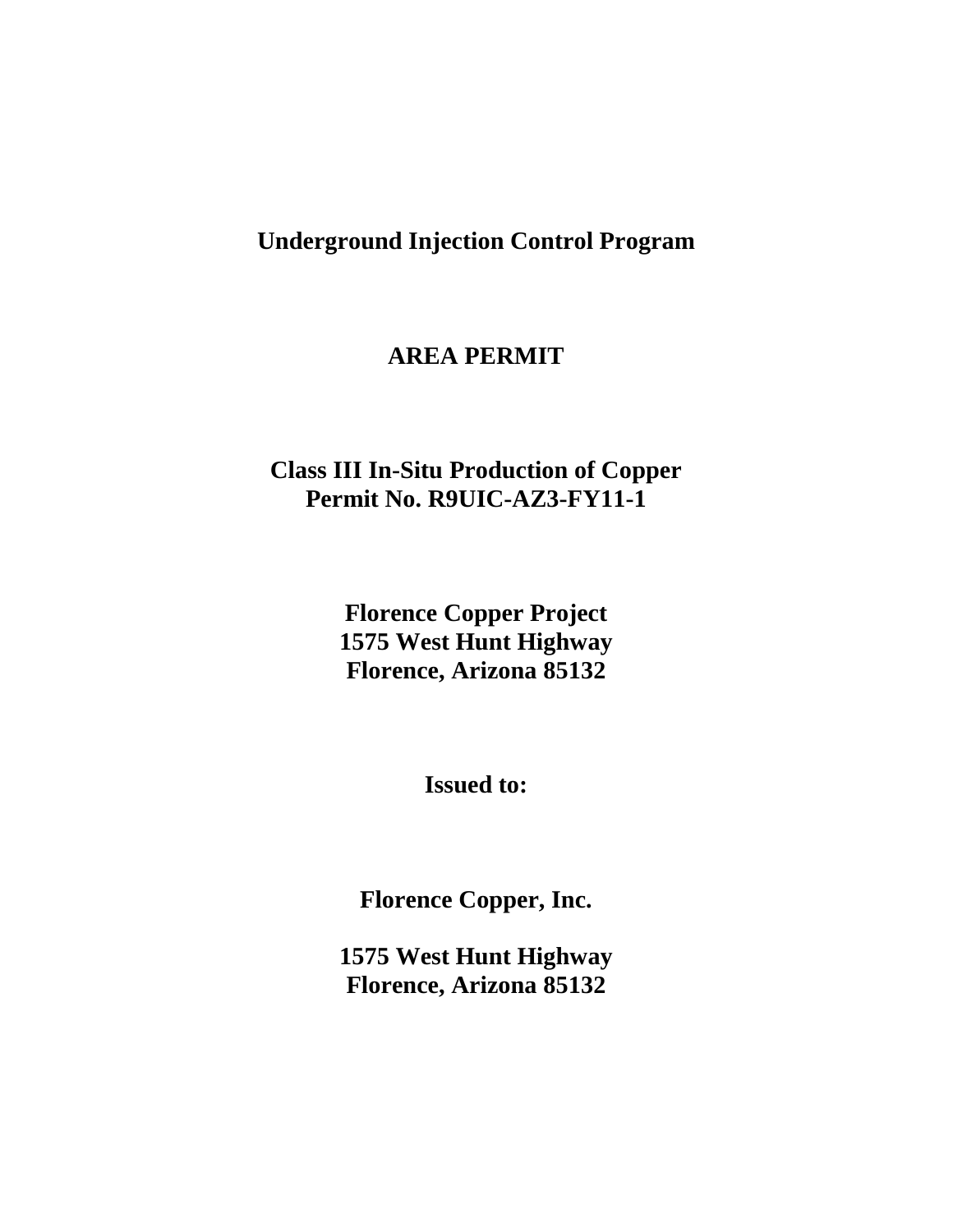# **Underground Injection Control Program**

# **AREA PERMIT**

# **Class III In-Situ Production of Copper Permit No. R9UIC-AZ3-FY11-1**

**Florence Copper Project 1575 West Hunt Highway Florence, Arizona 85132**

**Issued to:**

**Florence Copper, Inc.** 

**1575 West Hunt Highway Florence, Arizona 85132**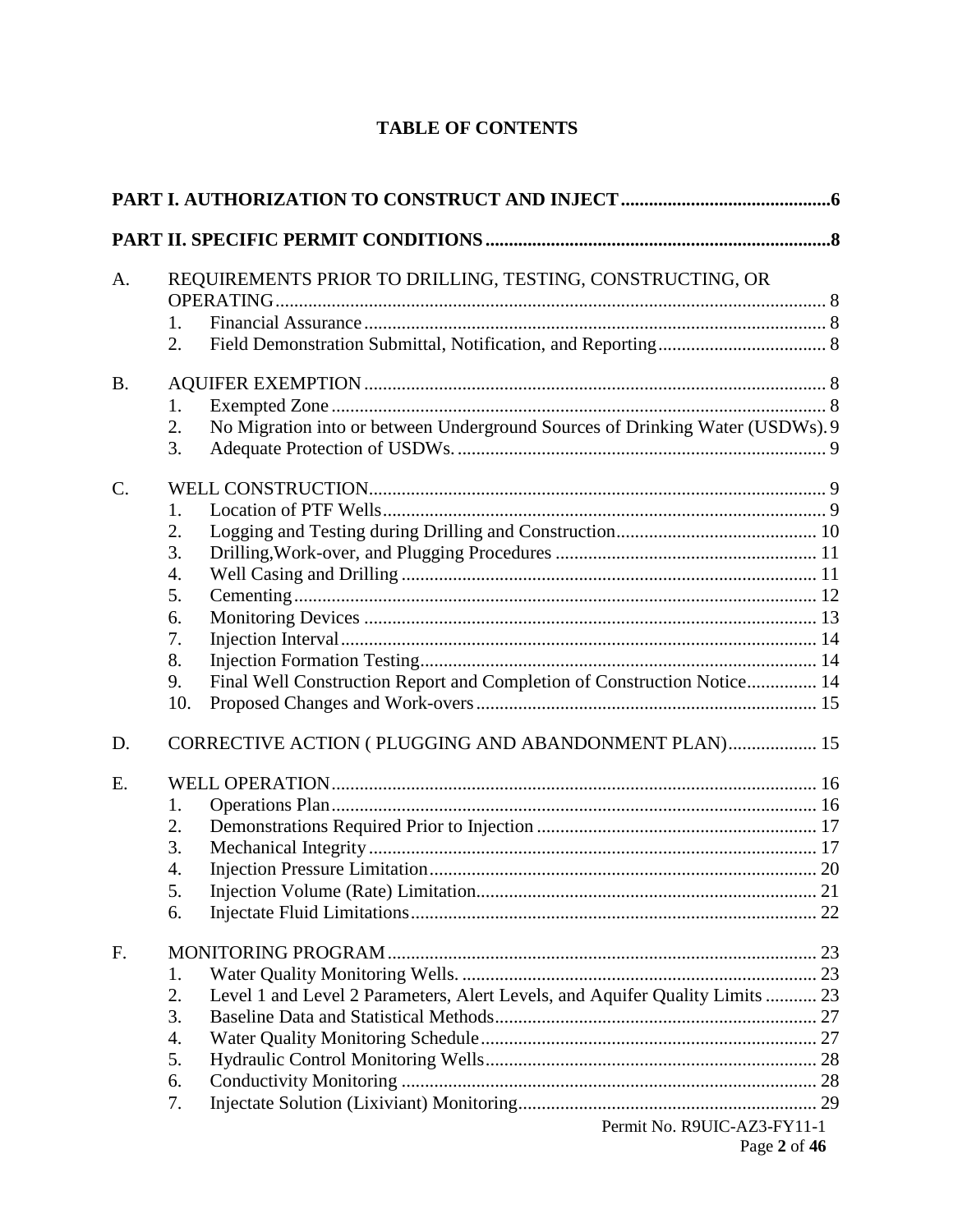# **TABLE OF CONTENTS**

| A.        | REQUIREMENTS PRIOR TO DRILLING, TESTING, CONSTRUCTING, OR                                 |  |
|-----------|-------------------------------------------------------------------------------------------|--|
|           |                                                                                           |  |
|           | 1.<br>2.                                                                                  |  |
| <b>B.</b> |                                                                                           |  |
|           | 1.                                                                                        |  |
|           | No Migration into or between Underground Sources of Drinking Water (USDWs). 9<br>2.<br>3. |  |
| $C$ .     |                                                                                           |  |
|           | 1.                                                                                        |  |
|           | 2.                                                                                        |  |
|           | 3.                                                                                        |  |
|           | 4.                                                                                        |  |
|           | 5.                                                                                        |  |
|           | 6.                                                                                        |  |
|           | 7.<br>8.                                                                                  |  |
|           | Final Well Construction Report and Completion of Construction Notice 14<br>9.             |  |
|           | 10.                                                                                       |  |
| D.        | CORRECTIVE ACTION (PLUGGING AND ABANDONMENT PLAN) 15                                      |  |
| Ε.        |                                                                                           |  |
|           | 1.                                                                                        |  |
|           | 2.                                                                                        |  |
|           | 3.                                                                                        |  |
|           | 4.                                                                                        |  |
|           | 5.                                                                                        |  |
|           | 6.                                                                                        |  |
| F.        |                                                                                           |  |
|           | 1.                                                                                        |  |
|           | Level 1 and Level 2 Parameters, Alert Levels, and Aquifer Quality Limits  23<br>2.        |  |
|           | 3.                                                                                        |  |
|           | 4.                                                                                        |  |
|           | 5.                                                                                        |  |
|           | 6.                                                                                        |  |
|           | 7.<br>$Darmit$ $No$ $DQI$ $IIC$ $A73$ $FV11$ 1                                            |  |
|           |                                                                                           |  |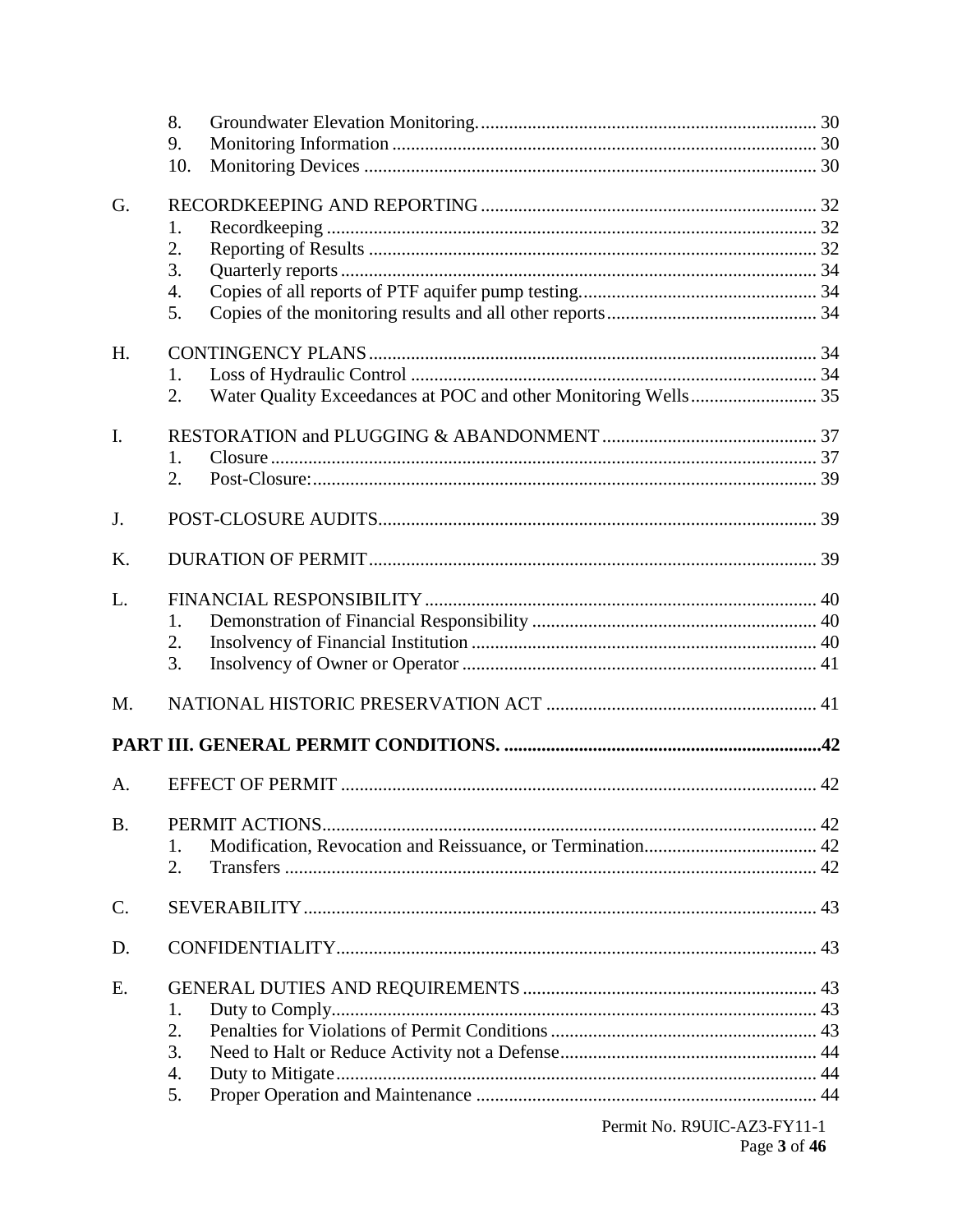|                 | 8.  |  |
|-----------------|-----|--|
|                 | 9.  |  |
|                 | 10. |  |
| G.              |     |  |
|                 | 1.  |  |
|                 | 2.  |  |
|                 | 3.  |  |
|                 | 4.  |  |
|                 | 5.  |  |
| H.              |     |  |
|                 | 1.  |  |
|                 | 2.  |  |
| I.              |     |  |
|                 | 1.  |  |
|                 | 2.  |  |
|                 |     |  |
| J.              |     |  |
| K.              |     |  |
| L.              |     |  |
|                 | 1.  |  |
|                 | 2.  |  |
|                 | 3.  |  |
| M.              |     |  |
|                 |     |  |
| A.              |     |  |
| <b>B.</b>       |     |  |
|                 | 1.  |  |
|                 | 2.  |  |
| $\mathcal{C}$ . |     |  |
| D.              |     |  |
| Ε.              |     |  |
|                 | 1.  |  |
|                 | 2.  |  |
|                 | 3.  |  |
|                 | 4.  |  |
|                 | 5.  |  |
|                 |     |  |

Permit No. R9UIC-AZ3-FY11-1 Page 3 of 46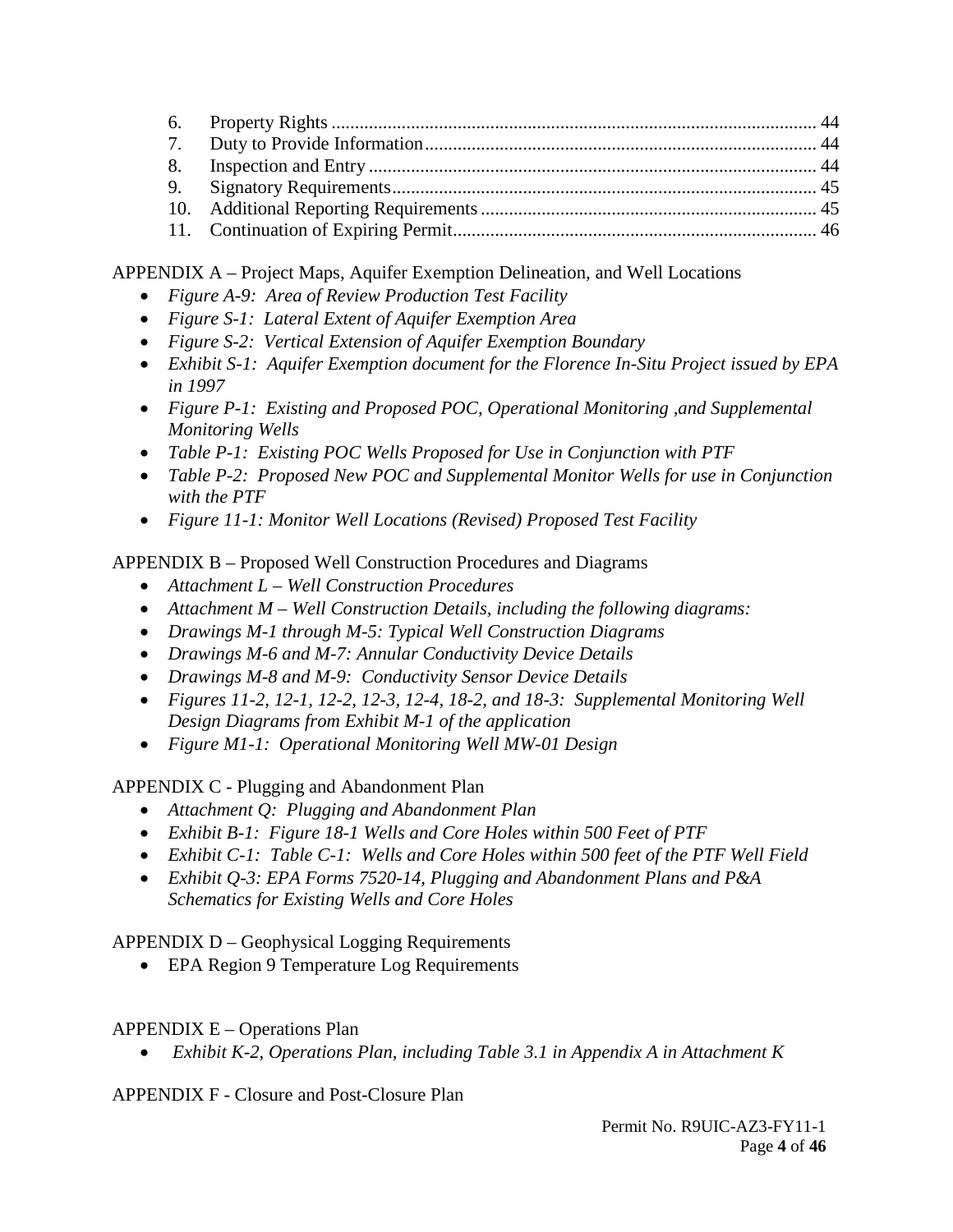APPENDIX A – Project Maps, Aquifer Exemption Delineation, and Well Locations

- *Figure A-9: Area of Review Production Test Facility*
- *Figure S-1: Lateral Extent of Aquifer Exemption Area*
- *Figure S-2: Vertical Extension of Aquifer Exemption Boundary*
- *Exhibit S-1: Aquifer Exemption document for the Florence In-Situ Project issued by EPA in 1997*
- *Figure P-1: Existing and Proposed POC, Operational Monitoring ,and Supplemental Monitoring Wells*
- *Table P-1: Existing POC Wells Proposed for Use in Conjunction with PTF*
- *Table P-2: Proposed New POC and Supplemental Monitor Wells for use in Conjunction with the PTF*
- *Figure 11-1: Monitor Well Locations (Revised) Proposed Test Facility*

APPENDIX B – Proposed Well Construction Procedures and Diagrams

- *Attachment L Well Construction Procedures*
- *Attachment M Well Construction Details, including the following diagrams:*
- *Drawings M-1 through M-5: Typical Well Construction Diagrams*
- *Drawings M-6 and M-7: Annular Conductivity Device Details*
- *Drawings M-8 and M-9: Conductivity Sensor Device Details*
- *Figures 11-2, 12-1, 12-2, 12-3, 12-4, 18-2, and 18-3: Supplemental Monitoring Well Design Diagrams from Exhibit M-1 of the application*
- *Figure M1-1: Operational Monitoring Well MW-01 Design*

APPENDIX C - Plugging and Abandonment Plan

- *Attachment Q: Plugging and Abandonment Plan*
- *Exhibit B-1: Figure 18-1 Wells and Core Holes within 500 Feet of PTF*
- *Exhibit C-1: Table C-1: Wells and Core Holes within 500 feet of the PTF Well Field*
- *Exhibit Q-3: EPA Forms 7520-14, Plugging and Abandonment Plans and P&A Schematics for Existing Wells and Core Holes*

APPENDIX D – Geophysical Logging Requirements

• EPA Region 9 Temperature Log Requirements

# APPENDIX E – Operations Plan

• *Exhibit K-2, Operations Plan, including Table 3.1 in Appendix A in Attachment K*

APPENDIX F - Closure and Post-Closure Plan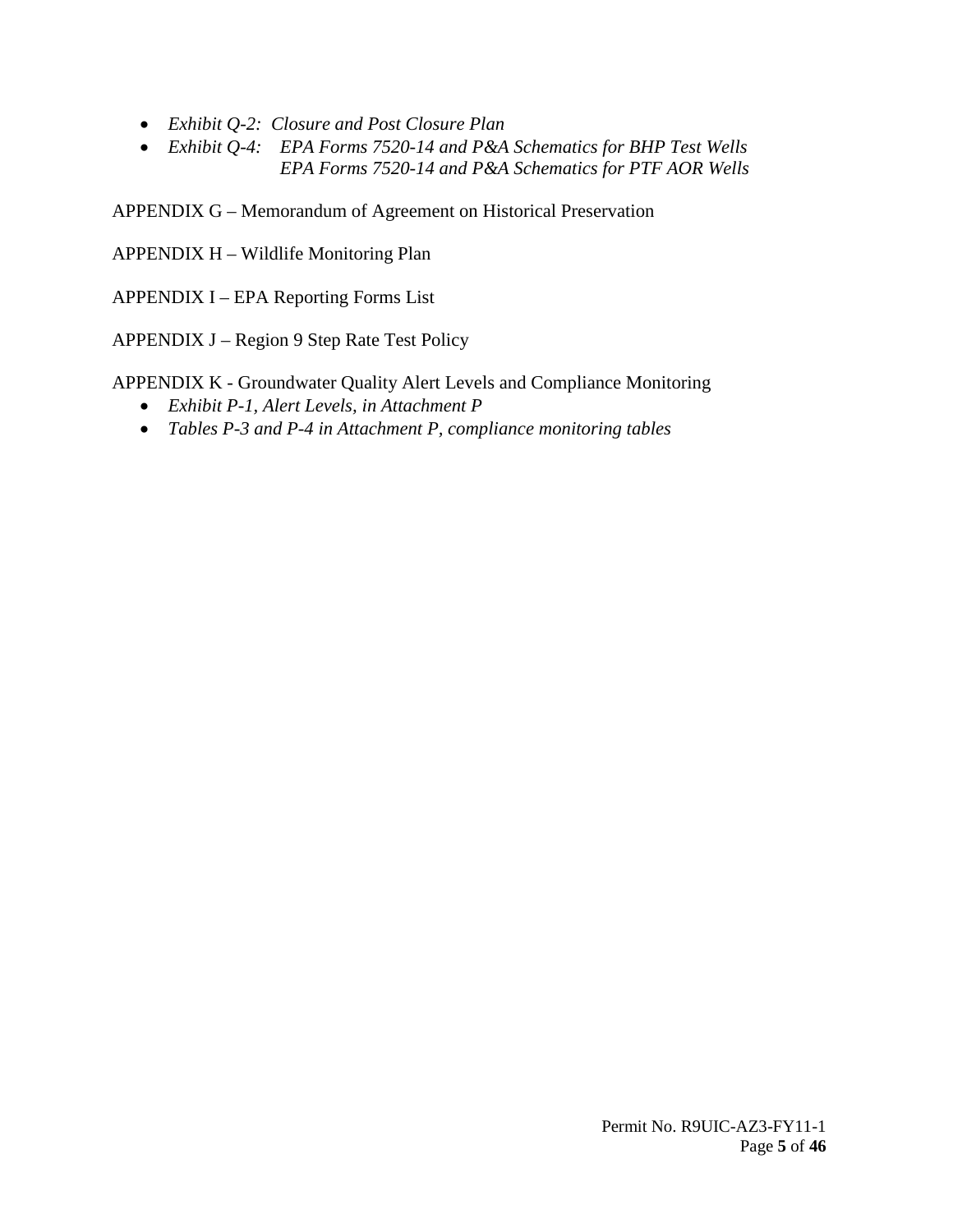- *Exhibit Q-2: Closure and Post Closure Plan*
- *Exhibit Q-4: EPA Forms 7520-14 and P&A Schematics for BHP Test Wells EPA Forms 7520-14 and P&A Schematics for PTF AOR Wells*

APPENDIX G – Memorandum of Agreement on Historical Preservation

APPENDIX H – Wildlife Monitoring Plan

APPENDIX I – EPA Reporting Forms List

APPENDIX J – Region 9 Step Rate Test Policy

APPENDIX K - Groundwater Quality Alert Levels and Compliance Monitoring

- *Exhibit P-1, Alert Levels, in Attachment P*
- *Tables P-3 and P-4 in Attachment P, compliance monitoring tables*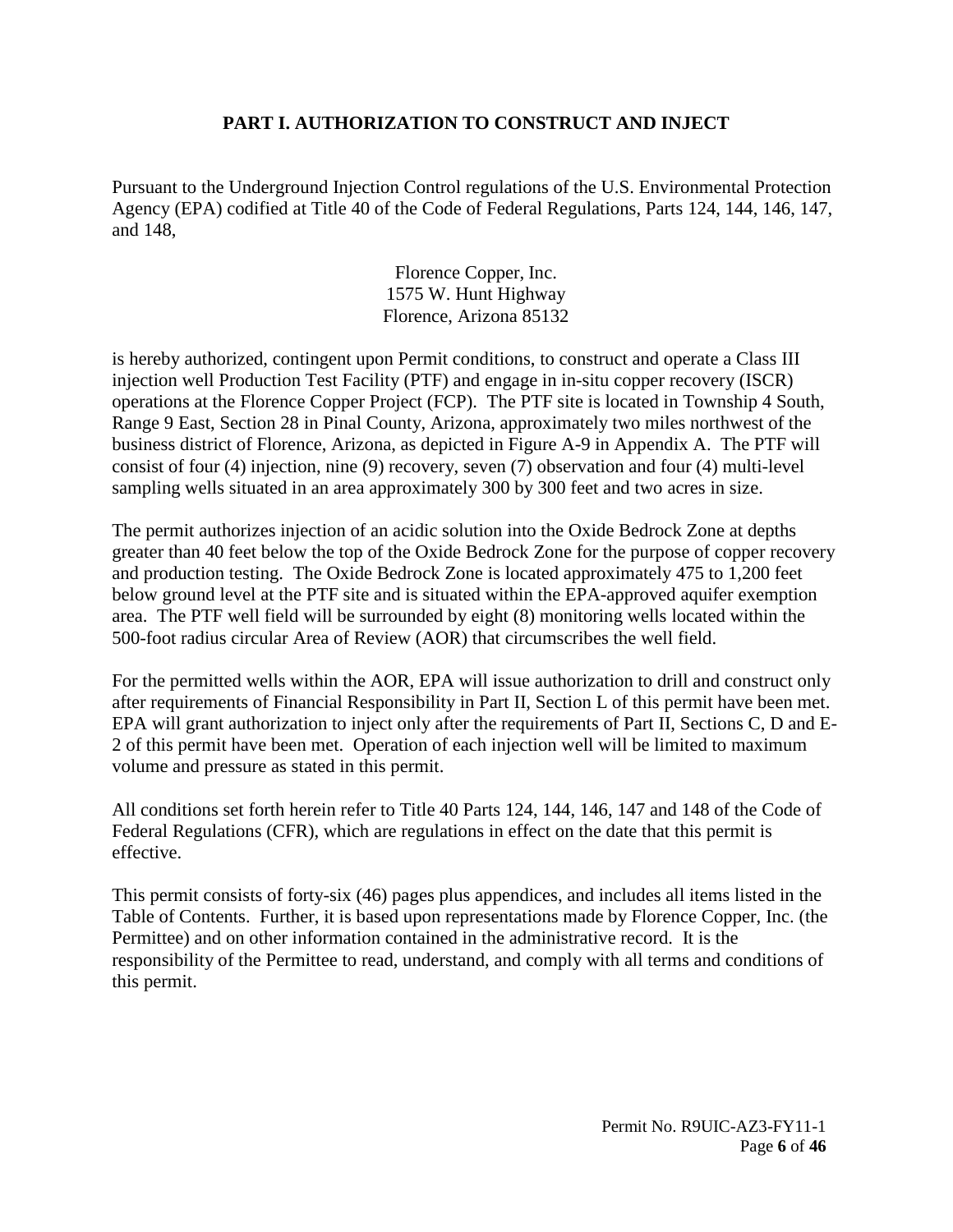#### **PART I. AUTHORIZATION TO CONSTRUCT AND INJECT**

<span id="page-5-0"></span>Pursuant to the Underground Injection Control regulations of the U.S. Environmental Protection Agency (EPA) codified at Title 40 of the Code of Federal Regulations, Parts 124, 144, 146, 147, and 148,

> Florence Copper, Inc. 1575 W. Hunt Highway Florence, Arizona 85132

is hereby authorized, contingent upon Permit conditions, to construct and operate a Class III injection well Production Test Facility (PTF) and engage in in-situ copper recovery (ISCR) operations at the Florence Copper Project (FCP). The PTF site is located in Township 4 South, Range 9 East, Section 28 in Pinal County, Arizona, approximately two miles northwest of the business district of Florence, Arizona, as depicted in Figure A-9 in Appendix A. The PTF will consist of four (4) injection, nine (9) recovery, seven (7) observation and four (4) multi-level sampling wells situated in an area approximately 300 by 300 feet and two acres in size.

The permit authorizes injection of an acidic solution into the Oxide Bedrock Zone at depths greater than 40 feet below the top of the Oxide Bedrock Zone for the purpose of copper recovery and production testing. The Oxide Bedrock Zone is located approximately 475 to 1,200 feet below ground level at the PTF site and is situated within the EPA-approved aquifer exemption area. The PTF well field will be surrounded by eight (8) monitoring wells located within the 500-foot radius circular Area of Review (AOR) that circumscribes the well field.

For the permitted wells within the AOR, EPA will issue authorization to drill and construct only after requirements of Financial Responsibility in Part II, Section L of this permit have been met. EPA will grant authorization to inject only after the requirements of Part II, Sections C, D and E-2 of this permit have been met. Operation of each injection well will be limited to maximum volume and pressure as stated in this permit.

All conditions set forth herein refer to Title 40 Parts 124, 144, 146, 147 and 148 of the Code of Federal Regulations (CFR), which are regulations in effect on the date that this permit is effective.

This permit consists of forty-six (46) pages plus appendices, and includes all items listed in the Table of Contents. Further, it is based upon representations made by Florence Copper, Inc. (the Permittee) and on other information contained in the administrative record. It is the responsibility of the Permittee to read, understand, and comply with all terms and conditions of this permit.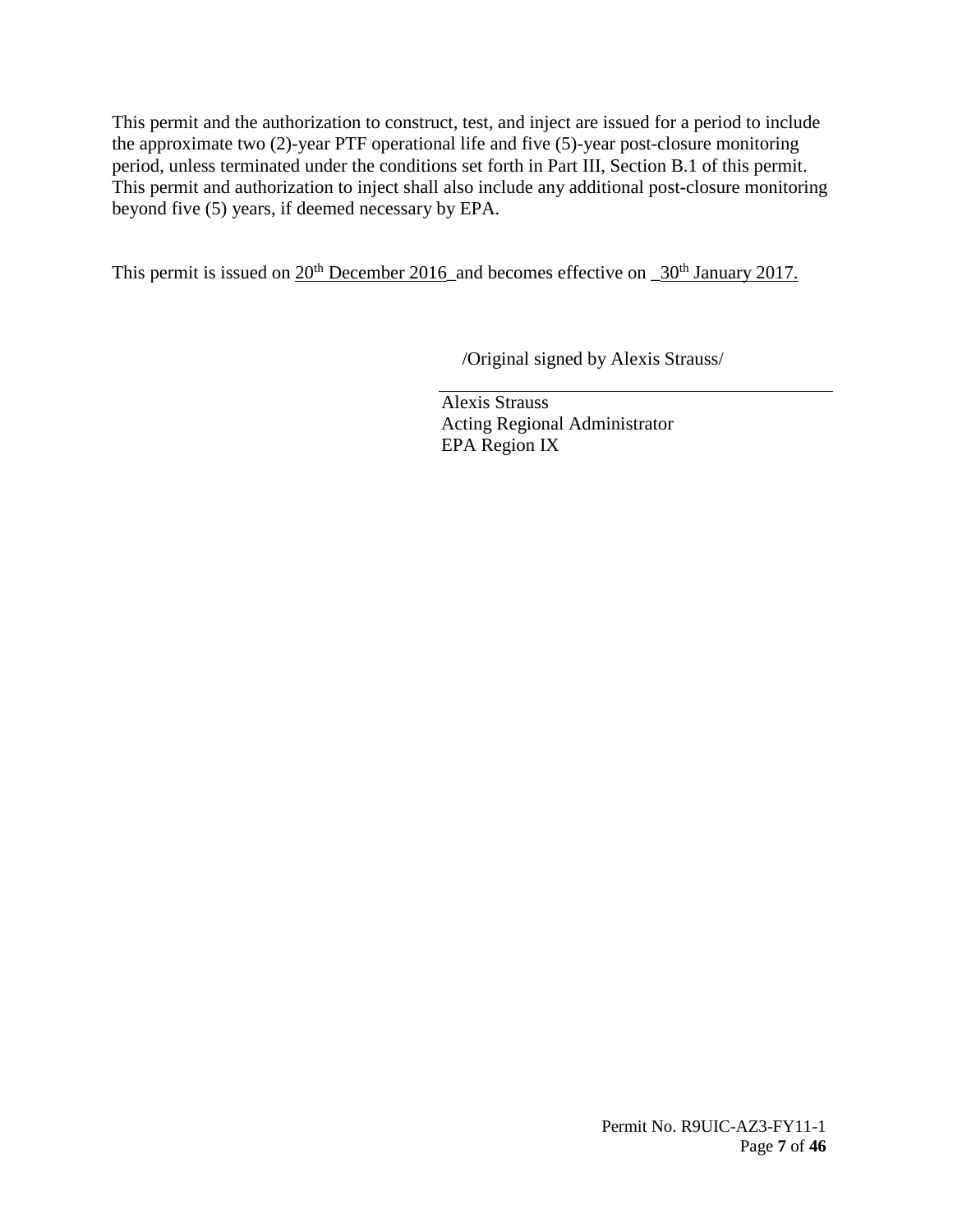This permit and the authorization to construct, test, and inject are issued for a period to include the approximate two (2)-year PTF operational life and five (5)-year post-closure monitoring period, unless terminated under the conditions set forth in Part III, Section B.1 of this permit. This permit and authorization to inject shall also include any additional post-closure monitoring beyond five (5) years, if deemed necessary by EPA.

This permit is issued on 20<sup>th</sup> December 2016\_and becomes effective on \_30<sup>th</sup> January 2017.

/Original signed by Alexis Strauss/

Alexis Strauss Acting Regional Administrator EPA Region IX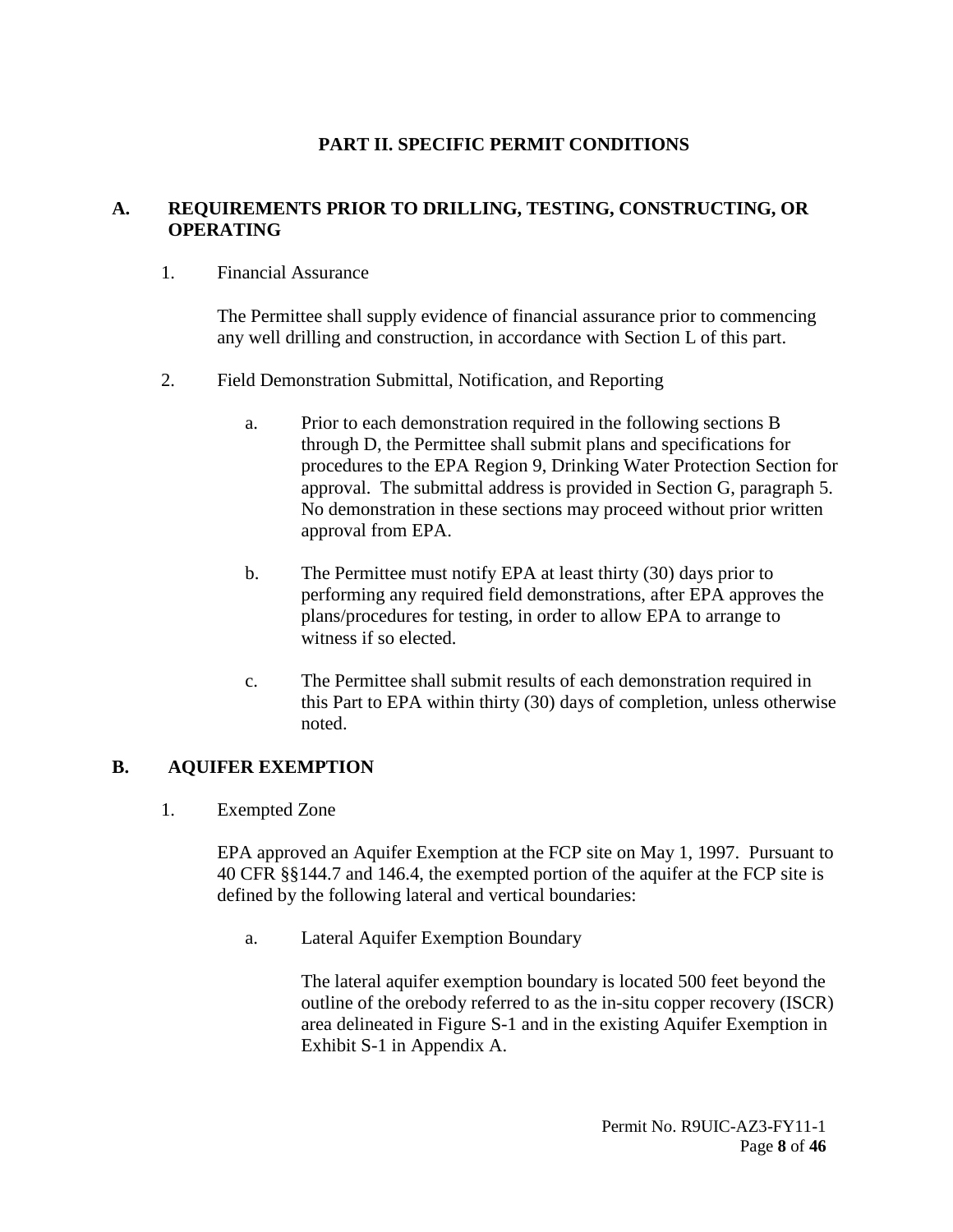# **PART II. SPECIFIC PERMIT CONDITIONS**

#### <span id="page-7-1"></span><span id="page-7-0"></span>**A. REQUIREMENTS PRIOR TO DRILLING, TESTING, CONSTRUCTING, OR OPERATING**

<span id="page-7-2"></span>1. Financial Assurance

The Permittee shall supply evidence of financial assurance prior to commencing any well drilling and construction, in accordance with Section L of this part.

- <span id="page-7-3"></span>2. Field Demonstration Submittal, Notification, and Reporting
	- a. Prior to each demonstration required in the following sections B through D, the Permittee shall submit plans and specifications for procedures to the EPA Region 9, Drinking Water Protection Section for approval. The submittal address is provided in Section G, paragraph 5. No demonstration in these sections may proceed without prior written approval from EPA.
	- b. The Permittee must notify EPA at least thirty (30) days prior to performing any required field demonstrations, after EPA approves the plans/procedures for testing, in order to allow EPA to arrange to witness if so elected.
	- c. The Permittee shall submit results of each demonstration required in this Part to EPA within thirty (30) days of completion, unless otherwise noted.

#### <span id="page-7-5"></span><span id="page-7-4"></span>**B. AQUIFER EXEMPTION**

1. Exempted Zone

EPA approved an Aquifer Exemption at the FCP site on May 1, 1997. Pursuant to 40 CFR §§144.7 and 146.4, the exempted portion of the aquifer at the FCP site is defined by the following lateral and vertical boundaries:

a. Lateral Aquifer Exemption Boundary

The lateral aquifer exemption boundary is located 500 feet beyond the outline of the orebody referred to as the in-situ copper recovery (ISCR) area delineated in Figure S-1 and in the existing Aquifer Exemption in Exhibit S-1 in Appendix A.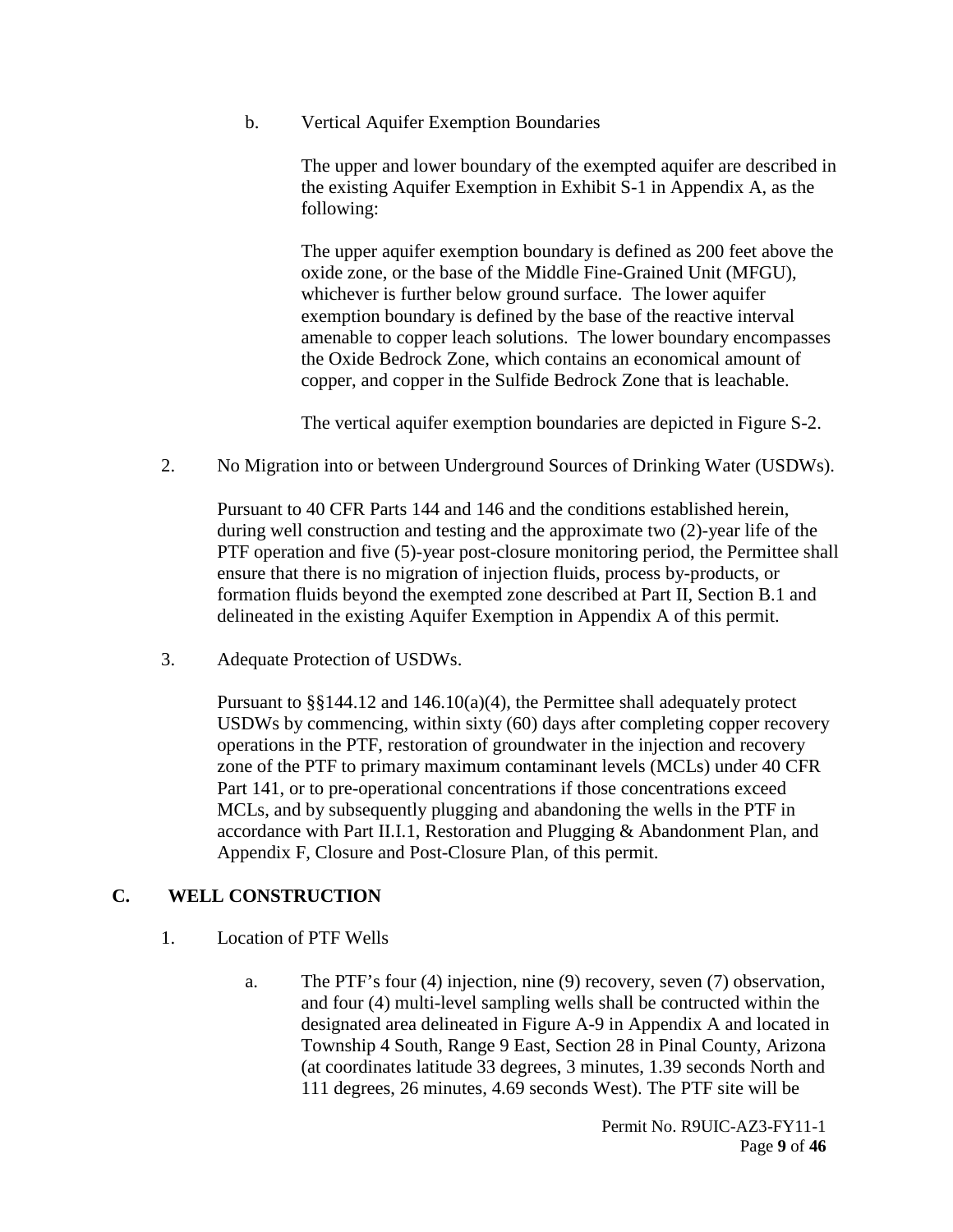b. Vertical Aquifer Exemption Boundaries

The upper and lower boundary of the exempted aquifer are described in the existing Aquifer Exemption in Exhibit S-1 in Appendix A, as the following:

The upper aquifer exemption boundary is defined as 200 feet above the oxide zone, or the base of the Middle Fine-Grained Unit (MFGU), whichever is further below ground surface. The lower aquifer exemption boundary is defined by the base of the reactive interval amenable to copper leach solutions. The lower boundary encompasses the Oxide Bedrock Zone, which contains an economical amount of copper, and copper in the Sulfide Bedrock Zone that is leachable.

The vertical aquifer exemption boundaries are depicted in Figure S-2.

<span id="page-8-0"></span>2. No Migration into or between Underground Sources of Drinking Water (USDWs).

Pursuant to 40 CFR Parts 144 and 146 and the conditions established herein, during well construction and testing and the approximate two (2)-year life of the PTF operation and five (5)-year post-closure monitoring period, the Permittee shall ensure that there is no migration of injection fluids, process by-products, or formation fluids beyond the exempted zone described at Part II, Section B.1 and delineated in the existing Aquifer Exemption in Appendix A of this permit.

<span id="page-8-1"></span>3. Adequate Protection of USDWs.

Pursuant to §§144.12 and 146.10(a)(4), the Permittee shall adequately protect USDWs by commencing, within sixty (60) days after completing copper recovery operations in the PTF, restoration of groundwater in the injection and recovery zone of the PTF to primary maximum contaminant levels (MCLs) under 40 CFR Part 141, or to pre-operational concentrations if those concentrations exceed MCLs, and by subsequently plugging and abandoning the wells in the PTF in accordance with Part II.I.1, Restoration and Plugging & Abandonment Plan, and Appendix F, Closure and Post-Closure Plan, of this permit.

#### <span id="page-8-3"></span><span id="page-8-2"></span>**C. WELL CONSTRUCTION**

- 1. Location of PTF Wells
	- a. The PTF's four (4) injection, nine (9) recovery, seven (7) observation, and four (4) multi-level sampling wells shall be contructed within the designated area delineated in Figure A-9 in Appendix A and located in Township 4 South, Range 9 East, Section 28 in Pinal County, Arizona (at coordinates latitude 33 degrees, 3 minutes, 1.39 seconds North and 111 degrees, 26 minutes, 4.69 seconds West). The PTF site will be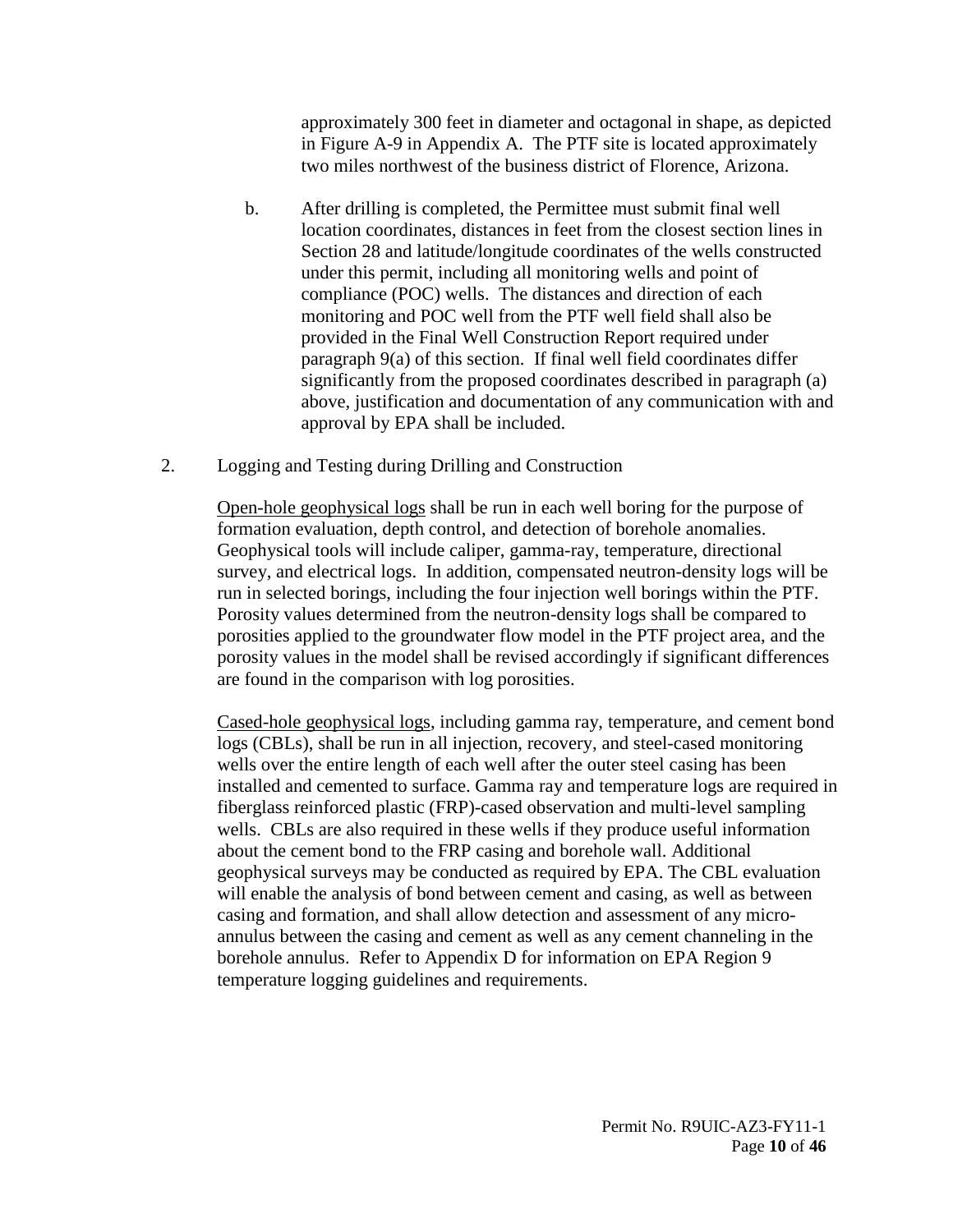approximately 300 feet in diameter and octagonal in shape, as depicted in Figure A-9 in Appendix A. The PTF site is located approximately two miles northwest of the business district of Florence, Arizona.

- b. After drilling is completed, the Permittee must submit final well location coordinates, distances in feet from the closest section lines in Section 28 and latitude/longitude coordinates of the wells constructed under this permit, including all monitoring wells and point of compliance (POC) wells. The distances and direction of each monitoring and POC well from the PTF well field shall also be provided in the Final Well Construction Report required under paragraph 9(a) of this section. If final well field coordinates differ significantly from the proposed coordinates described in paragraph (a) above, justification and documentation of any communication with and approval by EPA shall be included.
- <span id="page-9-0"></span>2. Logging and Testing during Drilling and Construction

Open-hole geophysical logs shall be run in each well boring for the purpose of formation evaluation, depth control, and detection of borehole anomalies. Geophysical tools will include caliper, gamma-ray, temperature, directional survey, and electrical logs. In addition, compensated neutron-density logs will be run in selected borings, including the four injection well borings within the PTF. Porosity values determined from the neutron-density logs shall be compared to porosities applied to the groundwater flow model in the PTF project area, and the porosity values in the model shall be revised accordingly if significant differences are found in the comparison with log porosities.

Cased-hole geophysical logs, including gamma ray, temperature, and cement bond logs (CBLs), shall be run in all injection, recovery, and steel-cased monitoring wells over the entire length of each well after the outer steel casing has been installed and cemented to surface. Gamma ray and temperature logs are required in fiberglass reinforced plastic (FRP)-cased observation and multi-level sampling wells. CBLs are also required in these wells if they produce useful information about the cement bond to the FRP casing and borehole wall. Additional geophysical surveys may be conducted as required by EPA. The CBL evaluation will enable the analysis of bond between cement and casing, as well as between casing and formation, and shall allow detection and assessment of any microannulus between the casing and cement as well as any cement channeling in the borehole annulus. Refer to Appendix D for information on EPA Region 9 temperature logging guidelines and requirements.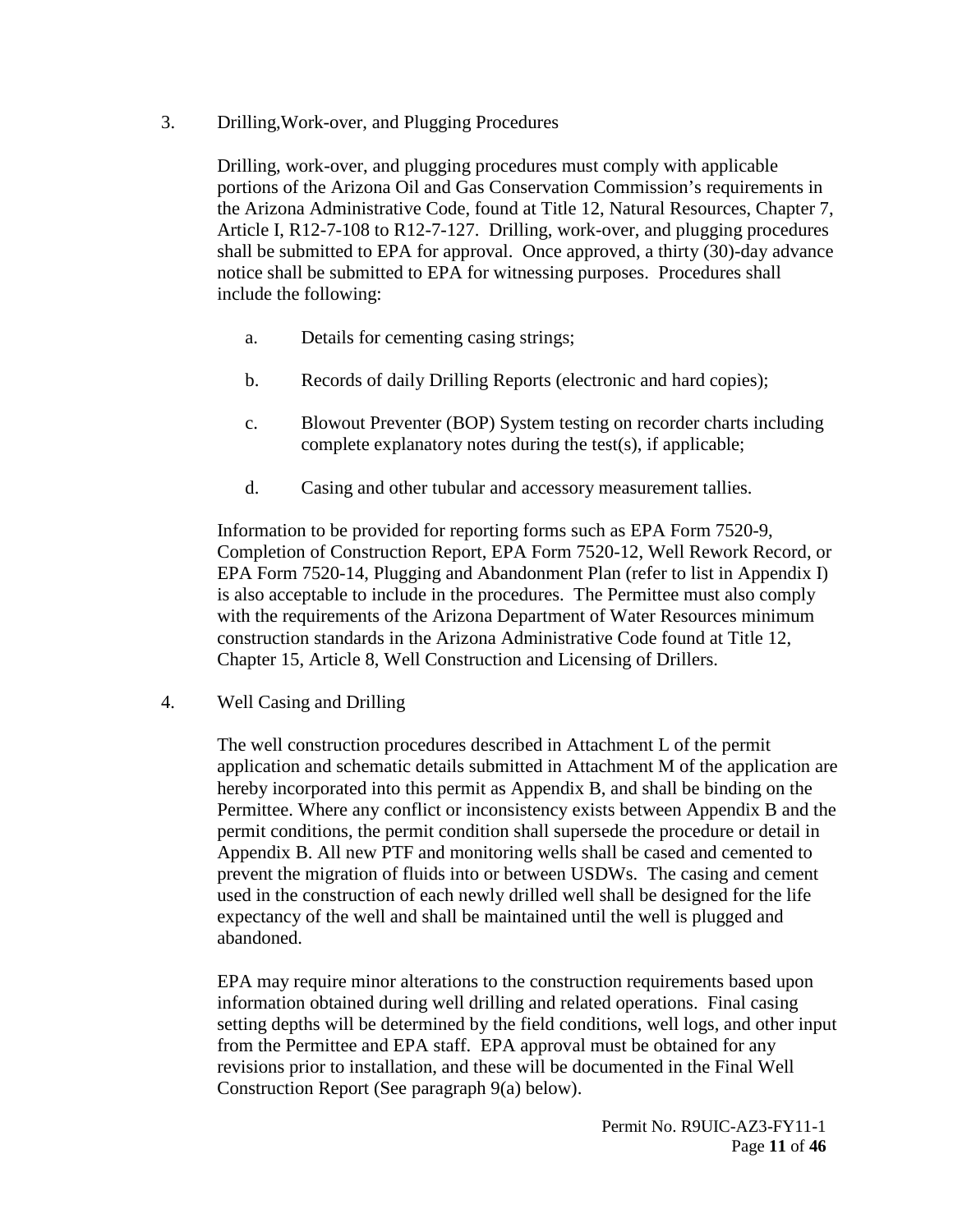<span id="page-10-0"></span>3. Drilling,Work-over, and Plugging Procedures

Drilling, work-over, and plugging procedures must comply with applicable portions of the Arizona Oil and Gas Conservation Commission's requirements in the Arizona Administrative Code, found at Title 12, Natural Resources, Chapter 7, Article I, R12-7-108 to R12-7-127. Drilling, work-over, and plugging procedures shall be submitted to EPA for approval. Once approved, a thirty (30)-day advance notice shall be submitted to EPA for witnessing purposes. Procedures shall include the following:

- a. Details for cementing casing strings;
- b. Records of daily Drilling Reports (electronic and hard copies);
- c. Blowout Preventer (BOP) System testing on recorder charts including complete explanatory notes during the test(s), if applicable;
- d. Casing and other tubular and accessory measurement tallies.

Information to be provided for reporting forms such as EPA Form 7520-9, Completion of Construction Report, EPA Form 7520-12, Well Rework Record, or EPA Form 7520-14, Plugging and Abandonment Plan (refer to list in Appendix I) is also acceptable to include in the procedures. The Permittee must also comply with the requirements of the Arizona Department of Water Resources minimum construction standards in the Arizona Administrative Code found at Title 12, Chapter 15, Article 8, Well Construction and Licensing of Drillers.

<span id="page-10-1"></span>4. Well Casing and Drilling

The well construction procedures described in Attachment L of the permit application and schematic details submitted in Attachment M of the application are hereby incorporated into this permit as Appendix B, and shall be binding on the Permittee. Where any conflict or inconsistency exists between Appendix B and the permit conditions, the permit condition shall supersede the procedure or detail in Appendix B. All new PTF and monitoring wells shall be cased and cemented to prevent the migration of fluids into or between USDWs. The casing and cement used in the construction of each newly drilled well shall be designed for the life expectancy of the well and shall be maintained until the well is plugged and abandoned.

EPA may require minor alterations to the construction requirements based upon information obtained during well drilling and related operations. Final casing setting depths will be determined by the field conditions, well logs, and other input from the Permittee and EPA staff. EPA approval must be obtained for any revisions prior to installation, and these will be documented in the Final Well Construction Report (See paragraph 9(a) below).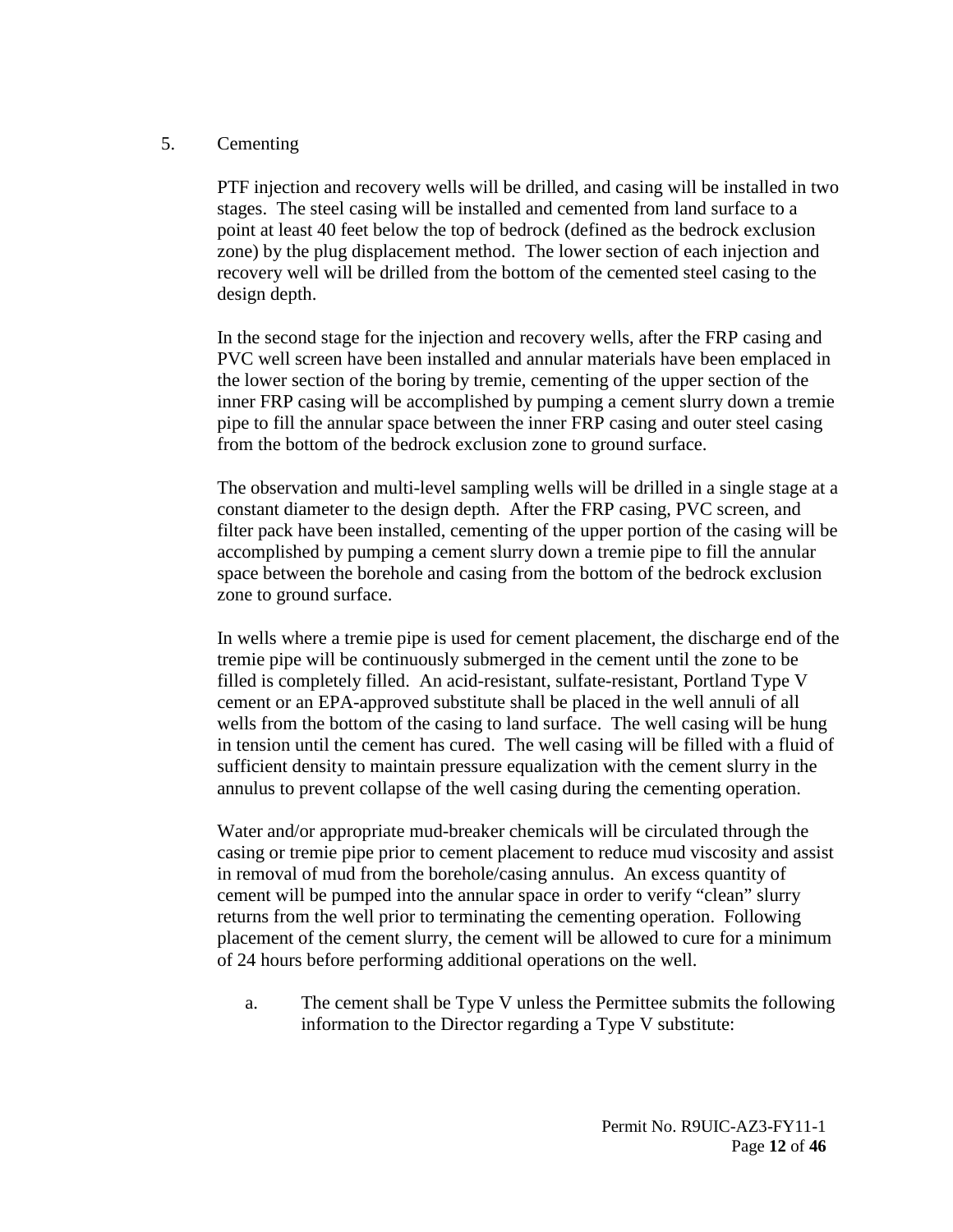#### <span id="page-11-0"></span>5. Cementing

PTF injection and recovery wells will be drilled, and casing will be installed in two stages. The steel casing will be installed and cemented from land surface to a point at least 40 feet below the top of bedrock (defined as the bedrock exclusion zone) by the plug displacement method. The lower section of each injection and recovery well will be drilled from the bottom of the cemented steel casing to the design depth.

In the second stage for the injection and recovery wells, after the FRP casing and PVC well screen have been installed and annular materials have been emplaced in the lower section of the boring by tremie, cementing of the upper section of the inner FRP casing will be accomplished by pumping a cement slurry down a tremie pipe to fill the annular space between the inner FRP casing and outer steel casing from the bottom of the bedrock exclusion zone to ground surface.

The observation and multi-level sampling wells will be drilled in a single stage at a constant diameter to the design depth. After the FRP casing, PVC screen, and filter pack have been installed, cementing of the upper portion of the casing will be accomplished by pumping a cement slurry down a tremie pipe to fill the annular space between the borehole and casing from the bottom of the bedrock exclusion zone to ground surface.

In wells where a tremie pipe is used for cement placement, the discharge end of the tremie pipe will be continuously submerged in the cement until the zone to be filled is completely filled. An acid-resistant, sulfate-resistant, Portland Type V cement or an EPA-approved substitute shall be placed in the well annuli of all wells from the bottom of the casing to land surface. The well casing will be hung in tension until the cement has cured. The well casing will be filled with a fluid of sufficient density to maintain pressure equalization with the cement slurry in the annulus to prevent collapse of the well casing during the cementing operation.

Water and/or appropriate mud-breaker chemicals will be circulated through the casing or tremie pipe prior to cement placement to reduce mud viscosity and assist in removal of mud from the borehole/casing annulus. An excess quantity of cement will be pumped into the annular space in order to verify "clean" slurry returns from the well prior to terminating the cementing operation. Following placement of the cement slurry, the cement will be allowed to cure for a minimum of 24 hours before performing additional operations on the well.

a. The cement shall be Type V unless the Permittee submits the following information to the Director regarding a Type V substitute: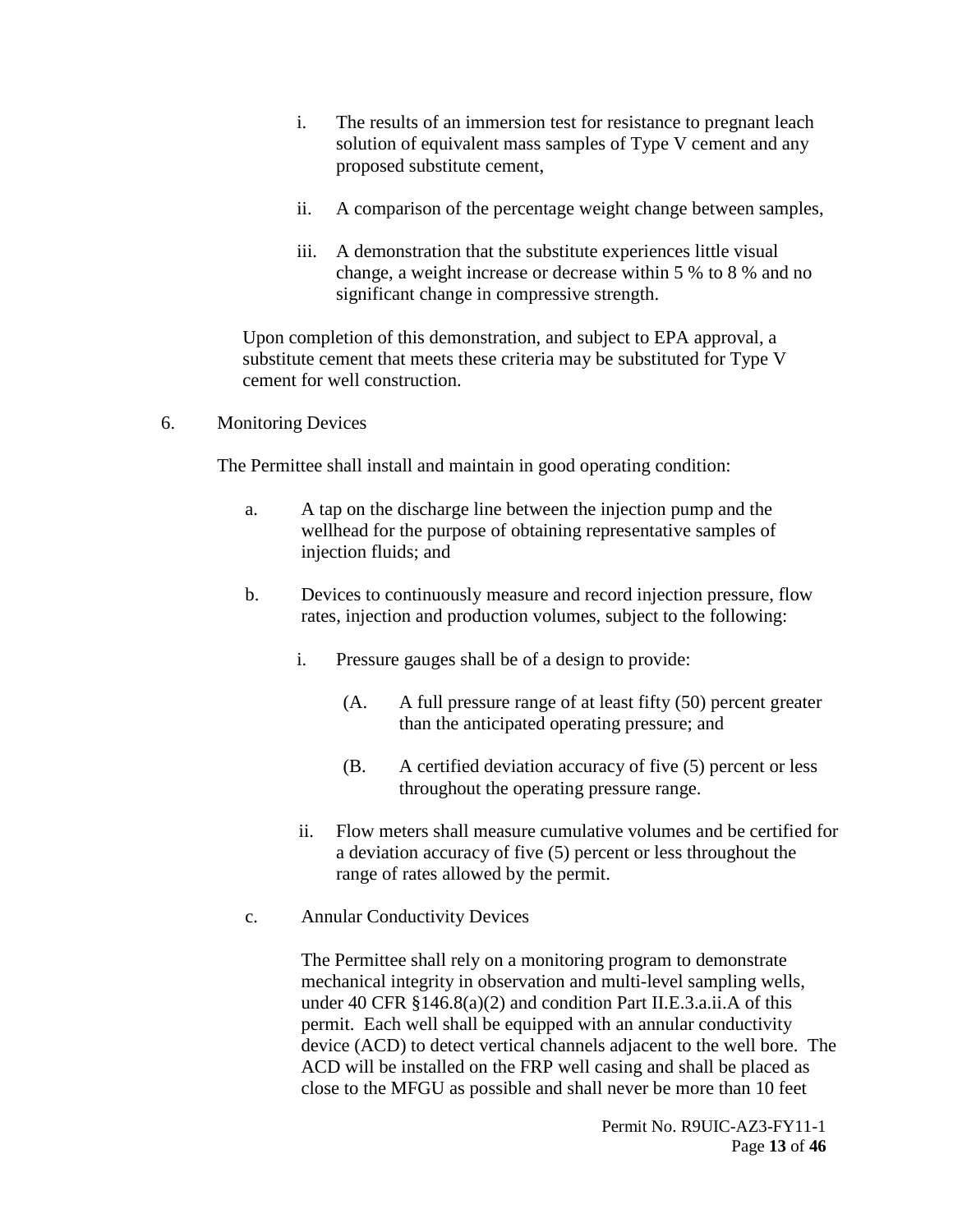- i. The results of an immersion test for resistance to pregnant leach solution of equivalent mass samples of Type V cement and any proposed substitute cement,
- ii. A comparison of the percentage weight change between samples,
- iii. A demonstration that the substitute experiences little visual change, a weight increase or decrease within 5 % to 8 % and no significant change in compressive strength.

Upon completion of this demonstration, and subject to EPA approval, a substitute cement that meets these criteria may be substituted for Type V cement for well construction.

<span id="page-12-0"></span>6. Monitoring Devices

The Permittee shall install and maintain in good operating condition:

- a. A tap on the discharge line between the injection pump and the wellhead for the purpose of obtaining representative samples of injection fluids; and
- b. Devices to continuously measure and record injection pressure, flow rates, injection and production volumes, subject to the following:
	- i. Pressure gauges shall be of a design to provide:
		- (A. A full pressure range of at least fifty (50) percent greater than the anticipated operating pressure; and
		- (B. A certified deviation accuracy of five (5) percent or less throughout the operating pressure range.
	- ii. Flow meters shall measure cumulative volumes and be certified for a deviation accuracy of five (5) percent or less throughout the range of rates allowed by the permit.
- c. Annular Conductivity Devices

The Permittee shall rely on a monitoring program to demonstrate mechanical integrity in observation and multi-level sampling wells, under 40 CFR §146.8(a)(2) and condition Part II.E.3.a.ii.A of this permit. Each well shall be equipped with an annular conductivity device (ACD) to detect vertical channels adjacent to the well bore. The ACD will be installed on the FRP well casing and shall be placed as close to the MFGU as possible and shall never be more than 10 feet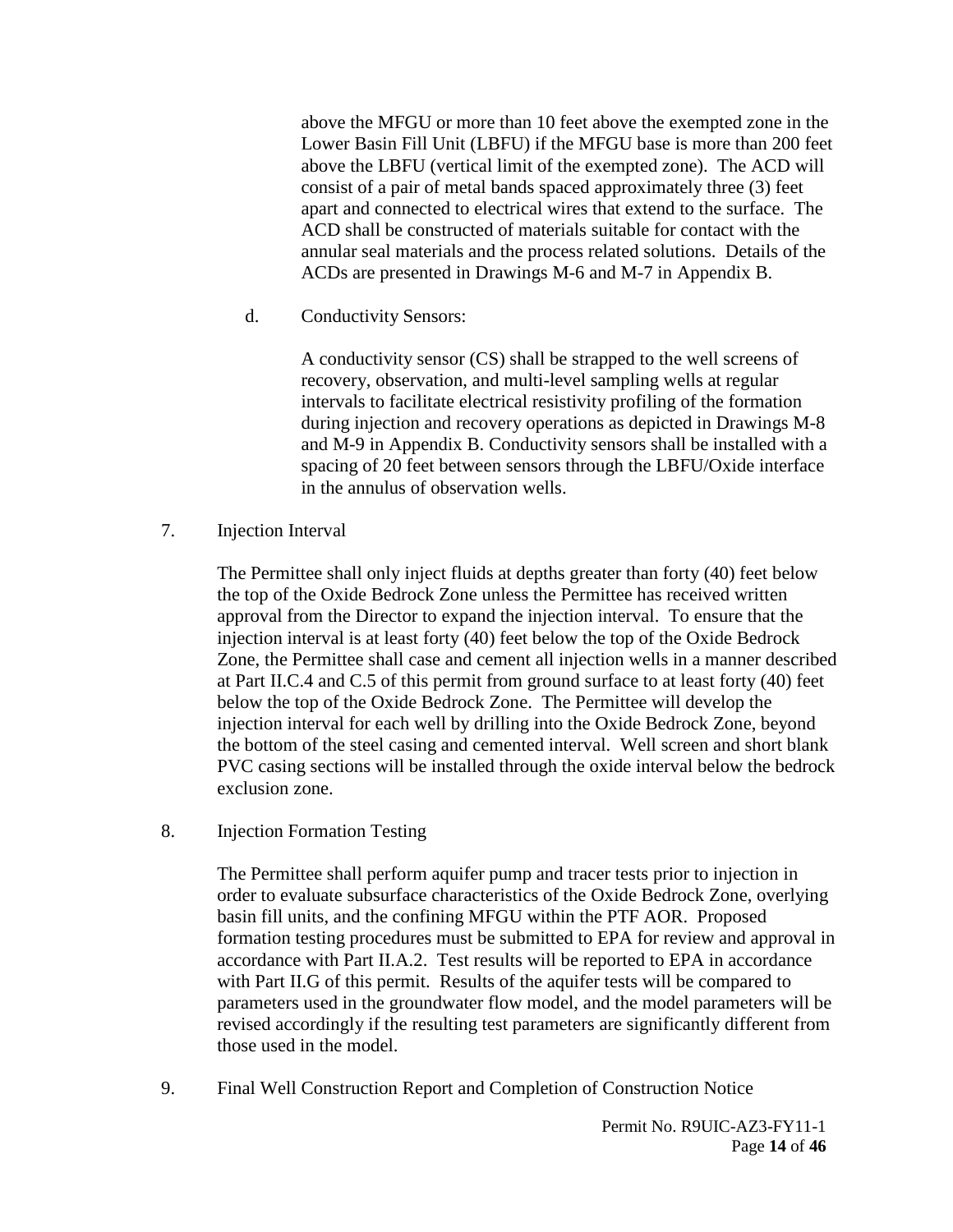above the MFGU or more than 10 feet above the exempted zone in the Lower Basin Fill Unit (LBFU) if the MFGU base is more than 200 feet above the LBFU (vertical limit of the exempted zone). The ACD will consist of a pair of metal bands spaced approximately three (3) feet apart and connected to electrical wires that extend to the surface. The ACD shall be constructed of materials suitable for contact with the annular seal materials and the process related solutions. Details of the ACDs are presented in Drawings M-6 and M-7 in Appendix B.

d. Conductivity Sensors:

A conductivity sensor (CS) shall be strapped to the well screens of recovery, observation, and multi-level sampling wells at regular intervals to facilitate electrical resistivity profiling of the formation during injection and recovery operations as depicted in Drawings M-8 and M-9 in Appendix B. Conductivity sensors shall be installed with a spacing of 20 feet between sensors through the LBFU/Oxide interface in the annulus of observation wells.

<span id="page-13-0"></span>7. Injection Interval

The Permittee shall only inject fluids at depths greater than forty (40) feet below the top of the Oxide Bedrock Zone unless the Permittee has received written approval from the Director to expand the injection interval. To ensure that the injection interval is at least forty (40) feet below the top of the Oxide Bedrock Zone, the Permittee shall case and cement all injection wells in a manner described at Part II.C.4 and C.5 of this permit from ground surface to at least forty (40) feet below the top of the Oxide Bedrock Zone. The Permittee will develop the injection interval for each well by drilling into the Oxide Bedrock Zone, beyond the bottom of the steel casing and cemented interval. Well screen and short blank PVC casing sections will be installed through the oxide interval below the bedrock exclusion zone.

<span id="page-13-1"></span>8. Injection Formation Testing

The Permittee shall perform aquifer pump and tracer tests prior to injection in order to evaluate subsurface characteristics of the Oxide Bedrock Zone, overlying basin fill units, and the confining MFGU within the PTF AOR. Proposed formation testing procedures must be submitted to EPA for review and approval in accordance with Part II.A.2. Test results will be reported to EPA in accordance with Part II.G of this permit. Results of the aquifer tests will be compared to parameters used in the groundwater flow model, and the model parameters will be revised accordingly if the resulting test parameters are significantly different from those used in the model.

<span id="page-13-2"></span>9. Final Well Construction Report and Completion of Construction Notice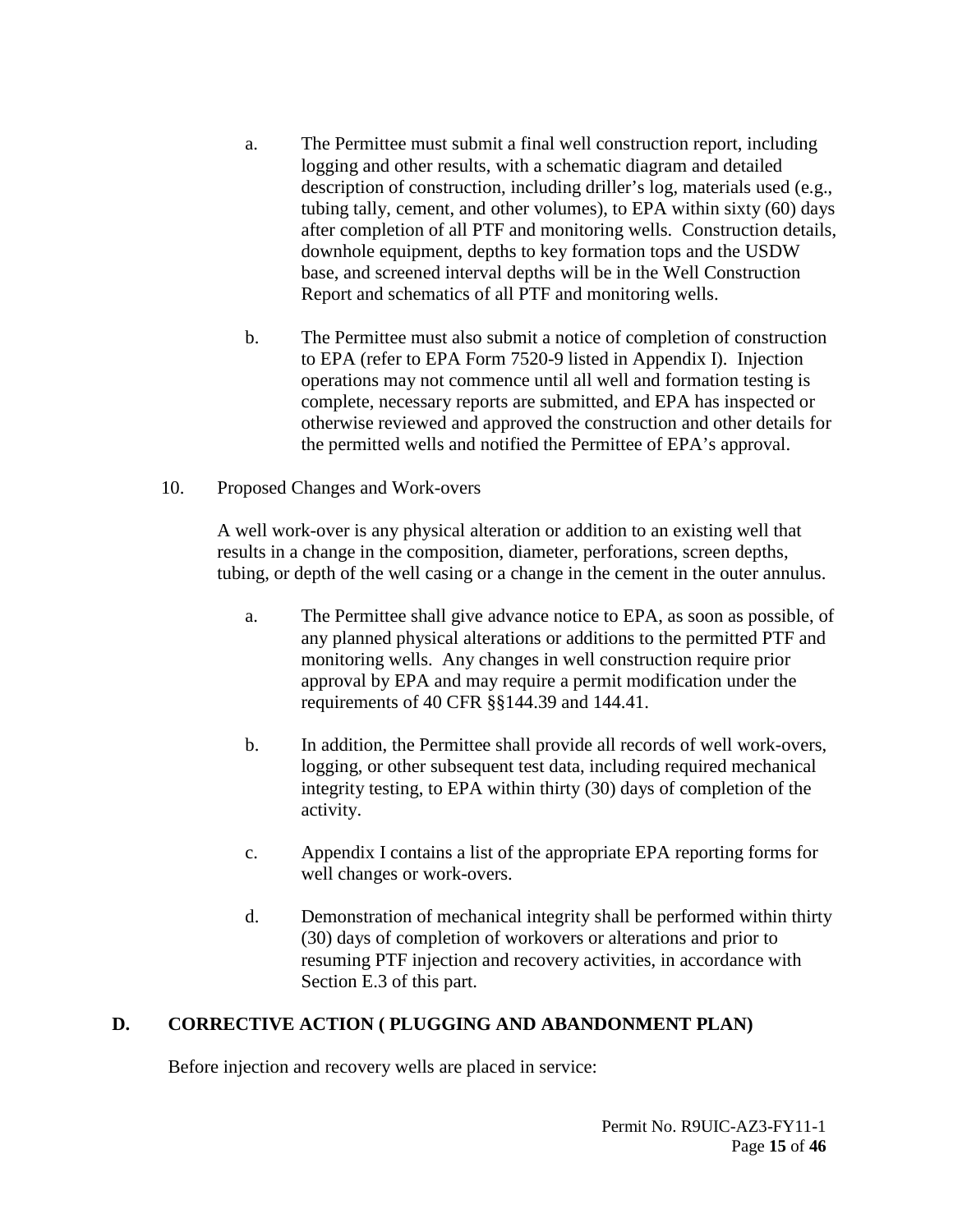- a. The Permittee must submit a final well construction report, including logging and other results, with a schematic diagram and detailed description of construction, including driller's log, materials used (e.g., tubing tally, cement, and other volumes), to EPA within sixty (60) days after completion of all PTF and monitoring wells. Construction details, downhole equipment, depths to key formation tops and the USDW base, and screened interval depths will be in the Well Construction Report and schematics of all PTF and monitoring wells.
- b. The Permittee must also submit a notice of completion of construction to EPA (refer to EPA Form 7520-9 listed in Appendix I). Injection operations may not commence until all well and formation testing is complete, necessary reports are submitted, and EPA has inspected or otherwise reviewed and approved the construction and other details for the permitted wells and notified the Permittee of EPA's approval.
- <span id="page-14-0"></span>10. Proposed Changes and Work-overs

A well work-over is any physical alteration or addition to an existing well that results in a change in the composition, diameter, perforations, screen depths, tubing, or depth of the well casing or a change in the cement in the outer annulus.

- a. The Permittee shall give advance notice to EPA, as soon as possible, of any planned physical alterations or additions to the permitted PTF and monitoring wells. Any changes in well construction require prior approval by EPA and may require a permit modification under the requirements of 40 CFR §§144.39 and 144.41.
- b. In addition, the Permittee shall provide all records of well work-overs, logging, or other subsequent test data, including required mechanical integrity testing, to EPA within thirty (30) days of completion of the activity.
- c. Appendix I contains a list of the appropriate EPA reporting forms for well changes or work-overs.
- d. Demonstration of mechanical integrity shall be performed within thirty (30) days of completion of workovers or alterations and prior to resuming PTF injection and recovery activities, in accordance with Section E.3 of this part.

# <span id="page-14-1"></span>**D. CORRECTIVE ACTION ( PLUGGING AND ABANDONMENT PLAN)**

Before injection and recovery wells are placed in service: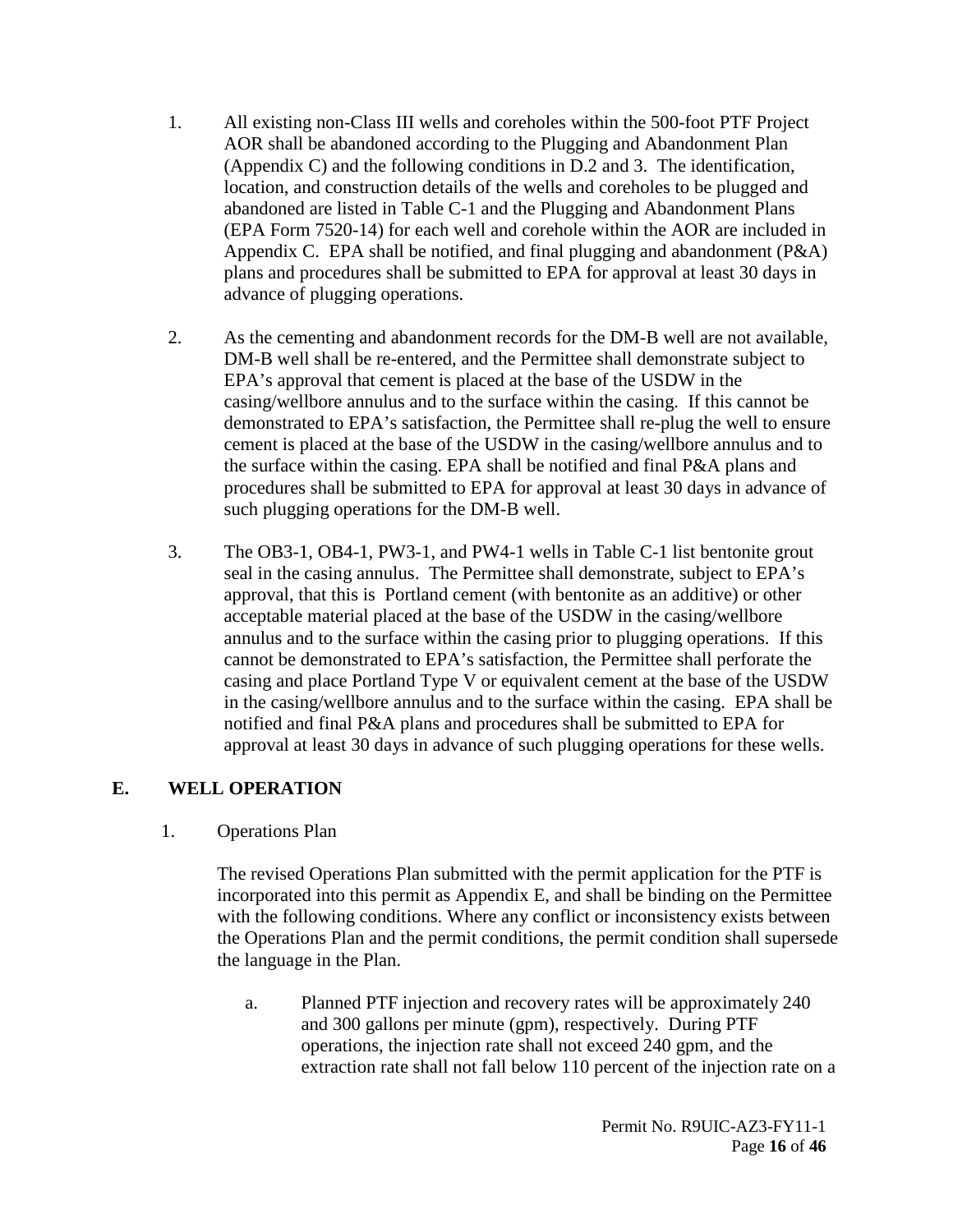- 1. All existing non-Class III wells and coreholes within the 500-foot PTF Project AOR shall be abandoned according to the Plugging and Abandonment Plan (Appendix C) and the following conditions in D.2 and 3. The identification, location, and construction details of the wells and coreholes to be plugged and abandoned are listed in Table C-1 and the Plugging and Abandonment Plans (EPA Form 7520-14) for each well and corehole within the AOR are included in Appendix C. EPA shall be notified, and final plugging and abandonment  $(P&A)$ plans and procedures shall be submitted to EPA for approval at least 30 days in advance of plugging operations.
- 2. As the cementing and abandonment records for the DM-B well are not available, DM-B well shall be re-entered, and the Permittee shall demonstrate subject to EPA's approval that cement is placed at the base of the USDW in the casing/wellbore annulus and to the surface within the casing. If this cannot be demonstrated to EPA's satisfaction, the Permittee shall re-plug the well to ensure cement is placed at the base of the USDW in the casing/wellbore annulus and to the surface within the casing. EPA shall be notified and final P&A plans and procedures shall be submitted to EPA for approval at least 30 days in advance of such plugging operations for the DM-B well.
- 3. The OB3-1, OB4-1, PW3-1, and PW4-1 wells in Table C-1 list bentonite grout seal in the casing annulus. The Permittee shall demonstrate, subject to EPA's approval, that this is Portland cement (with bentonite as an additive) or other acceptable material placed at the base of the USDW in the casing/wellbore annulus and to the surface within the casing prior to plugging operations. If this cannot be demonstrated to EPA's satisfaction, the Permittee shall perforate the casing and place Portland Type V or equivalent cement at the base of the USDW in the casing/wellbore annulus and to the surface within the casing. EPA shall be notified and final P&A plans and procedures shall be submitted to EPA for approval at least 30 days in advance of such plugging operations for these wells.

# <span id="page-15-1"></span><span id="page-15-0"></span>**E. WELL OPERATION**

#### 1. Operations Plan

The revised Operations Plan submitted with the permit application for the PTF is incorporated into this permit as Appendix E, and shall be binding on the Permittee with the following conditions. Where any conflict or inconsistency exists between the Operations Plan and the permit conditions, the permit condition shall supersede the language in the Plan.

a. Planned PTF injection and recovery rates will be approximately 240 and 300 gallons per minute (gpm), respectively. During PTF operations, the injection rate shall not exceed 240 gpm, and the extraction rate shall not fall below 110 percent of the injection rate on a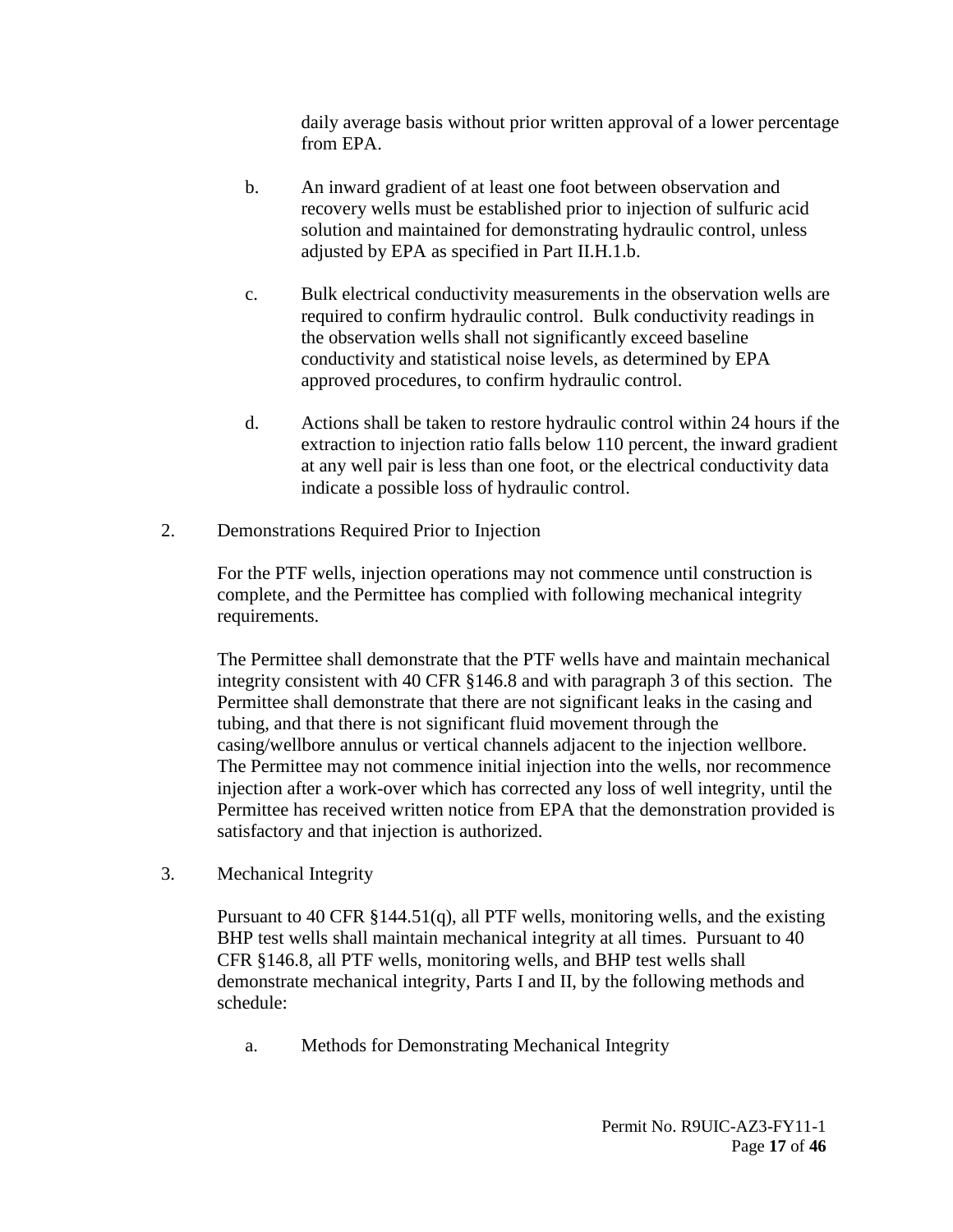daily average basis without prior written approval of a lower percentage from EPA.

- b. An inward gradient of at least one foot between observation and recovery wells must be established prior to injection of sulfuric acid solution and maintained for demonstrating hydraulic control, unless adjusted by EPA as specified in Part II.H.1.b.
- c. Bulk electrical conductivity measurements in the observation wells are required to confirm hydraulic control. Bulk conductivity readings in the observation wells shall not significantly exceed baseline conductivity and statistical noise levels, as determined by EPA approved procedures, to confirm hydraulic control.
- d. Actions shall be taken to restore hydraulic control within 24 hours if the extraction to injection ratio falls below 110 percent, the inward gradient at any well pair is less than one foot, or the electrical conductivity data indicate a possible loss of hydraulic control.
- <span id="page-16-0"></span>2. Demonstrations Required Prior to Injection

For the PTF wells, injection operations may not commence until construction is complete, and the Permittee has complied with following mechanical integrity requirements.

The Permittee shall demonstrate that the PTF wells have and maintain mechanical integrity consistent with 40 CFR §146.8 and with paragraph 3 of this section. The Permittee shall demonstrate that there are not significant leaks in the casing and tubing, and that there is not significant fluid movement through the casing/wellbore annulus or vertical channels adjacent to the injection wellbore. The Permittee may not commence initial injection into the wells, nor recommence injection after a work-over which has corrected any loss of well integrity, until the Permittee has received written notice from EPA that the demonstration provided is satisfactory and that injection is authorized.

<span id="page-16-1"></span>3. Mechanical Integrity

Pursuant to 40 CFR §144.51(q), all PTF wells, monitoring wells, and the existing BHP test wells shall maintain mechanical integrity at all times. Pursuant to 40 CFR §146.8, all PTF wells, monitoring wells, and BHP test wells shall demonstrate mechanical integrity, Parts I and II, by the following methods and schedule:

a. Methods for Demonstrating Mechanical Integrity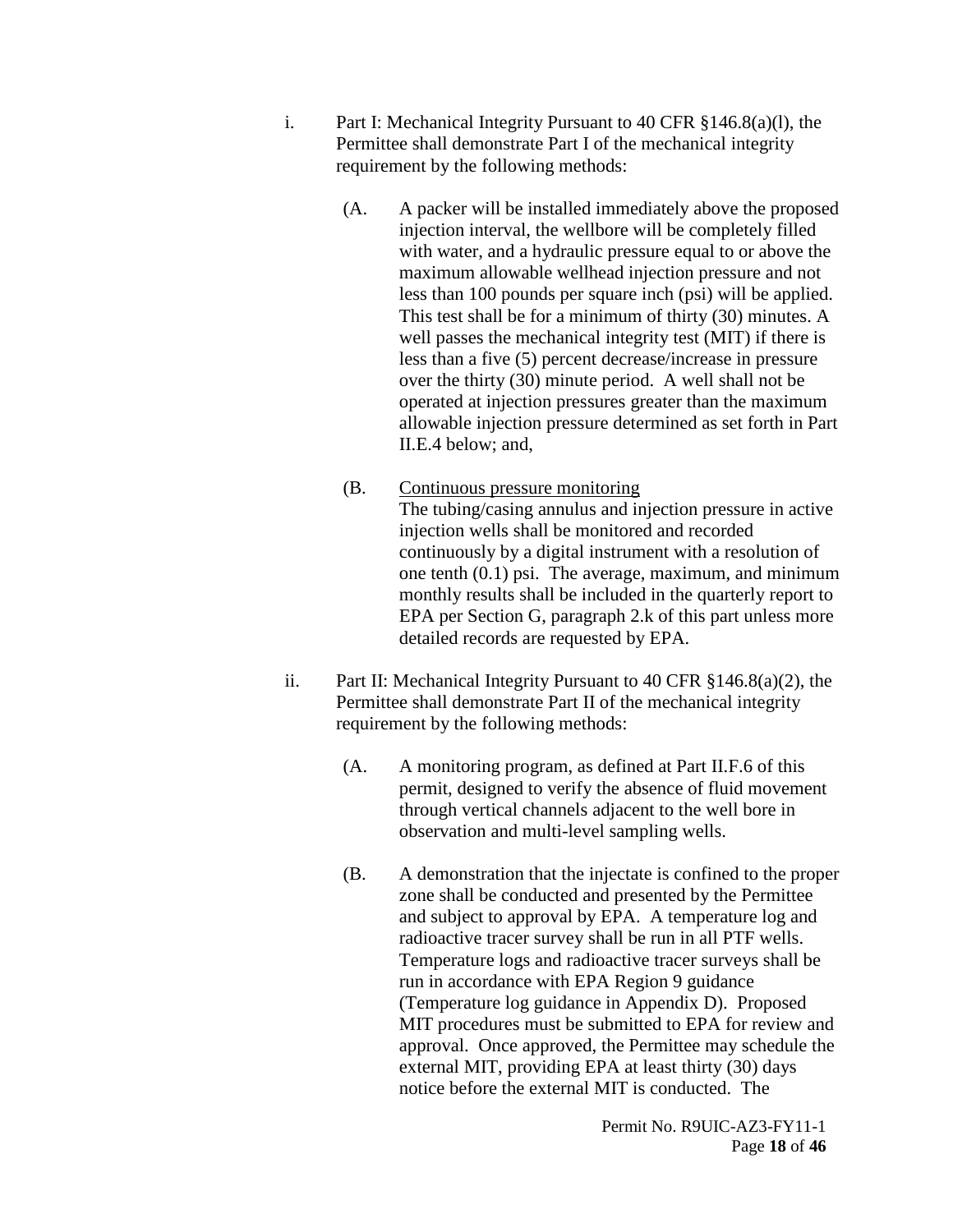- i. Part I: Mechanical Integrity Pursuant to 40 CFR §146.8(a)(l), the Permittee shall demonstrate Part I of the mechanical integrity requirement by the following methods:
	- (A. A packer will be installed immediately above the proposed injection interval, the wellbore will be completely filled with water, and a hydraulic pressure equal to or above the maximum allowable wellhead injection pressure and not less than 100 pounds per square inch (psi) will be applied. This test shall be for a minimum of thirty (30) minutes. A well passes the mechanical integrity test (MIT) if there is less than a five (5) percent decrease/increase in pressure over the thirty (30) minute period. A well shall not be operated at injection pressures greater than the maximum allowable injection pressure determined as set forth in Part II.E.4 below; and,
	- (B. Continuous pressure monitoring The tubing/casing annulus and injection pressure in active injection wells shall be monitored and recorded continuously by a digital instrument with a resolution of one tenth (0.1) psi. The average, maximum, and minimum monthly results shall be included in the quarterly report to EPA per Section G, paragraph 2.k of this part unless more detailed records are requested by EPA.
- ii. Part II: Mechanical Integrity Pursuant to 40 CFR §146.8(a)(2), the Permittee shall demonstrate Part II of the mechanical integrity requirement by the following methods:
	- (A. A monitoring program, as defined at Part II.F.6 of this permit, designed to verify the absence of fluid movement through vertical channels adjacent to the well bore in observation and multi-level sampling wells.
	- (B. A demonstration that the injectate is confined to the proper zone shall be conducted and presented by the Permittee and subject to approval by EPA. A temperature log and radioactive tracer survey shall be run in all PTF wells. Temperature logs and radioactive tracer surveys shall be run in accordance with EPA Region 9 guidance (Temperature log guidance in Appendix D). Proposed MIT procedures must be submitted to EPA for review and approval. Once approved, the Permittee may schedule the external MIT, providing EPA at least thirty (30) days notice before the external MIT is conducted. The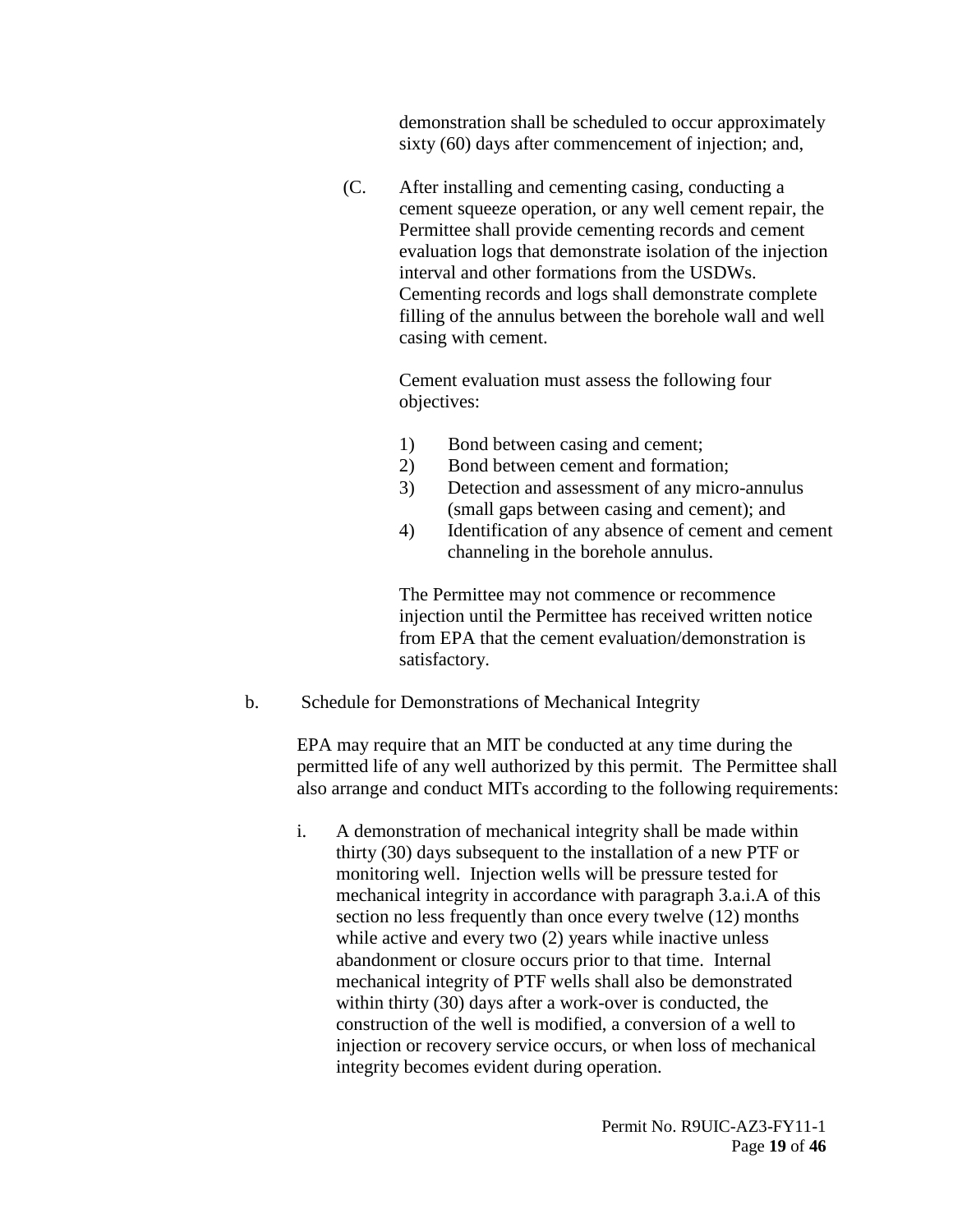demonstration shall be scheduled to occur approximately sixty (60) days after commencement of injection; and,

(C. After installing and cementing casing, conducting a cement squeeze operation, or any well cement repair, the Permittee shall provide cementing records and cement evaluation logs that demonstrate isolation of the injection interval and other formations from the USDWs. Cementing records and logs shall demonstrate complete filling of the annulus between the borehole wall and well casing with cement.

> Cement evaluation must assess the following four objectives:

- 1) Bond between casing and cement;
- 2) Bond between cement and formation;
- 3) Detection and assessment of any micro-annulus (small gaps between casing and cement); and
- 4) Identification of any absence of cement and cement channeling in the borehole annulus.

The Permittee may not commence or recommence injection until the Permittee has received written notice from EPA that the cement evaluation/demonstration is satisfactory.

b. Schedule for Demonstrations of Mechanical Integrity

EPA may require that an MIT be conducted at any time during the permitted life of any well authorized by this permit. The Permittee shall also arrange and conduct MITs according to the following requirements:

i. A demonstration of mechanical integrity shall be made within thirty (30) days subsequent to the installation of a new PTF or monitoring well. Injection wells will be pressure tested for mechanical integrity in accordance with paragraph 3.a.i.A of this section no less frequently than once every twelve (12) months while active and every two  $(2)$  years while inactive unless abandonment or closure occurs prior to that time. Internal mechanical integrity of PTF wells shall also be demonstrated within thirty (30) days after a work-over is conducted, the construction of the well is modified, a conversion of a well to injection or recovery service occurs, or when loss of mechanical integrity becomes evident during operation.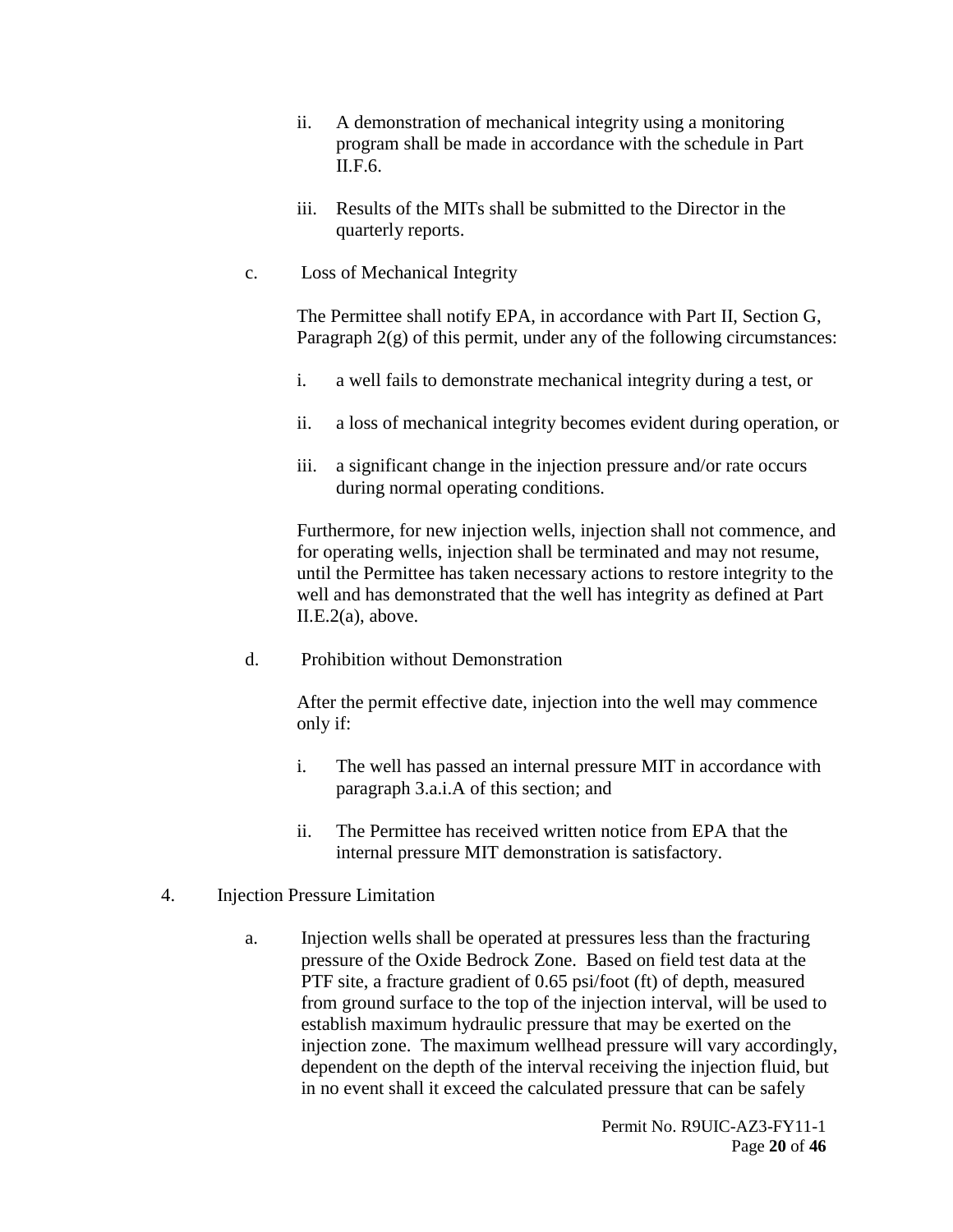- ii. A demonstration of mechanical integrity using a monitoring program shall be made in accordance with the schedule in Part II.F.6.
- iii. Results of the MITs shall be submitted to the Director in the quarterly reports.
- c. Loss of Mechanical Integrity

The Permittee shall notify EPA, in accordance with Part II, Section G, Paragraph  $2(g)$  of this permit, under any of the following circumstances:

- i. a well fails to demonstrate mechanical integrity during a test, or
- ii. a loss of mechanical integrity becomes evident during operation, or
- iii. a significant change in the injection pressure and/or rate occurs during normal operating conditions.

Furthermore, for new injection wells, injection shall not commence, and for operating wells, injection shall be terminated and may not resume, until the Permittee has taken necessary actions to restore integrity to the well and has demonstrated that the well has integrity as defined at Part  $II.E.2(a)$ , above.

d. Prohibition without Demonstration

After the permit effective date, injection into the well may commence only if:

- i. The well has passed an internal pressure MIT in accordance with paragraph 3.a.i.A of this section; and
- ii. The Permittee has received written notice from EPA that the internal pressure MIT demonstration is satisfactory.
- <span id="page-19-0"></span>4. Injection Pressure Limitation
	- a. Injection wells shall be operated at pressures less than the fracturing pressure of the Oxide Bedrock Zone. Based on field test data at the PTF site, a fracture gradient of 0.65 psi/foot (ft) of depth, measured from ground surface to the top of the injection interval, will be used to establish maximum hydraulic pressure that may be exerted on the injection zone. The maximum wellhead pressure will vary accordingly, dependent on the depth of the interval receiving the injection fluid, but in no event shall it exceed the calculated pressure that can be safely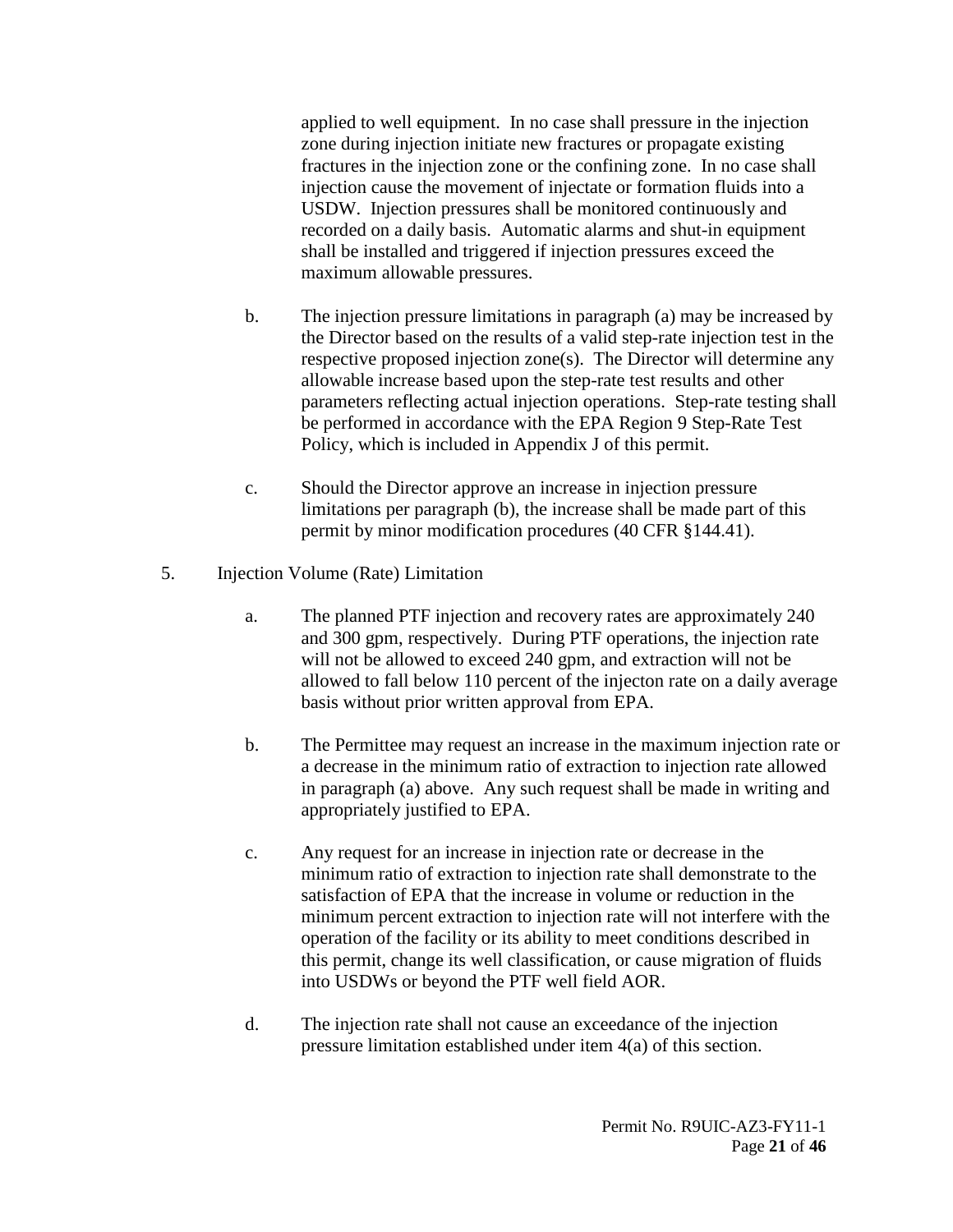applied to well equipment. In no case shall pressure in the injection zone during injection initiate new fractures or propagate existing fractures in the injection zone or the confining zone. In no case shall injection cause the movement of injectate or formation fluids into a USDW. Injection pressures shall be monitored continuously and recorded on a daily basis. Automatic alarms and shut-in equipment shall be installed and triggered if injection pressures exceed the maximum allowable pressures.

- b. The injection pressure limitations in paragraph (a) may be increased by the Director based on the results of a valid step-rate injection test in the respective proposed injection zone(s). The Director will determine any allowable increase based upon the step-rate test results and other parameters reflecting actual injection operations. Step-rate testing shall be performed in accordance with the EPA Region 9 Step-Rate Test Policy, which is included in Appendix J of this permit.
- c. Should the Director approve an increase in injection pressure limitations per paragraph (b), the increase shall be made part of this permit by minor modification procedures (40 CFR §144.41).
- <span id="page-20-0"></span>5. Injection Volume (Rate) Limitation
	- a. The planned PTF injection and recovery rates are approximately 240 and 300 gpm, respectively. During PTF operations, the injection rate will not be allowed to exceed 240 gpm, and extraction will not be allowed to fall below 110 percent of the injecton rate on a daily average basis without prior written approval from EPA.
	- b. The Permittee may request an increase in the maximum injection rate or a decrease in the minimum ratio of extraction to injection rate allowed in paragraph (a) above. Any such request shall be made in writing and appropriately justified to EPA.
	- c. Any request for an increase in injection rate or decrease in the minimum ratio of extraction to injection rate shall demonstrate to the satisfaction of EPA that the increase in volume or reduction in the minimum percent extraction to injection rate will not interfere with the operation of the facility or its ability to meet conditions described in this permit, change its well classification, or cause migration of fluids into USDWs or beyond the PTF well field AOR.
	- d. The injection rate shall not cause an exceedance of the injection pressure limitation established under item 4(a) of this section.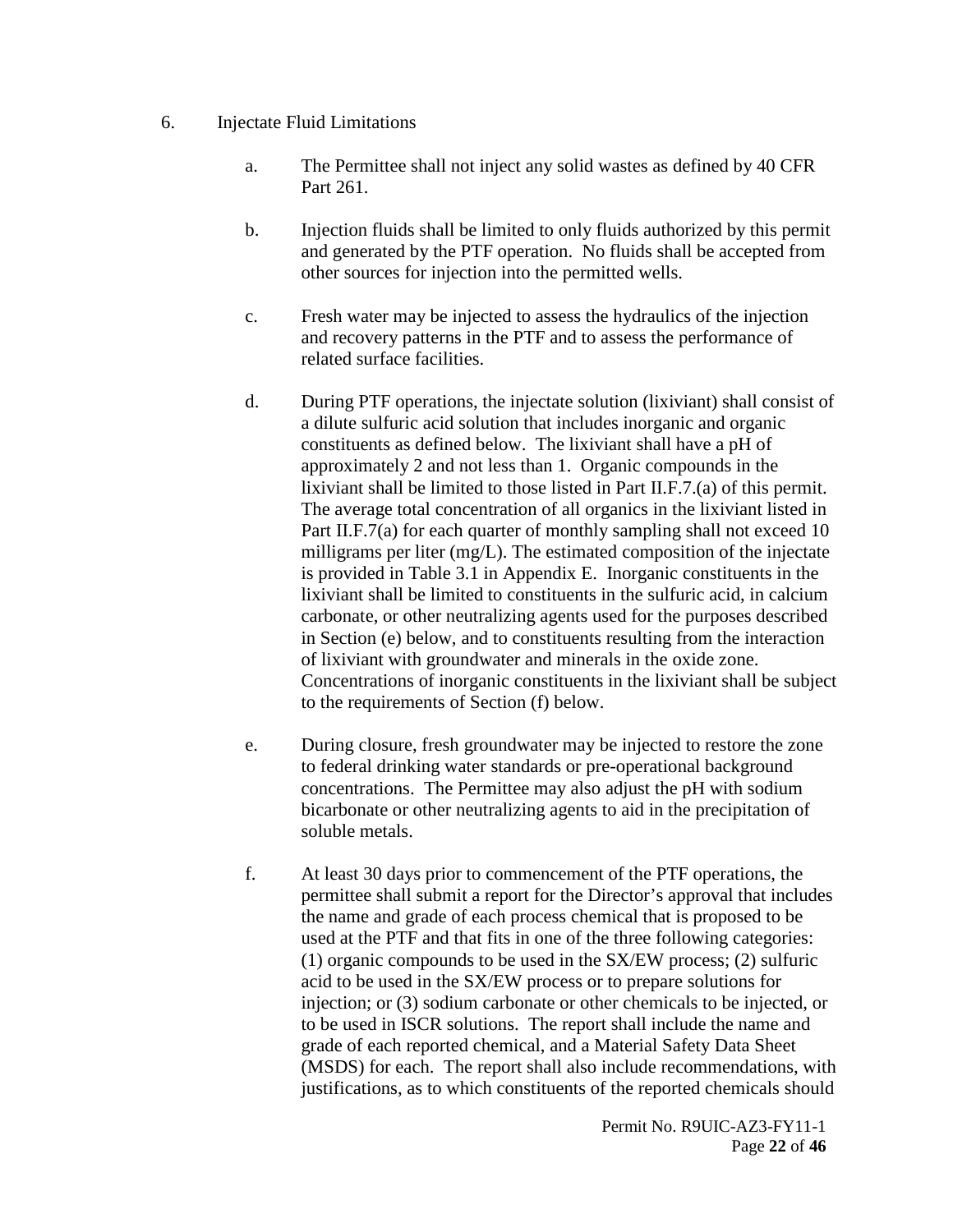- <span id="page-21-0"></span>6. Injectate Fluid Limitations
	- a. The Permittee shall not inject any solid wastes as defined by 40 CFR Part 261.
	- b. Injection fluids shall be limited to only fluids authorized by this permit and generated by the PTF operation. No fluids shall be accepted from other sources for injection into the permitted wells.
	- c. Fresh water may be injected to assess the hydraulics of the injection and recovery patterns in the PTF and to assess the performance of related surface facilities.
	- d. During PTF operations, the injectate solution (lixiviant) shall consist of a dilute sulfuric acid solution that includes inorganic and organic constituents as defined below. The lixiviant shall have a pH of approximately 2 and not less than 1. Organic compounds in the lixiviant shall be limited to those listed in Part II.F.7.(a) of this permit. The average total concentration of all organics in the lixiviant listed in Part II.F.7(a) for each quarter of monthly sampling shall not exceed 10 milligrams per liter (mg/L). The estimated composition of the injectate is provided in Table 3.1 in Appendix E. Inorganic constituents in the lixiviant shall be limited to constituents in the sulfuric acid, in calcium carbonate, or other neutralizing agents used for the purposes described in Section (e) below, and to constituents resulting from the interaction of lixiviant with groundwater and minerals in the oxide zone. Concentrations of inorganic constituents in the lixiviant shall be subject to the requirements of Section (f) below.
	- e. During closure, fresh groundwater may be injected to restore the zone to federal drinking water standards or pre-operational background concentrations. The Permittee may also adjust the pH with sodium bicarbonate or other neutralizing agents to aid in the precipitation of soluble metals.
	- f. At least 30 days prior to commencement of the PTF operations, the permittee shall submit a report for the Director's approval that includes the name and grade of each process chemical that is proposed to be used at the PTF and that fits in one of the three following categories: (1) organic compounds to be used in the SX/EW process; (2) sulfuric acid to be used in the SX/EW process or to prepare solutions for injection; or (3) sodium carbonate or other chemicals to be injected, or to be used in ISCR solutions. The report shall include the name and grade of each reported chemical, and a Material Safety Data Sheet (MSDS) for each. The report shall also include recommendations, with justifications, as to which constituents of the reported chemicals should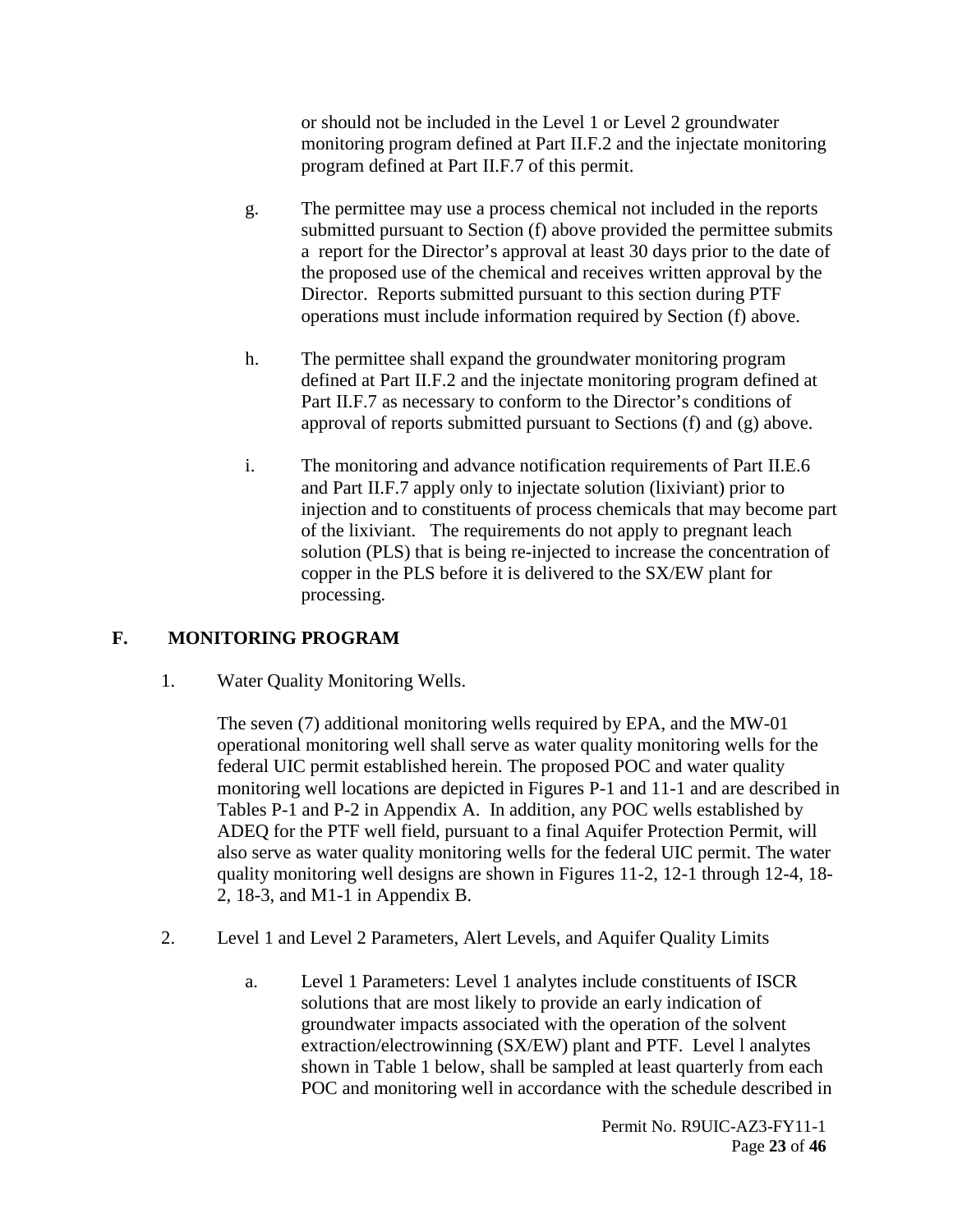or should not be included in the Level 1 or Level 2 groundwater monitoring program defined at Part II.F.2 and the injectate monitoring program defined at Part II.F.7 of this permit.

- g. The permittee may use a process chemical not included in the reports submitted pursuant to Section (f) above provided the permittee submits a report for the Director's approval at least 30 days prior to the date of the proposed use of the chemical and receives written approval by the Director. Reports submitted pursuant to this section during PTF operations must include information required by Section (f) above.
- h. The permittee shall expand the groundwater monitoring program defined at Part II.F.2 and the injectate monitoring program defined at Part II.F.7 as necessary to conform to the Director's conditions of approval of reports submitted pursuant to Sections (f) and (g) above.
- i. The monitoring and advance notification requirements of Part II.E.6 and Part II.F.7 apply only to injectate solution (lixiviant) prior to injection and to constituents of process chemicals that may become part of the lixiviant. The requirements do not apply to pregnant leach solution (PLS) that is being re-injected to increase the concentration of copper in the PLS before it is delivered to the SX/EW plant for processing.

# <span id="page-22-1"></span><span id="page-22-0"></span>**F. MONITORING PROGRAM**

1. Water Quality Monitoring Wells.

The seven (7) additional monitoring wells required by EPA, and the MW-01 operational monitoring well shall serve as water quality monitoring wells for the federal UIC permit established herein. The proposed POC and water quality monitoring well locations are depicted in Figures P-1 and 11-1 and are described in Tables P-1 and P-2 in Appendix A. In addition, any POC wells established by ADEQ for the PTF well field, pursuant to a final Aquifer Protection Permit, will also serve as water quality monitoring wells for the federal UIC permit. The water quality monitoring well designs are shown in Figures 11-2, 12-1 through 12-4, 18- 2, 18-3, and M1-1 in Appendix B.

- <span id="page-22-2"></span>2. Level 1 and Level 2 Parameters, Alert Levels, and Aquifer Quality Limits
	- a. Level 1 Parameters: Level 1 analytes include constituents of ISCR solutions that are most likely to provide an early indication of groundwater impacts associated with the operation of the solvent extraction/electrowinning (SX/EW) plant and PTF. Level l analytes shown in Table 1 below, shall be sampled at least quarterly from each POC and monitoring well in accordance with the schedule described in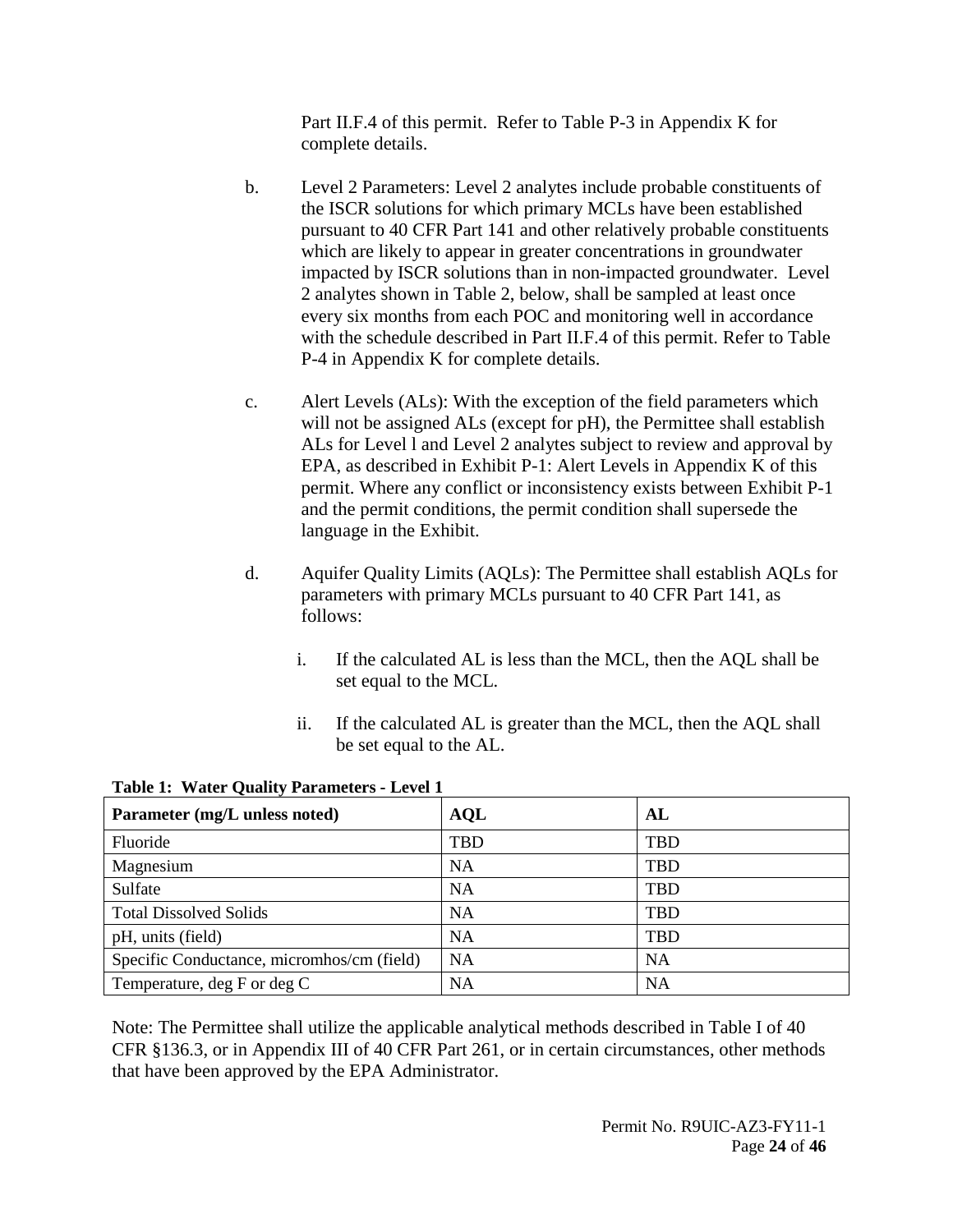Part II.F.4 of this permit. Refer to Table P-3 in Appendix K for complete details.

- b. Level 2 Parameters: Level 2 analytes include probable constituents of the ISCR solutions for which primary MCLs have been established pursuant to 40 CFR Part 141 and other relatively probable constituents which are likely to appear in greater concentrations in groundwater impacted by ISCR solutions than in non-impacted groundwater. Level 2 analytes shown in Table 2, below, shall be sampled at least once every six months from each POC and monitoring well in accordance with the schedule described in Part II.F.4 of this permit. Refer to Table P-4 in Appendix K for complete details.
- c. Alert Levels (ALs): With the exception of the field parameters which will not be assigned ALs (except for pH), the Permittee shall establish ALs for Level l and Level 2 analytes subject to review and approval by EPA, as described in Exhibit P-1: Alert Levels in Appendix K of this permit. Where any conflict or inconsistency exists between Exhibit P-1 and the permit conditions, the permit condition shall supersede the language in the Exhibit.
- d. Aquifer Quality Limits (AQLs): The Permittee shall establish AQLs for parameters with primary MCLs pursuant to 40 CFR Part 141, as follows:
	- i. If the calculated AL is less than the MCL, then the AQL shall be set equal to the MCL.
	- ii. If the calculated AL is greater than the MCL, then the AQL shall be set equal to the AL.

| Parameter (mg/L unless noted)              | <b>AQL</b> | AL         |
|--------------------------------------------|------------|------------|
| Fluoride                                   | <b>TBD</b> | <b>TBD</b> |
| Magnesium                                  | <b>NA</b>  | <b>TBD</b> |
| Sulfate                                    | <b>NA</b>  | <b>TBD</b> |
| <b>Total Dissolved Solids</b>              | <b>NA</b>  | <b>TBD</b> |
| pH, units (field)                          | <b>NA</b>  | <b>TBD</b> |
| Specific Conductance, micromhos/cm (field) | <b>NA</b>  | <b>NA</b>  |
| Temperature, deg F or deg C                | NA         | <b>NA</b>  |

**Table 1: Water Quality Parameters - Level 1**

Note: The Permittee shall utilize the applicable analytical methods described in Table I of 40 CFR §136.3, or in Appendix III of 40 CFR Part 261, or in certain circumstances, other methods that have been approved by the EPA Administrator.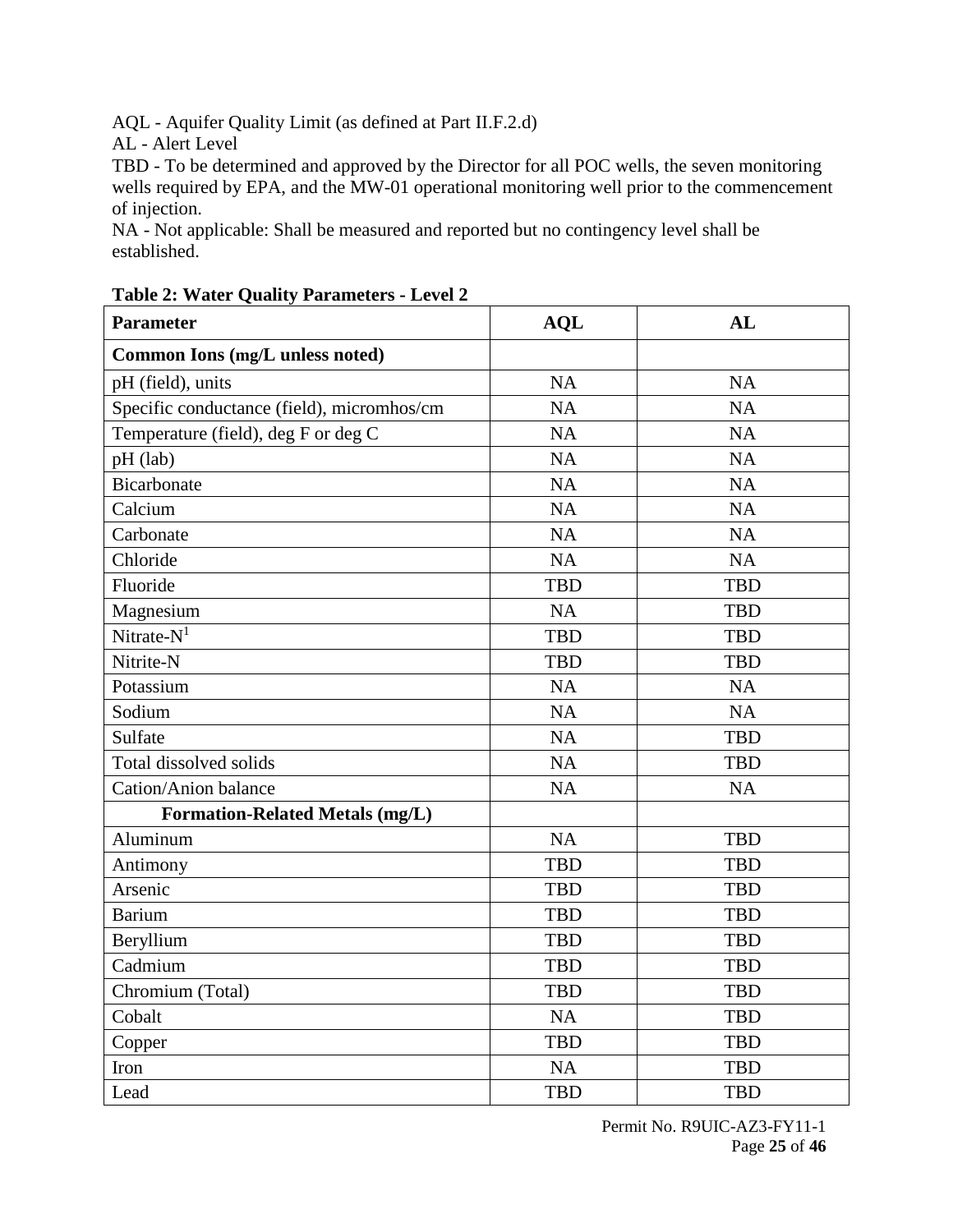AQL - Aquifer Quality Limit (as defined at Part II.F.2.d)

AL - Alert Level

TBD - To be determined and approved by the Director for all POC wells, the seven monitoring wells required by EPA, and the MW-01 operational monitoring well prior to the commencement of injection.

NA - Not applicable: Shall be measured and reported but no contingency level shall be established.

| <b>Parameter</b>                           | <b>AQL</b> | AL         |
|--------------------------------------------|------------|------------|
| Common Ions (mg/L unless noted)            |            |            |
| pH (field), units                          | <b>NA</b>  | NA         |
| Specific conductance (field), micromhos/cm | <b>NA</b>  | <b>NA</b>  |
| Temperature (field), deg F or deg C        | NA         | <b>NA</b>  |
| pH (lab)                                   | <b>NA</b>  | NA         |
| <b>Bicarbonate</b>                         | <b>NA</b>  | <b>NA</b>  |
| Calcium                                    | NA         | <b>NA</b>  |
| Carbonate                                  | NA         | NA         |
| Chloride                                   | <b>NA</b>  | <b>NA</b>  |
| Fluoride                                   | <b>TBD</b> | <b>TBD</b> |
| Magnesium                                  | NA         | <b>TBD</b> |
| Nitrate- $N1$                              | <b>TBD</b> | <b>TBD</b> |
| Nitrite-N                                  | <b>TBD</b> | <b>TBD</b> |
| Potassium                                  | <b>NA</b>  | NA         |
| Sodium                                     | <b>NA</b>  | <b>NA</b>  |
| Sulfate                                    | <b>NA</b>  | <b>TBD</b> |
| Total dissolved solids                     | NA         | <b>TBD</b> |
| <b>Cation/Anion balance</b>                | NA         | NA         |
| <b>Formation-Related Metals (mg/L)</b>     |            |            |
| Aluminum                                   | NA         | <b>TBD</b> |
| Antimony                                   | <b>TBD</b> | <b>TBD</b> |
| Arsenic                                    | <b>TBD</b> | <b>TBD</b> |
| <b>Barium</b>                              | <b>TBD</b> | <b>TBD</b> |
| Beryllium                                  | <b>TBD</b> | <b>TBD</b> |
| Cadmium                                    | <b>TBD</b> | <b>TBD</b> |
| Chromium (Total)                           | <b>TBD</b> | <b>TBD</b> |
| Cobalt                                     | <b>NA</b>  | <b>TBD</b> |
| Copper                                     | <b>TBD</b> | <b>TBD</b> |
| Iron                                       | <b>NA</b>  | <b>TBD</b> |
| Lead                                       | <b>TBD</b> | <b>TBD</b> |

**Table 2: Water Quality Parameters - Level 2**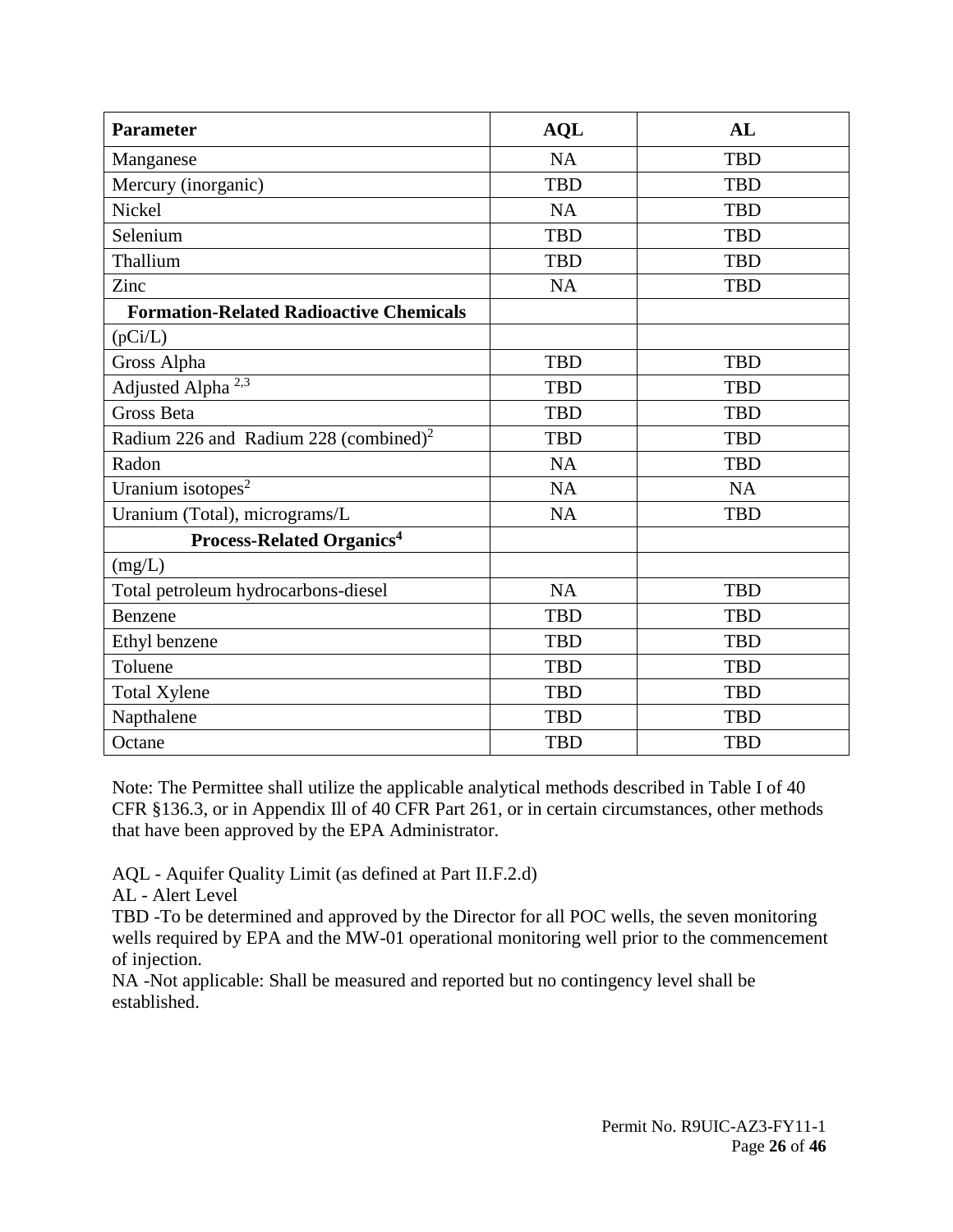| <b>Parameter</b>                                  | <b>AQL</b> | AL         |
|---------------------------------------------------|------------|------------|
| Manganese                                         | NA         | <b>TBD</b> |
| Mercury (inorganic)                               | <b>TBD</b> | <b>TBD</b> |
| Nickel                                            | NA         | <b>TBD</b> |
| Selenium                                          | <b>TBD</b> | <b>TBD</b> |
| Thallium                                          | <b>TBD</b> | <b>TBD</b> |
| Zinc                                              | <b>NA</b>  | <b>TBD</b> |
| <b>Formation-Related Radioactive Chemicals</b>    |            |            |
| (pCi/L)                                           |            |            |
| Gross Alpha                                       | <b>TBD</b> | <b>TBD</b> |
| Adjusted Alpha <sup>2,3</sup>                     | <b>TBD</b> | <b>TBD</b> |
| <b>Gross Beta</b>                                 | <b>TBD</b> | <b>TBD</b> |
| Radium 226 and Radium 228 (combined) <sup>2</sup> | <b>TBD</b> | <b>TBD</b> |
| Radon                                             | <b>NA</b>  | <b>TBD</b> |
| Uranium isotopes <sup>2</sup>                     | NA         | NA         |
| Uranium (Total), micrograms/L                     | <b>NA</b>  | <b>TBD</b> |
| <b>Process-Related Organics<sup>4</sup></b>       |            |            |
| (mg/L)                                            |            |            |
| Total petroleum hydrocarbons-diesel               | NA         | <b>TBD</b> |
| Benzene                                           | <b>TBD</b> | <b>TBD</b> |
| Ethyl benzene                                     | <b>TBD</b> | <b>TBD</b> |
| Toluene                                           | <b>TBD</b> | <b>TBD</b> |
| <b>Total Xylene</b>                               | <b>TBD</b> | <b>TBD</b> |
| Napthalene                                        | <b>TBD</b> | <b>TBD</b> |
| Octane                                            | <b>TBD</b> | <b>TBD</b> |

Note: The Permittee shall utilize the applicable analytical methods described in Table I of 40 CFR §136.3, or in Appendix Ill of 40 CFR Part 261, or in certain circumstances, other methods that have been approved by the EPA Administrator.

AQL - Aquifer Quality Limit (as defined at Part II.F.2.d)

AL - Alert Level

TBD -To be determined and approved by the Director for all POC wells, the seven monitoring wells required by EPA and the MW-01 operational monitoring well prior to the commencement of injection.

NA -Not applicable: Shall be measured and reported but no contingency level shall be established.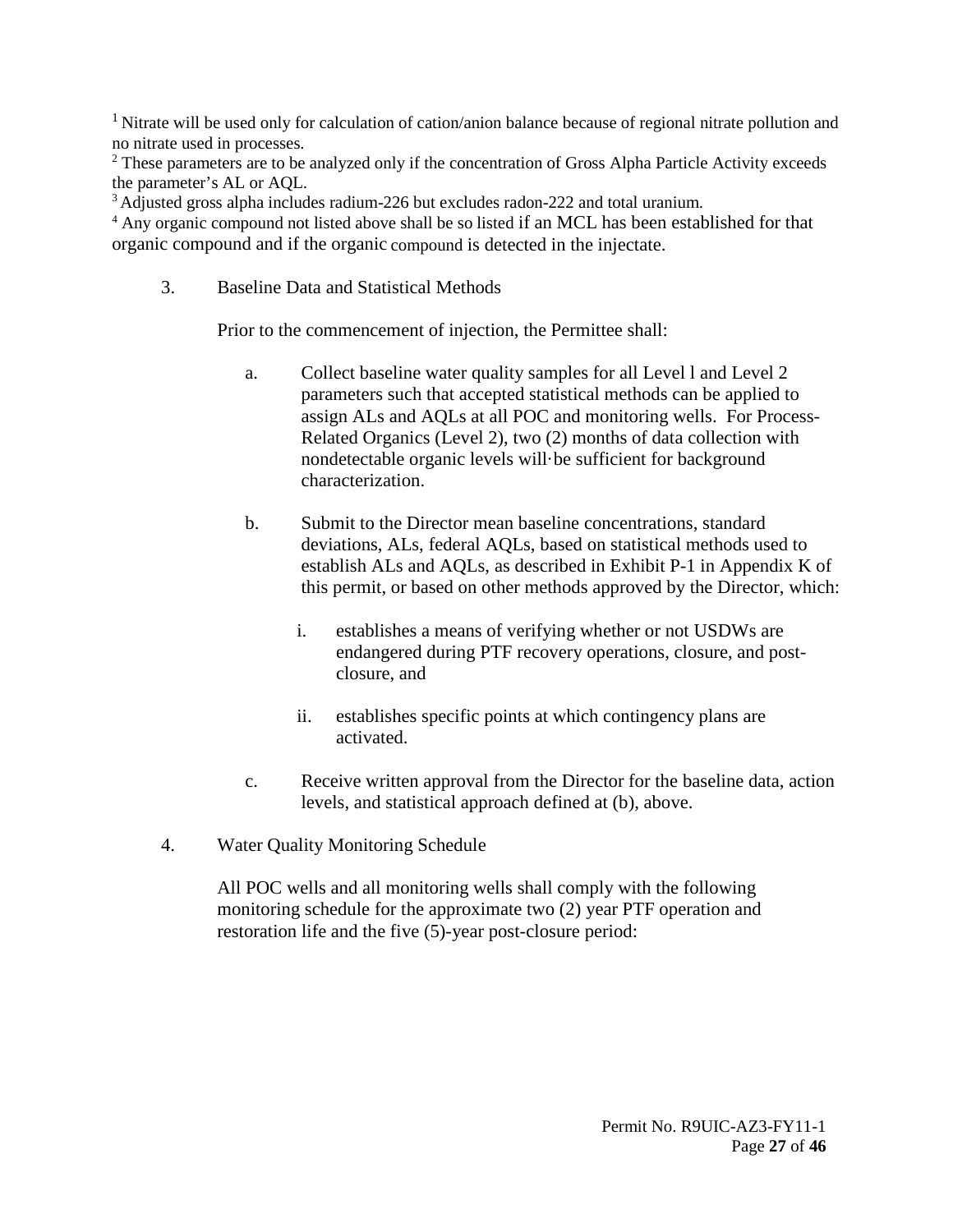<sup>1</sup> Nitrate will be used only for calculation of cation/anion balance because of regional nitrate pollution and no nitrate used in processes.

<sup>2</sup> These parameters are to be analyzed only if the concentration of Gross Alpha Particle Activity exceeds the parameter's AL or AQL.<br><sup>3</sup> Adjusted gross alpha includes radium-226 but excludes radon-222 and total uranium.

<sup>4</sup> Any organic compound not listed above shall be so listed if an MCL has been established for that organic compound and if the organic compound is detected in the injectate.

<span id="page-26-0"></span>3. Baseline Data and Statistical Methods

Prior to the commencement of injection, the Permittee shall:

- a. Collect baseline water quality samples for all Level l and Level 2 parameters such that accepted statistical methods can be applied to assign ALs and AQLs at all POC and monitoring wells. For Process-Related Organics (Level 2), two (2) months of data collection with nondetectable organic levels will·be sufficient for background characterization.
- b. Submit to the Director mean baseline concentrations, standard deviations, ALs, federal AQLs, based on statistical methods used to establish ALs and AQLs, as described in Exhibit P-1 in Appendix K of this permit, or based on other methods approved by the Director, which:
	- i. establishes a means of verifying whether or not USDWs are endangered during PTF recovery operations, closure, and postclosure, and
	- ii. establishes specific points at which contingency plans are activated.
- c. Receive written approval from the Director for the baseline data, action levels, and statistical approach defined at (b), above.
- <span id="page-26-1"></span>4. Water Quality Monitoring Schedule

All POC wells and all monitoring wells shall comply with the following monitoring schedule for the approximate two (2) year PTF operation and restoration life and the five (5)-year post-closure period: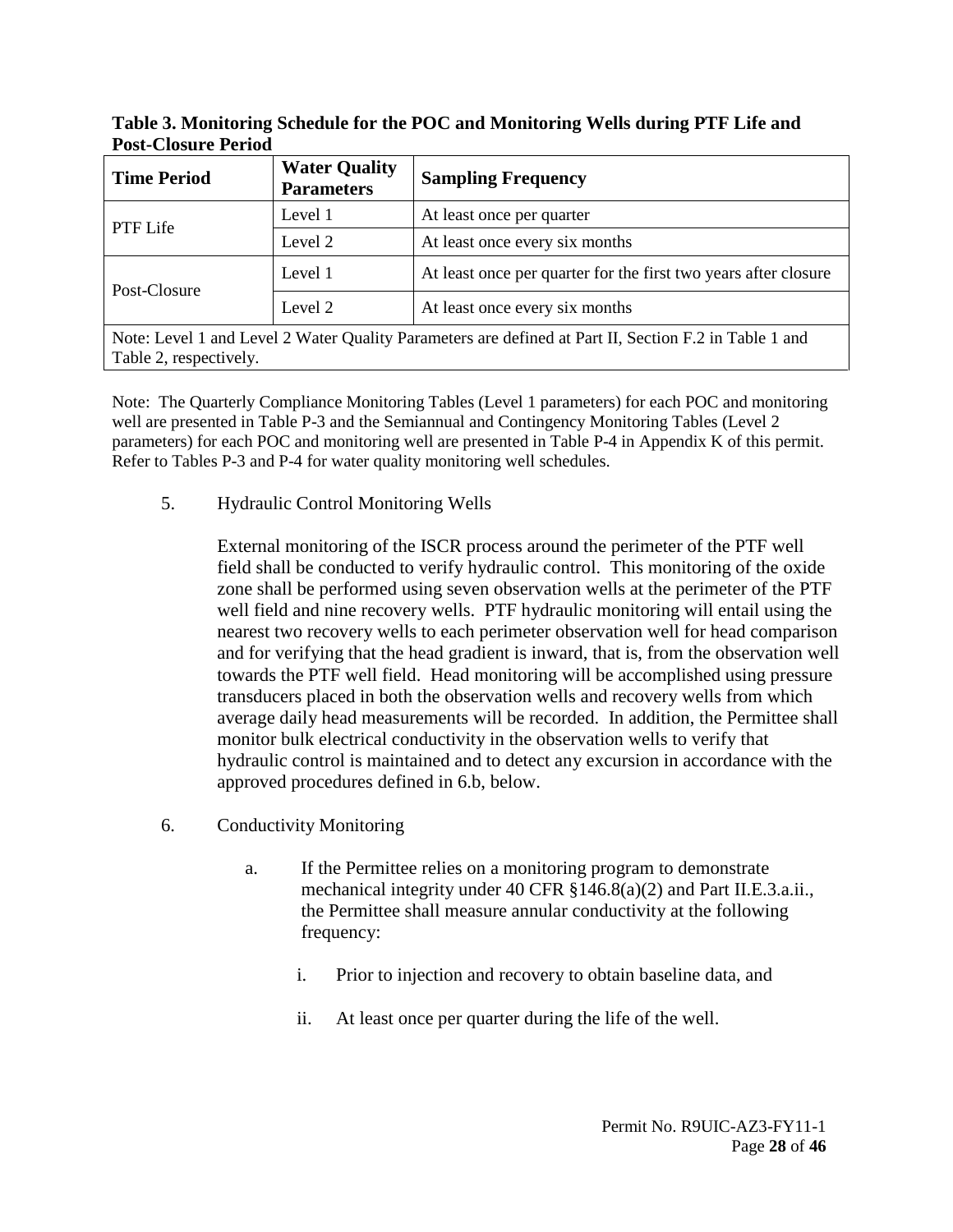| Table 3. Monitoring Schedule for the POC and Monitoring Wells during PTF Life and |  |
|-----------------------------------------------------------------------------------|--|
| <b>Post-Closure Period</b>                                                        |  |

| <b>Time Period</b>                                                                                                              | <b>Water Quality</b><br><b>Parameters</b> | <b>Sampling Frequency</b>                                       |
|---------------------------------------------------------------------------------------------------------------------------------|-------------------------------------------|-----------------------------------------------------------------|
| PTF Life                                                                                                                        | Level 1                                   | At least once per quarter                                       |
|                                                                                                                                 | Level 2                                   | At least once every six months                                  |
| Post-Closure                                                                                                                    | Level 1                                   | At least once per quarter for the first two years after closure |
|                                                                                                                                 | Level 2                                   | At least once every six months                                  |
| Note: Level 1 and Level 2 Water Quality Parameters are defined at Part II, Section F.2 in Table 1 and<br>Table 2, respectively. |                                           |                                                                 |

Note: The Quarterly Compliance Monitoring Tables (Level 1 parameters) for each POC and monitoring well are presented in Table P-3 and the Semiannual and Contingency Monitoring Tables (Level 2 parameters) for each POC and monitoring well are presented in Table P-4 in Appendix K of this permit. Refer to Tables P-3 and P-4 for water quality monitoring well schedules.

<span id="page-27-0"></span>5. Hydraulic Control Monitoring Wells

External monitoring of the ISCR process around the perimeter of the PTF well field shall be conducted to verify hydraulic control. This monitoring of the oxide zone shall be performed using seven observation wells at the perimeter of the PTF well field and nine recovery wells. PTF hydraulic monitoring will entail using the nearest two recovery wells to each perimeter observation well for head comparison and for verifying that the head gradient is inward, that is, from the observation well towards the PTF well field. Head monitoring will be accomplished using pressure transducers placed in both the observation wells and recovery wells from which average daily head measurements will be recorded. In addition, the Permittee shall monitor bulk electrical conductivity in the observation wells to verify that hydraulic control is maintained and to detect any excursion in accordance with the approved procedures defined in 6.b, below.

- <span id="page-27-1"></span>6. Conductivity Monitoring
	- a. If the Permittee relies on a monitoring program to demonstrate mechanical integrity under 40 CFR §146.8(a)(2) and Part II.E.3.a.ii., the Permittee shall measure annular conductivity at the following frequency:
		- i. Prior to injection and recovery to obtain baseline data, and
		- ii. At least once per quarter during the life of the well.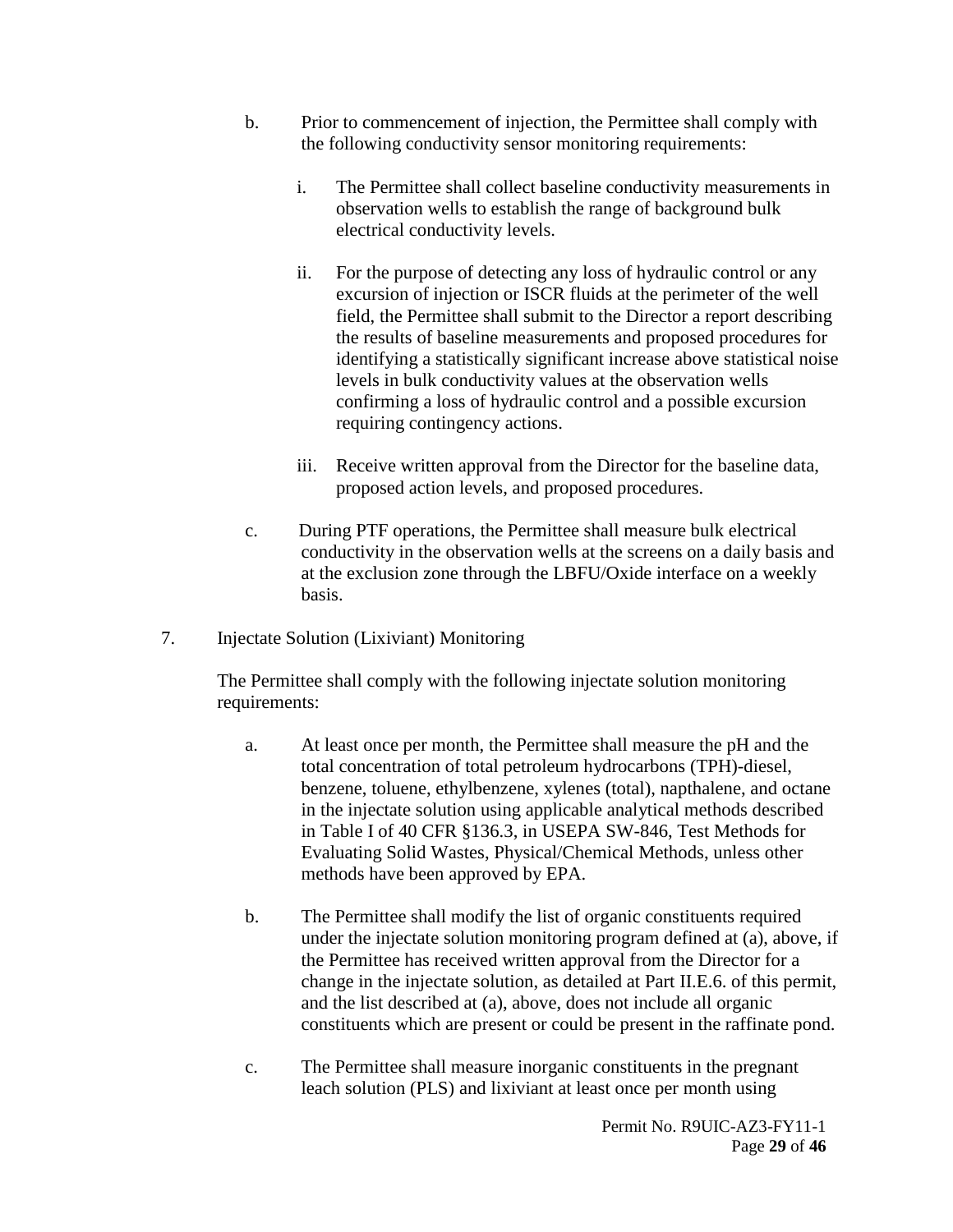- b. Prior to commencement of injection, the Permittee shall comply with the following conductivity sensor monitoring requirements:
	- i. The Permittee shall collect baseline conductivity measurements in observation wells to establish the range of background bulk electrical conductivity levels.
	- ii. For the purpose of detecting any loss of hydraulic control or any excursion of injection or ISCR fluids at the perimeter of the well field, the Permittee shall submit to the Director a report describing the results of baseline measurements and proposed procedures for identifying a statistically significant increase above statistical noise levels in bulk conductivity values at the observation wells confirming a loss of hydraulic control and a possible excursion requiring contingency actions.
	- iii. Receive written approval from the Director for the baseline data, proposed action levels, and proposed procedures.
- c. During PTF operations, the Permittee shall measure bulk electrical conductivity in the observation wells at the screens on a daily basis and at the exclusion zone through the LBFU/Oxide interface on a weekly basis.
- <span id="page-28-0"></span>7. Injectate Solution (Lixiviant) Monitoring

The Permittee shall comply with the following injectate solution monitoring requirements:

- a. At least once per month, the Permittee shall measure the pH and the total concentration of total petroleum hydrocarbons (TPH)-diesel, benzene, toluene, ethylbenzene, xylenes (total), napthalene, and octane in the injectate solution using applicable analytical methods described in Table I of 40 CFR §136.3, in USEPA SW-846, Test Methods for Evaluating Solid Wastes, Physical/Chemical Methods, unless other methods have been approved by EPA.
- b. The Permittee shall modify the list of organic constituents required under the injectate solution monitoring program defined at (a), above, if the Permittee has received written approval from the Director for a change in the injectate solution, as detailed at Part II.E.6. of this permit, and the list described at (a), above, does not include all organic constituents which are present or could be present in the raffinate pond.
- c. The Permittee shall measure inorganic constituents in the pregnant leach solution (PLS) and lixiviant at least once per month using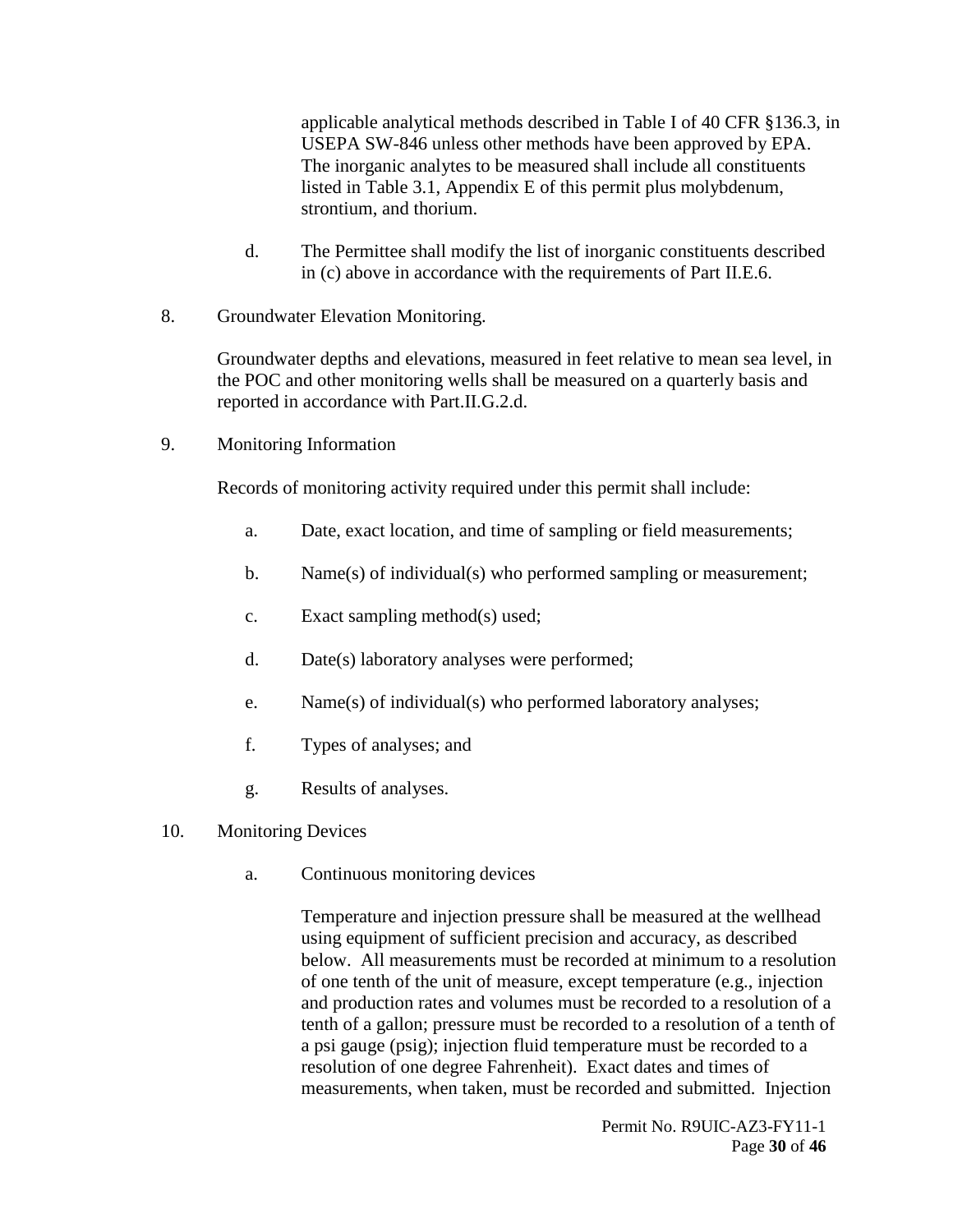applicable analytical methods described in Table I of 40 CFR §136.3, in USEPA SW-846 unless other methods have been approved by EPA. The inorganic analytes to be measured shall include all constituents listed in Table 3.1, Appendix E of this permit plus molybdenum, strontium, and thorium.

- d. The Permittee shall modify the list of inorganic constituents described in (c) above in accordance with the requirements of Part II.E.6.
- <span id="page-29-0"></span>8. Groundwater Elevation Monitoring.

Groundwater depths and elevations, measured in feet relative to mean sea level, in the POC and other monitoring wells shall be measured on a quarterly basis and reported in accordance with Part.II.G.2.d.

<span id="page-29-1"></span>9. Monitoring Information

Records of monitoring activity required under this permit shall include:

- a. Date, exact location, and time of sampling or field measurements;
- b. Name(s) of individual(s) who performed sampling or measurement;
- c. Exact sampling method(s) used;
- d. Date(s) laboratory analyses were performed;
- e. Name(s) of individual(s) who performed laboratory analyses;
- f. Types of analyses; and
- g. Results of analyses.
- <span id="page-29-2"></span>10. Monitoring Devices
	- a. Continuous monitoring devices

Temperature and injection pressure shall be measured at the wellhead using equipment of sufficient precision and accuracy, as described below. All measurements must be recorded at minimum to a resolution of one tenth of the unit of measure, except temperature (e.g., injection and production rates and volumes must be recorded to a resolution of a tenth of a gallon; pressure must be recorded to a resolution of a tenth of a psi gauge (psig); injection fluid temperature must be recorded to a resolution of one degree Fahrenheit). Exact dates and times of measurements, when taken, must be recorded and submitted. Injection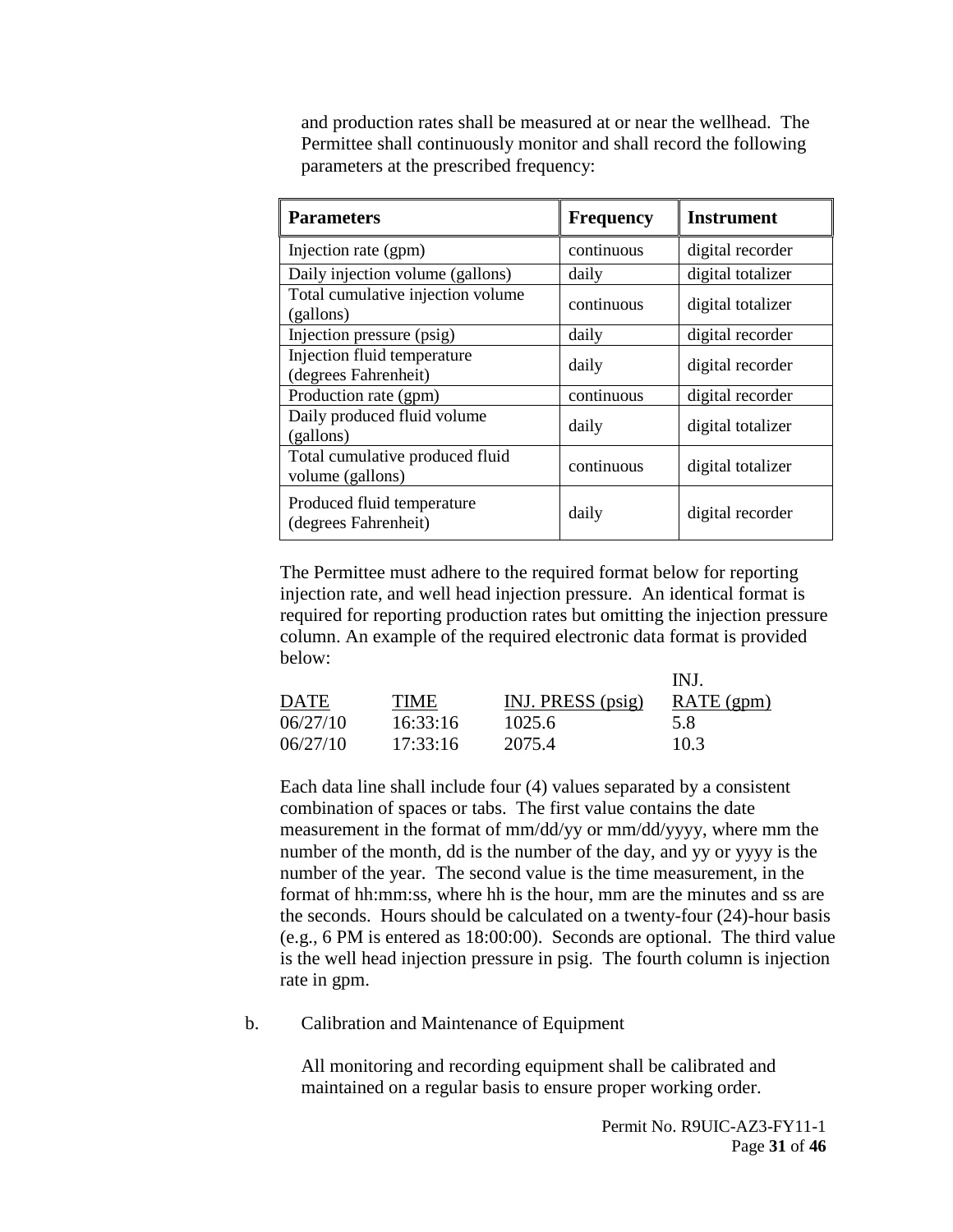and production rates shall be measured at or near the wellhead. The Permittee shall continuously monitor and shall record the following parameters at the prescribed frequency:

| <b>Parameters</b>                                   | <b>Frequency</b> | <b>Instrument</b> |
|-----------------------------------------------------|------------------|-------------------|
| Injection rate (gpm)                                | continuous       | digital recorder  |
| Daily injection volume (gallons)                    | daily            | digital totalizer |
| Total cumulative injection volume<br>(gallons)      | continuous       | digital totalizer |
| Injection pressure (psig)                           | daily            | digital recorder  |
| Injection fluid temperature<br>(degrees Fahrenheit) | daily            | digital recorder  |
| Production rate (gpm)                               | continuous       | digital recorder  |
| Daily produced fluid volume<br>(gallons)            | daily            | digital totalizer |
| Total cumulative produced fluid<br>volume (gallons) | continuous       | digital totalizer |
| Produced fluid temperature<br>(degrees Fahrenheit)  | daily            | digital recorder  |

The Permittee must adhere to the required format below for reporting injection rate, and well head injection pressure. An identical format is required for reporting production rates but omitting the injection pressure column. An example of the required electronic data format is provided below:

|             |          |                   | INJ          |
|-------------|----------|-------------------|--------------|
| <b>DATE</b> | TIME     | INJ. PRESS (psig) | $RATE$ (gpm) |
| 06/27/10    | 16:33:16 | 1025.6            | 5.8          |
| 06/27/10    | 17:33:16 | 2075.4            | 10.3         |

Each data line shall include four (4) values separated by a consistent combination of spaces or tabs. The first value contains the date measurement in the format of mm/dd/yy or mm/dd/yyyy, where mm the number of the month, dd is the number of the day, and yy or yyyy is the number of the year. The second value is the time measurement, in the format of hh:mm:ss, where hh is the hour, mm are the minutes and ss are the seconds. Hours should be calculated on a twenty-four (24)-hour basis (e.g., 6 PM is entered as 18:00:00). Seconds are optional. The third value is the well head injection pressure in psig. The fourth column is injection rate in gpm.

b. Calibration and Maintenance of Equipment

All monitoring and recording equipment shall be calibrated and maintained on a regular basis to ensure proper working order.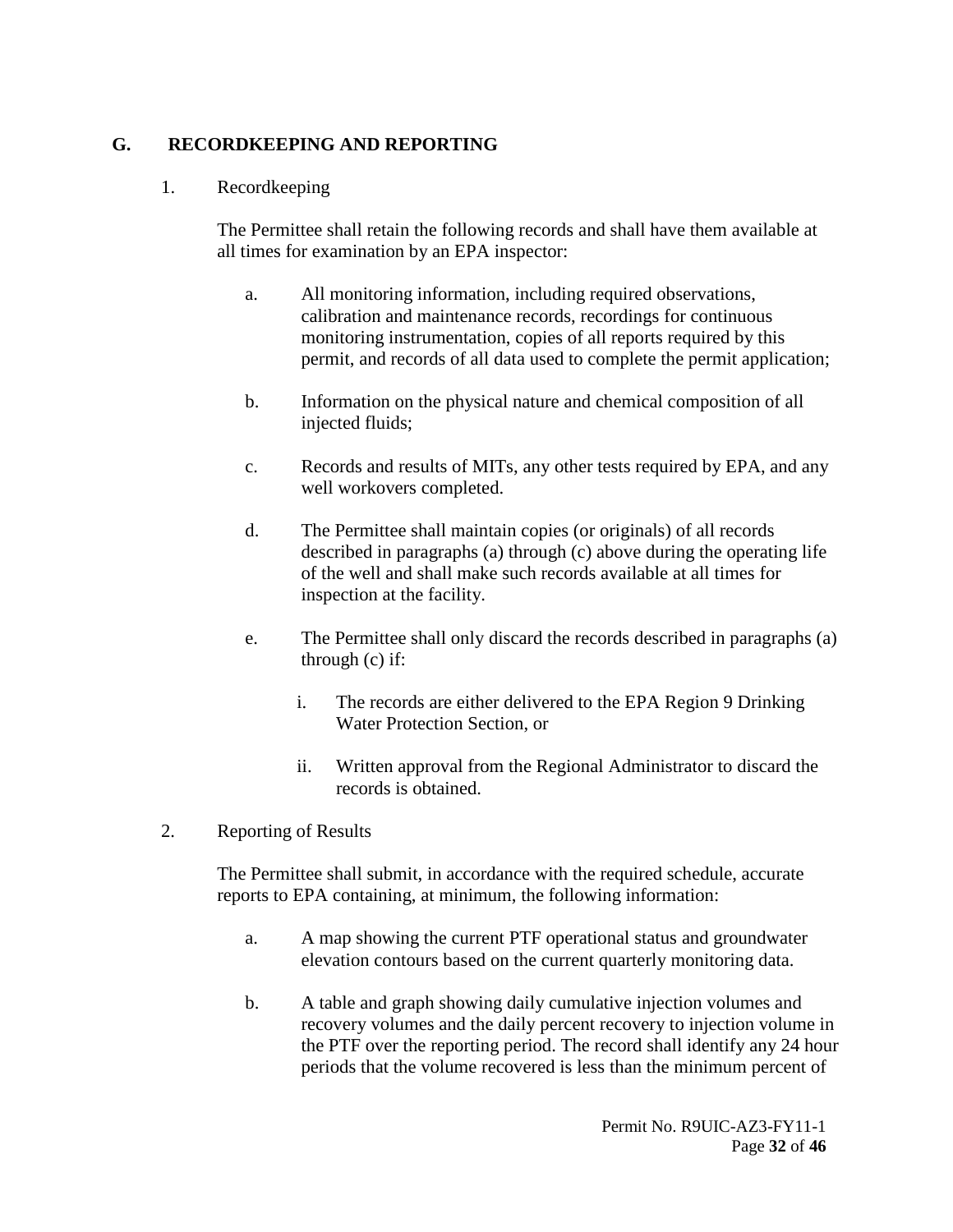#### <span id="page-31-1"></span><span id="page-31-0"></span>**G. RECORDKEEPING AND REPORTING**

#### 1. Recordkeeping

The Permittee shall retain the following records and shall have them available at all times for examination by an EPA inspector:

- a. All monitoring information, including required observations, calibration and maintenance records, recordings for continuous monitoring instrumentation, copies of all reports required by this permit, and records of all data used to complete the permit application;
- b. Information on the physical nature and chemical composition of all injected fluids;
- c. Records and results of MITs, any other tests required by EPA, and any well workovers completed.
- d. The Permittee shall maintain copies (or originals) of all records described in paragraphs (a) through (c) above during the operating life of the well and shall make such records available at all times for inspection at the facility.
- e. The Permittee shall only discard the records described in paragraphs (a) through (c) if:
	- i. The records are either delivered to the EPA Region 9 Drinking Water Protection Section, or
	- ii. Written approval from the Regional Administrator to discard the records is obtained.
- <span id="page-31-2"></span>2. Reporting of Results

The Permittee shall submit, in accordance with the required schedule, accurate reports to EPA containing, at minimum, the following information:

- a. A map showing the current PTF operational status and groundwater elevation contours based on the current quarterly monitoring data.
- b. A table and graph showing daily cumulative injection volumes and recovery volumes and the daily percent recovery to injection volume in the PTF over the reporting period. The record shall identify any 24 hour periods that the volume recovered is less than the minimum percent of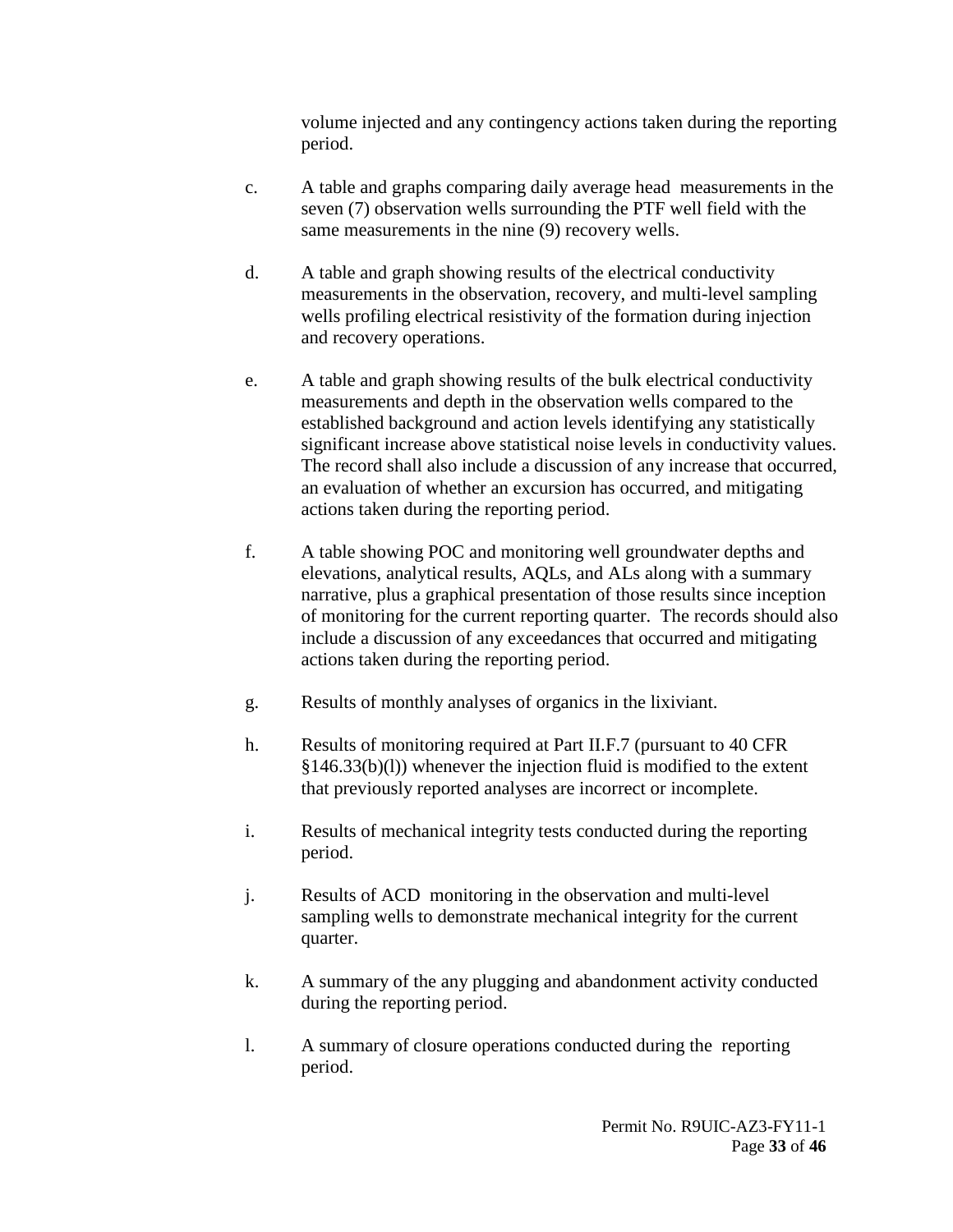volume injected and any contingency actions taken during the reporting period.

- c. A table and graphs comparing daily average head measurements in the seven (7) observation wells surrounding the PTF well field with the same measurements in the nine (9) recovery wells.
- d. A table and graph showing results of the electrical conductivity measurements in the observation, recovery, and multi-level sampling wells profiling electrical resistivity of the formation during injection and recovery operations.
- e. A table and graph showing results of the bulk electrical conductivity measurements and depth in the observation wells compared to the established background and action levels identifying any statistically significant increase above statistical noise levels in conductivity values. The record shall also include a discussion of any increase that occurred, an evaluation of whether an excursion has occurred, and mitigating actions taken during the reporting period.
- f. A table showing POC and monitoring well groundwater depths and elevations, analytical results, AQLs, and ALs along with a summary narrative, plus a graphical presentation of those results since inception of monitoring for the current reporting quarter. The records should also include a discussion of any exceedances that occurred and mitigating actions taken during the reporting period.
- g. Results of monthly analyses of organics in the lixiviant.
- h. Results of monitoring required at Part II.F.7 (pursuant to 40 CFR) §146.33(b)(l)) whenever the injection fluid is modified to the extent that previously reported analyses are incorrect or incomplete.
- i. Results of mechanical integrity tests conducted during the reporting period.
- j. Results of ACD monitoring in the observation and multi-level sampling wells to demonstrate mechanical integrity for the current quarter.
- k. A summary of the any plugging and abandonment activity conducted during the reporting period.
- l. A summary of closure operations conducted during the reporting period.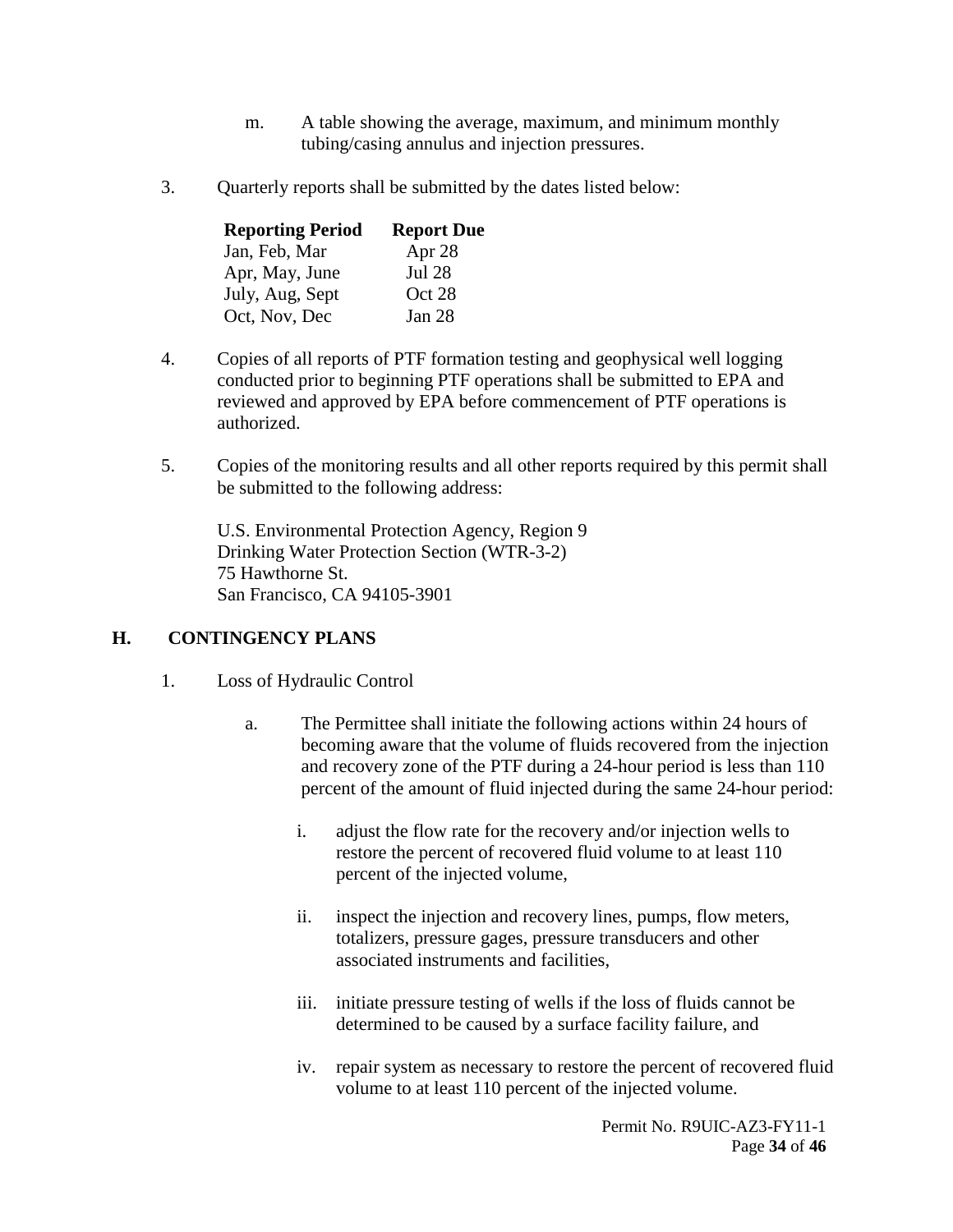- m. A table showing the average, maximum, and minimum monthly tubing/casing annulus and injection pressures.
- <span id="page-33-0"></span>3. Quarterly reports shall be submitted by the dates listed below:

| <b>Reporting Period</b> | <b>Report Due</b> |
|-------------------------|-------------------|
| Jan, Feb, Mar           | Apr 28            |
| Apr, May, June          | <b>Jul 28</b>     |
| July, Aug, Sept         | Oct 28            |
| Oct, Nov, Dec           | Jan 28            |

- <span id="page-33-1"></span>4. Copies of all reports of PTF formation testing and geophysical well logging conducted prior to beginning PTF operations shall be submitted to EPA and reviewed and approved by EPA before commencement of PTF operations is authorized.
- <span id="page-33-2"></span>5. Copies of the monitoring results and all other reports required by this permit shall be submitted to the following address:

U.S. Environmental Protection Agency, Region 9 Drinking Water Protection Section (WTR-3-2) 75 Hawthorne St. San Francisco, CA 94105-3901

#### <span id="page-33-4"></span><span id="page-33-3"></span>**H. CONTINGENCY PLANS**

- 1. Loss of Hydraulic Control
	- a. The Permittee shall initiate the following actions within 24 hours of becoming aware that the volume of fluids recovered from the injection and recovery zone of the PTF during a 24-hour period is less than 110 percent of the amount of fluid injected during the same 24-hour period:
		- i. adjust the flow rate for the recovery and/or injection wells to restore the percent of recovered fluid volume to at least 110 percent of the injected volume,
		- ii. inspect the injection and recovery lines, pumps, flow meters, totalizers, pressure gages, pressure transducers and other associated instruments and facilities,
		- iii. initiate pressure testing of wells if the loss of fluids cannot be determined to be caused by a surface facility failure, and
		- iv. repair system as necessary to restore the percent of recovered fluid volume to at least 110 percent of the injected volume.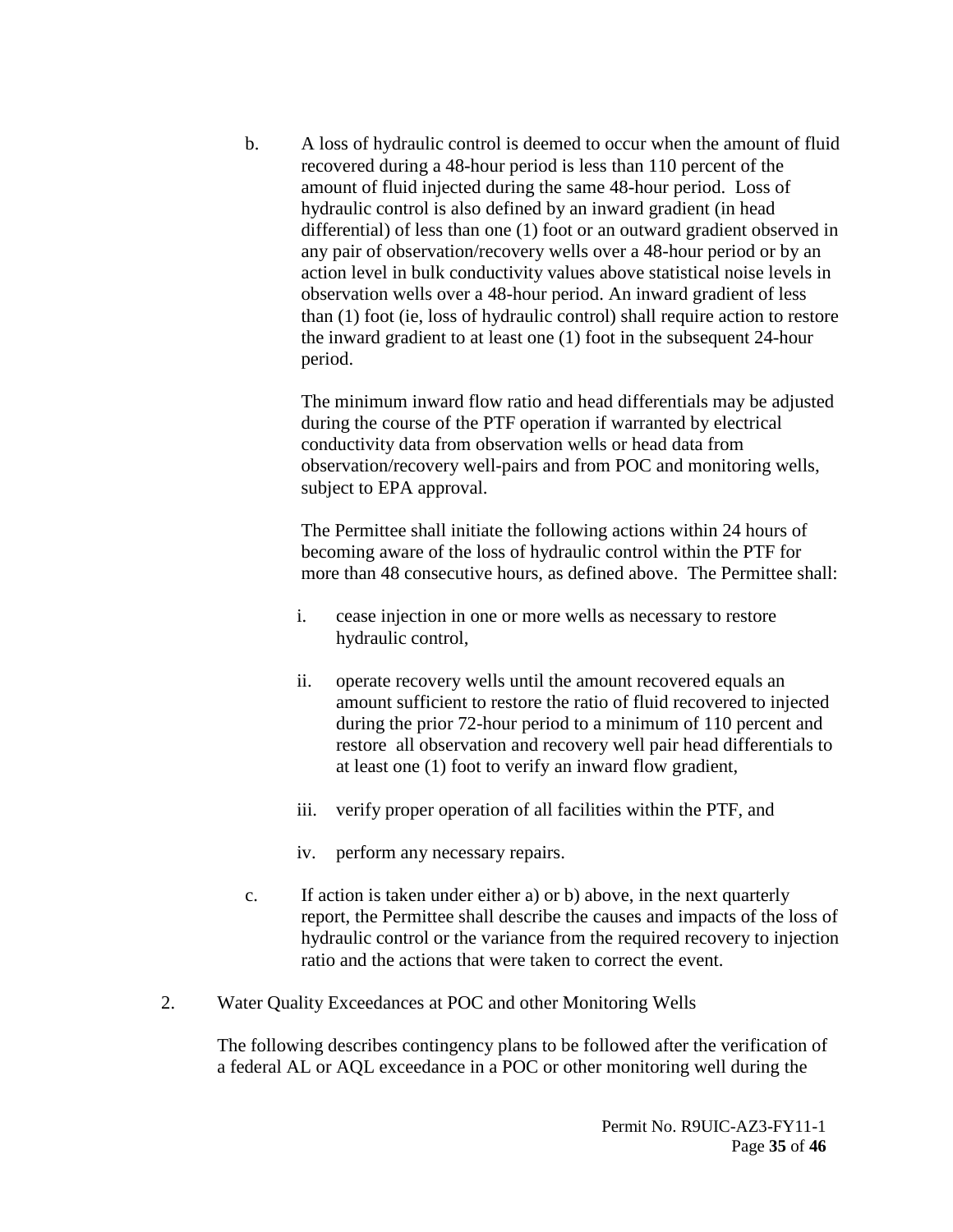b. A loss of hydraulic control is deemed to occur when the amount of fluid recovered during a 48-hour period is less than 110 percent of the amount of fluid injected during the same 48-hour period. Loss of hydraulic control is also defined by an inward gradient (in head differential) of less than one (1) foot or an outward gradient observed in any pair of observation/recovery wells over a 48-hour period or by an action level in bulk conductivity values above statistical noise levels in observation wells over a 48-hour period. An inward gradient of less than (1) foot (ie, loss of hydraulic control) shall require action to restore the inward gradient to at least one (1) foot in the subsequent 24-hour period.

The minimum inward flow ratio and head differentials may be adjusted during the course of the PTF operation if warranted by electrical conductivity data from observation wells or head data from observation/recovery well-pairs and from POC and monitoring wells, subject to EPA approval.

The Permittee shall initiate the following actions within 24 hours of becoming aware of the loss of hydraulic control within the PTF for more than 48 consecutive hours, as defined above. The Permittee shall:

- i. cease injection in one or more wells as necessary to restore hydraulic control,
- ii. operate recovery wells until the amount recovered equals an amount sufficient to restore the ratio of fluid recovered to injected during the prior 72-hour period to a minimum of 110 percent and restore all observation and recovery well pair head differentials to at least one (1) foot to verify an inward flow gradient,
- iii. verify proper operation of all facilities within the PTF, and
- iv. perform any necessary repairs.
- c. If action is taken under either a) or b) above, in the next quarterly report, the Permittee shall describe the causes and impacts of the loss of hydraulic control or the variance from the required recovery to injection ratio and the actions that were taken to correct the event.
- <span id="page-34-0"></span>2. Water Quality Exceedances at POC and other Monitoring Wells

The following describes contingency plans to be followed after the verification of a federal AL or AQL exceedance in a POC or other monitoring well during the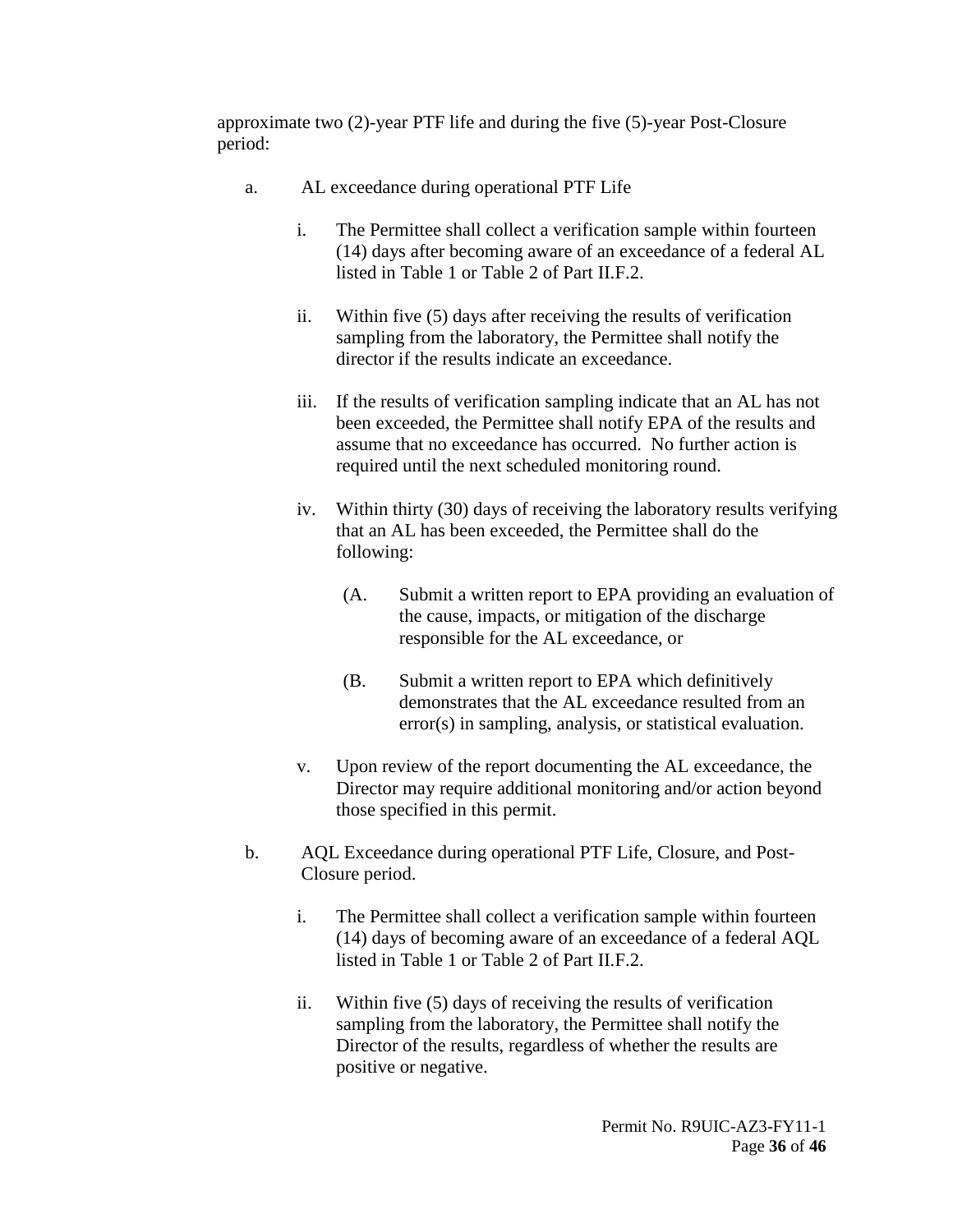approximate two (2)-year PTF life and during the five (5)-year Post-Closure period:

- a. AL exceedance during operational PTF Life
	- i. The Permittee shall collect a verification sample within fourteen (14) days after becoming aware of an exceedance of a federal AL listed in Table 1 or Table 2 of Part II.F.2.
	- ii. Within five (5) days after receiving the results of verification sampling from the laboratory, the Permittee shall notify the director if the results indicate an exceedance.
	- iii. If the results of verification sampling indicate that an AL has not been exceeded, the Permittee shall notify EPA of the results and assume that no exceedance has occurred. No further action is required until the next scheduled monitoring round.
	- iv. Within thirty (30) days of receiving the laboratory results verifying that an AL has been exceeded, the Permittee shall do the following:
		- (A. Submit a written report to EPA providing an evaluation of the cause, impacts, or mitigation of the discharge responsible for the AL exceedance, or
		- (B. Submit a written report to EPA which definitively demonstrates that the AL exceedance resulted from an error(s) in sampling, analysis, or statistical evaluation.
	- v. Upon review of the report documenting the AL exceedance, the Director may require additional monitoring and/or action beyond those specified in this permit.
- b. AQL Exceedance during operational PTF Life, Closure, and Post-Closure period.
	- i. The Permittee shall collect a verification sample within fourteen (14) days of becoming aware of an exceedance of a federal AQL listed in Table 1 or Table 2 of Part II.F.2.
	- ii. Within five (5) days of receiving the results of verification sampling from the laboratory, the Permittee shall notify the Director of the results, regardless of whether the results are positive or negative.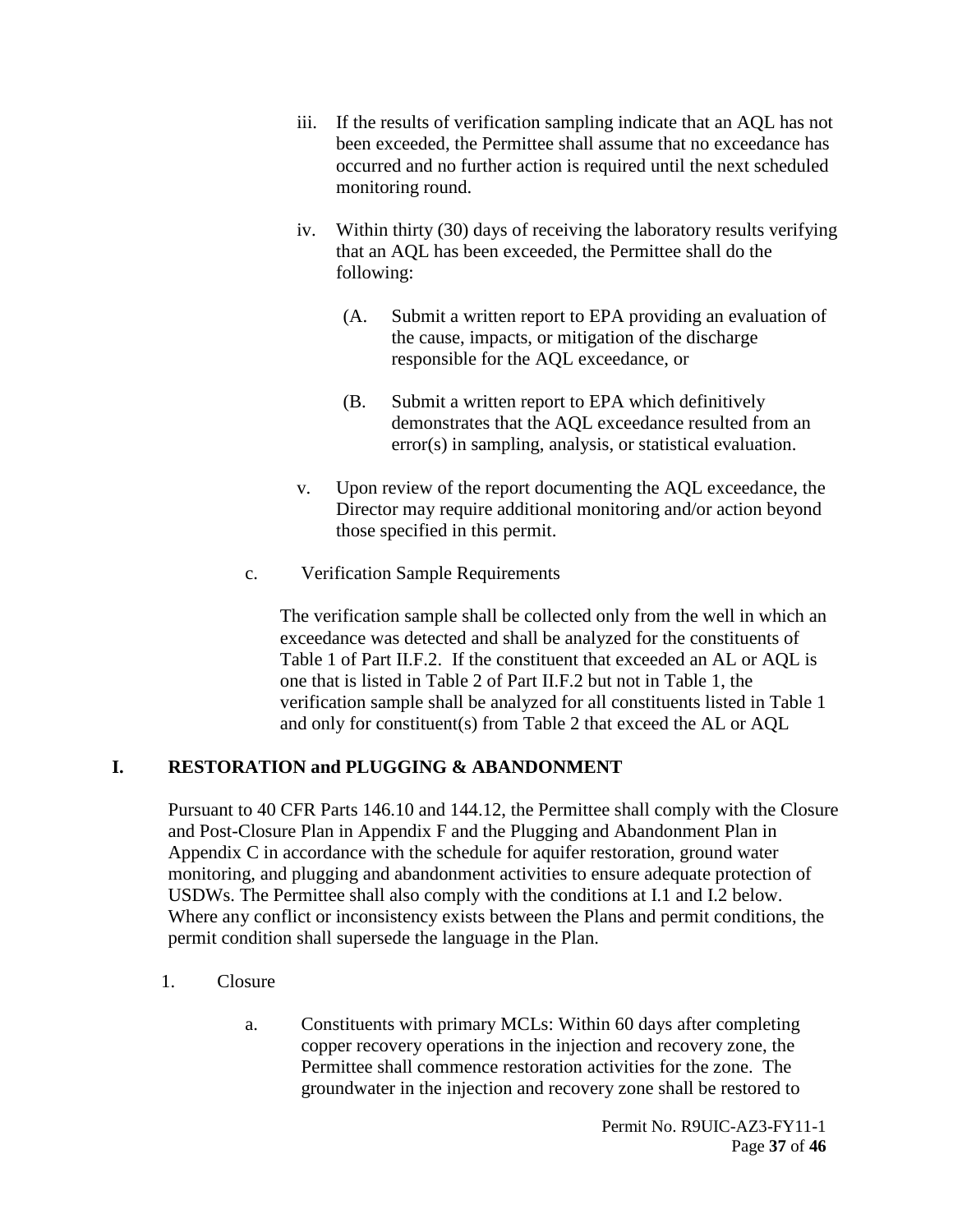- iii. If the results of verification sampling indicate that an AQL has not been exceeded, the Permittee shall assume that no exceedance has occurred and no further action is required until the next scheduled monitoring round.
- iv. Within thirty (30) days of receiving the laboratory results verifying that an AQL has been exceeded, the Permittee shall do the following:
	- (A. Submit a written report to EPA providing an evaluation of the cause, impacts, or mitigation of the discharge responsible for the AQL exceedance, or
	- (B. Submit a written report to EPA which definitively demonstrates that the AQL exceedance resulted from an error(s) in sampling, analysis, or statistical evaluation.
- v. Upon review of the report documenting the AQL exceedance, the Director may require additional monitoring and/or action beyond those specified in this permit.
- c. Verification Sample Requirements

The verification sample shall be collected only from the well in which an exceedance was detected and shall be analyzed for the constituents of Table 1 of Part II.F.2. If the constituent that exceeded an AL or AQL is one that is listed in Table 2 of Part II.F.2 but not in Table 1, the verification sample shall be analyzed for all constituents listed in Table 1 and only for constituent(s) from Table 2 that exceed the AL or AQL

# <span id="page-36-0"></span>**I. RESTORATION and PLUGGING & ABANDONMENT**

Pursuant to 40 CFR Parts 146.10 and 144.12, the Permittee shall comply with the Closure and Post-Closure Plan in Appendix F and the Plugging and Abandonment Plan in Appendix C in accordance with the schedule for aquifer restoration, ground water monitoring, and plugging and abandonment activities to ensure adequate protection of USDWs. The Permittee shall also comply with the conditions at I.1 and I.2 below. Where any conflict or inconsistency exists between the Plans and permit conditions, the permit condition shall supersede the language in the Plan.

- <span id="page-36-1"></span>1. Closure
	- a. Constituents with primary MCLs: Within 60 days after completing copper recovery operations in the injection and recovery zone, the Permittee shall commence restoration activities for the zone. The groundwater in the injection and recovery zone shall be restored to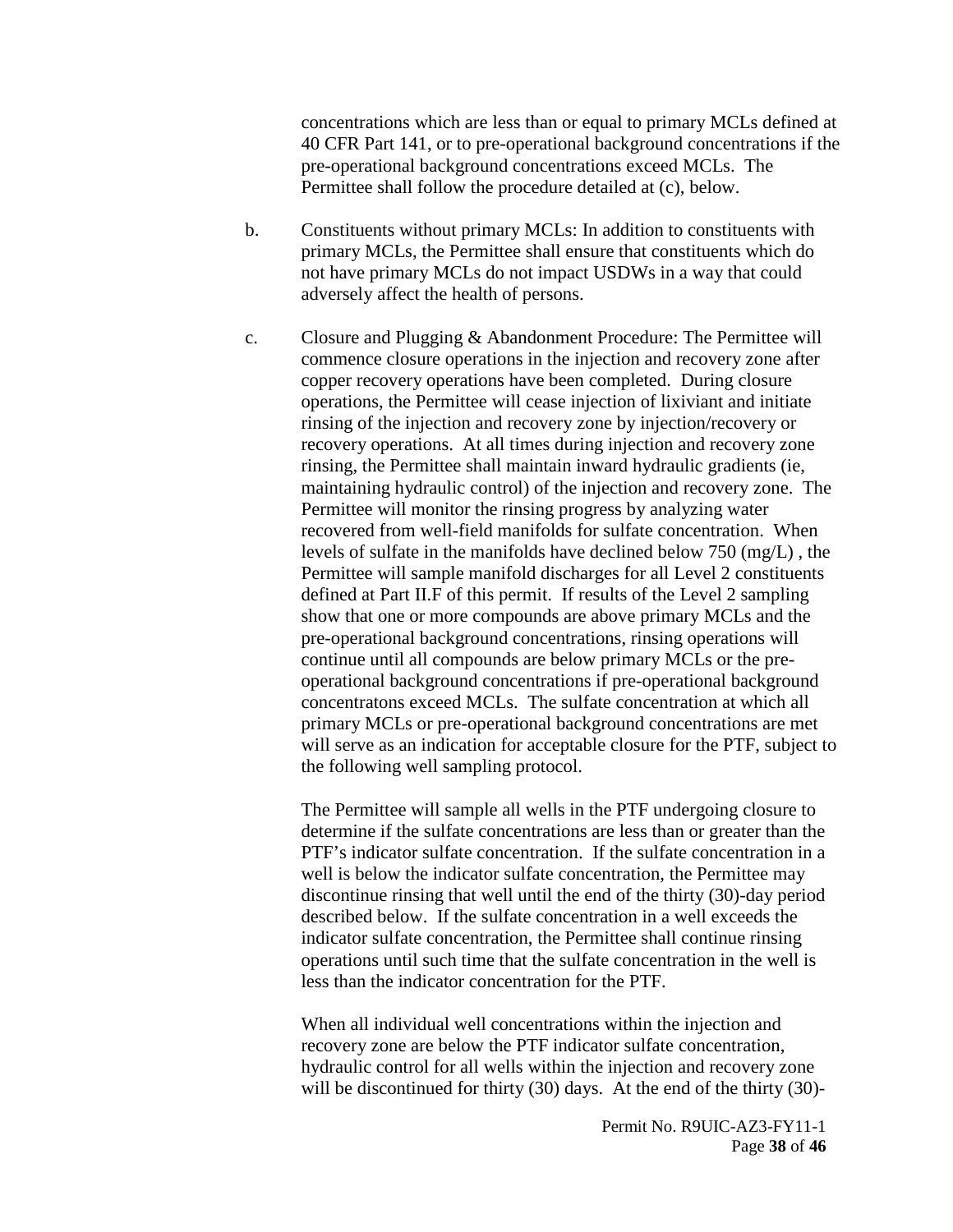concentrations which are less than or equal to primary MCLs defined at 40 CFR Part 141, or to pre-operational background concentrations if the pre-operational background concentrations exceed MCLs. The Permittee shall follow the procedure detailed at (c), below.

- b. Constituents without primary MCLs: In addition to constituents with primary MCLs, the Permittee shall ensure that constituents which do not have primary MCLs do not impact USDWs in a way that could adversely affect the health of persons.
- c. Closure and Plugging & Abandonment Procedure: The Permittee will commence closure operations in the injection and recovery zone after copper recovery operations have been completed. During closure operations, the Permittee will cease injection of lixiviant and initiate rinsing of the injection and recovery zone by injection/recovery or recovery operations. At all times during injection and recovery zone rinsing, the Permittee shall maintain inward hydraulic gradients (ie, maintaining hydraulic control) of the injection and recovery zone. The Permittee will monitor the rinsing progress by analyzing water recovered from well-field manifolds for sulfate concentration. When levels of sulfate in the manifolds have declined below 750 (mg/L) , the Permittee will sample manifold discharges for all Level 2 constituents defined at Part II.F of this permit. If results of the Level 2 sampling show that one or more compounds are above primary MCLs and the pre-operational background concentrations, rinsing operations will continue until all compounds are below primary MCLs or the preoperational background concentrations if pre-operational background concentratons exceed MCLs. The sulfate concentration at which all primary MCLs or pre-operational background concentrations are met will serve as an indication for acceptable closure for the PTF, subject to the following well sampling protocol.

The Permittee will sample all wells in the PTF undergoing closure to determine if the sulfate concentrations are less than or greater than the PTF's indicator sulfate concentration. If the sulfate concentration in a well is below the indicator sulfate concentration, the Permittee may discontinue rinsing that well until the end of the thirty (30)-day period described below. If the sulfate concentration in a well exceeds the indicator sulfate concentration, the Permittee shall continue rinsing operations until such time that the sulfate concentration in the well is less than the indicator concentration for the PTF.

When all individual well concentrations within the injection and recovery zone are below the PTF indicator sulfate concentration, hydraulic control for all wells within the injection and recovery zone will be discontinued for thirty (30) days. At the end of the thirty (30)-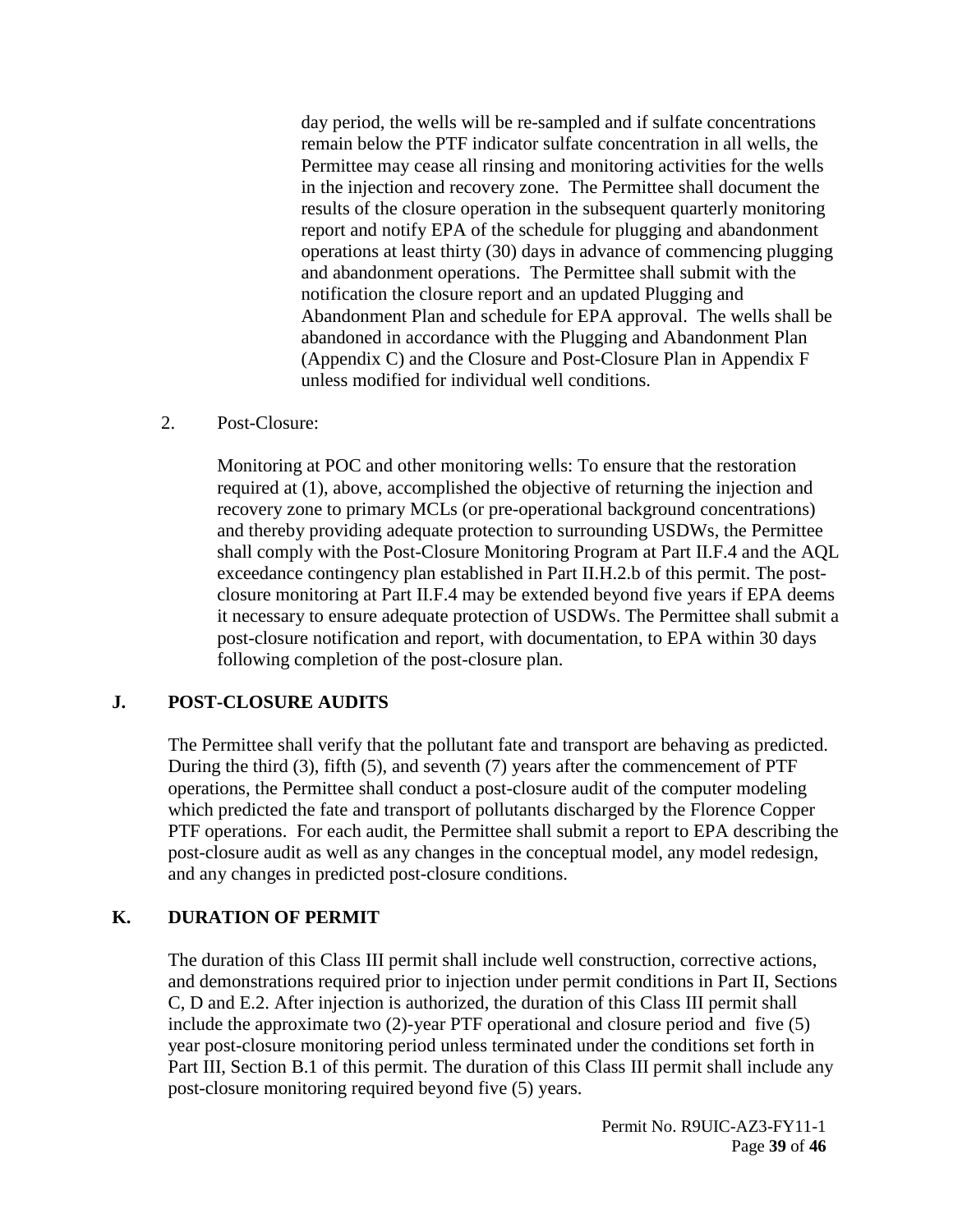day period, the wells will be re-sampled and if sulfate concentrations remain below the PTF indicator sulfate concentration in all wells, the Permittee may cease all rinsing and monitoring activities for the wells in the injection and recovery zone. The Permittee shall document the results of the closure operation in the subsequent quarterly monitoring report and notify EPA of the schedule for plugging and abandonment operations at least thirty (30) days in advance of commencing plugging and abandonment operations. The Permittee shall submit with the notification the closure report and an updated Plugging and Abandonment Plan and schedule for EPA approval. The wells shall be abandoned in accordance with the Plugging and Abandonment Plan (Appendix C) and the Closure and Post-Closure Plan in Appendix F unless modified for individual well conditions.

<span id="page-38-0"></span>2. Post-Closure:

Monitoring at POC and other monitoring wells: To ensure that the restoration required at (1), above, accomplished the objective of returning the injection and recovery zone to primary MCLs (or pre-operational background concentrations) and thereby providing adequate protection to surrounding USDWs, the Permittee shall comply with the Post-Closure Monitoring Program at Part II.F.4 and the AQL exceedance contingency plan established in Part II.H.2.b of this permit. The postclosure monitoring at Part II.F.4 may be extended beyond five years if EPA deems it necessary to ensure adequate protection of USDWs. The Permittee shall submit a post-closure notification and report, with documentation, to EPA within 30 days following completion of the post-closure plan.

#### <span id="page-38-1"></span>**J. POST-CLOSURE AUDITS**

The Permittee shall verify that the pollutant fate and transport are behaving as predicted. During the third (3), fifth (5), and seventh (7) years after the commencement of PTF operations, the Permittee shall conduct a post-closure audit of the computer modeling which predicted the fate and transport of pollutants discharged by the Florence Copper PTF operations. For each audit, the Permittee shall submit a report to EPA describing the post-closure audit as well as any changes in the conceptual model, any model redesign, and any changes in predicted post-closure conditions.

#### <span id="page-38-2"></span>**K. DURATION OF PERMIT**

The duration of this Class III permit shall include well construction, corrective actions, and demonstrations required prior to injection under permit conditions in Part II, Sections C, D and E.2. After injection is authorized, the duration of this Class III permit shall include the approximate two (2)-year PTF operational and closure period and five (5) year post-closure monitoring period unless terminated under the conditions set forth in Part III, Section B.1 of this permit. The duration of this Class III permit shall include any post-closure monitoring required beyond five (5) years.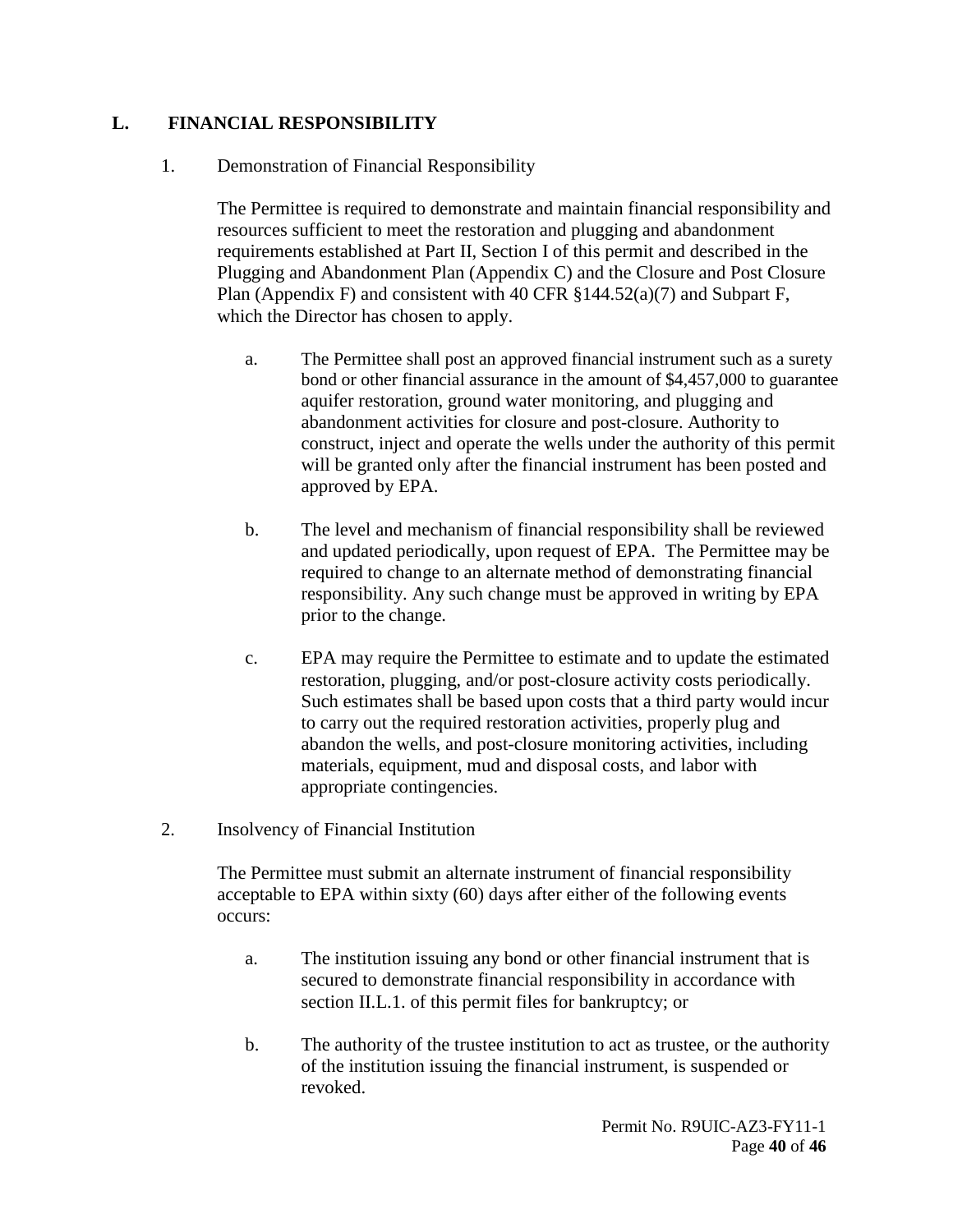#### <span id="page-39-1"></span><span id="page-39-0"></span>**L. FINANCIAL RESPONSIBILITY**

#### 1. Demonstration of Financial Responsibility

The Permittee is required to demonstrate and maintain financial responsibility and resources sufficient to meet the restoration and plugging and abandonment requirements established at Part II, Section I of this permit and described in the Plugging and Abandonment Plan (Appendix C) and the Closure and Post Closure Plan (Appendix F) and consistent with 40 CFR  $\S 144.52(a)(7)$  and Subpart F, which the Director has chosen to apply.

- a. The Permittee shall post an approved financial instrument such as a surety bond or other financial assurance in the amount of \$4,457,000 to guarantee aquifer restoration, ground water monitoring, and plugging and abandonment activities for closure and post-closure. Authority to construct, inject and operate the wells under the authority of this permit will be granted only after the financial instrument has been posted and approved by EPA.
- b. The level and mechanism of financial responsibility shall be reviewed and updated periodically, upon request of EPA. The Permittee may be required to change to an alternate method of demonstrating financial responsibility. Any such change must be approved in writing by EPA prior to the change.
- c. EPA may require the Permittee to estimate and to update the estimated restoration, plugging, and/or post-closure activity costs periodically. Such estimates shall be based upon costs that a third party would incur to carry out the required restoration activities, properly plug and abandon the wells, and post-closure monitoring activities, including materials, equipment, mud and disposal costs, and labor with appropriate contingencies.
- <span id="page-39-2"></span>2. Insolvency of Financial Institution

The Permittee must submit an alternate instrument of financial responsibility acceptable to EPA within sixty (60) days after either of the following events occurs:

- a. The institution issuing any bond or other financial instrument that is secured to demonstrate financial responsibility in accordance with section II.L.1. of this permit files for bankruptcy; or
- b. The authority of the trustee institution to act as trustee, or the authority of the institution issuing the financial instrument, is suspended or revoked.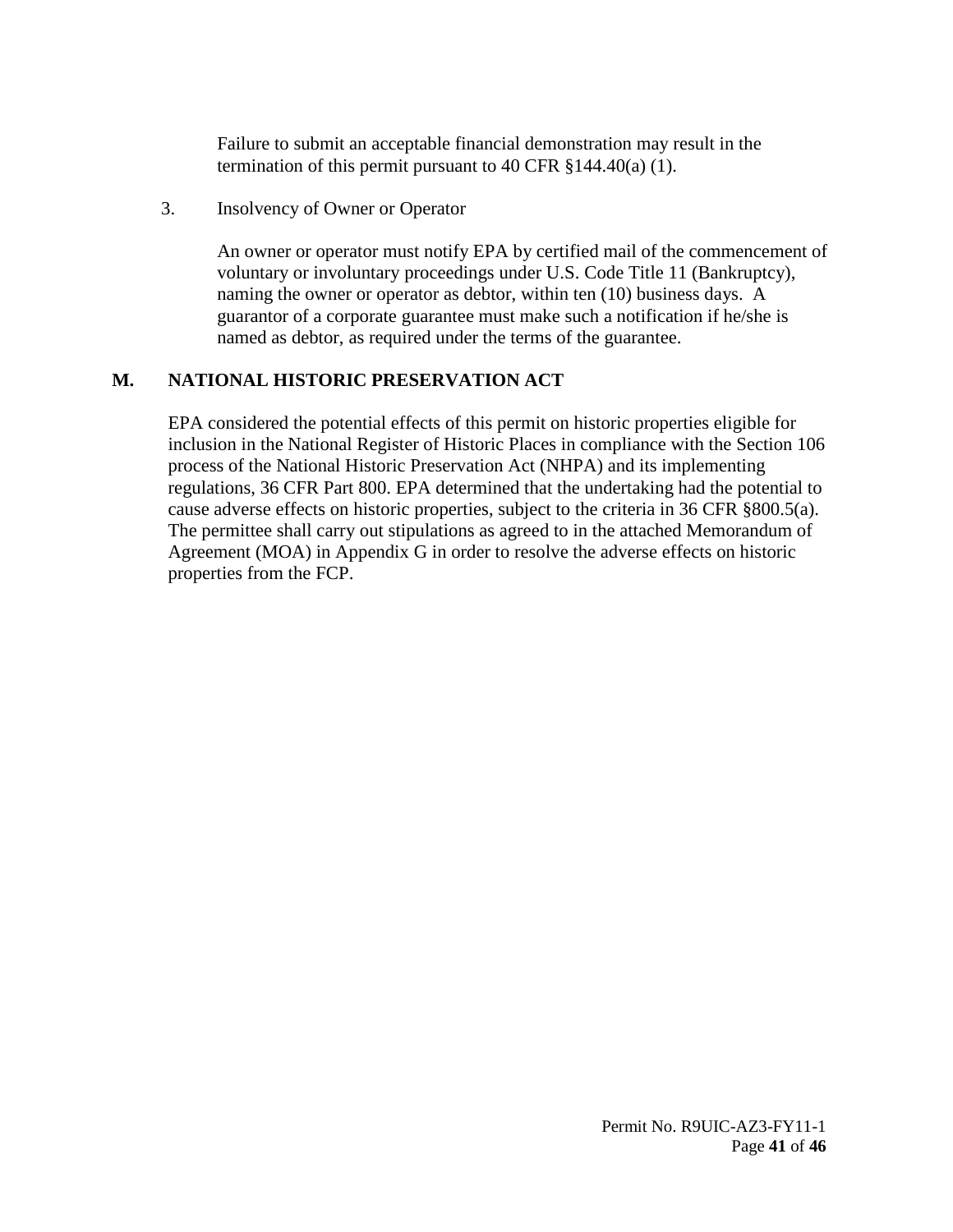Failure to submit an acceptable financial demonstration may result in the termination of this permit pursuant to 40 CFR §144.40(a) (1).

<span id="page-40-0"></span>3. Insolvency of Owner or Operator

An owner or operator must notify EPA by certified mail of the commencement of voluntary or involuntary proceedings under U.S. Code Title 11 (Bankruptcy), naming the owner or operator as debtor, within ten (10) business days. A guarantor of a corporate guarantee must make such a notification if he/she is named as debtor, as required under the terms of the guarantee.

# <span id="page-40-1"></span>**M. NATIONAL HISTORIC PRESERVATION ACT**

EPA considered the potential effects of this permit on historic properties eligible for inclusion in the National Register of Historic Places in compliance with the Section 106 process of the National Historic Preservation Act (NHPA) and its implementing regulations, 36 CFR Part 800. EPA determined that the undertaking had the potential to cause adverse effects on historic properties, subject to the criteria in 36 CFR §800.5(a). The permittee shall carry out stipulations as agreed to in the attached Memorandum of Agreement (MOA) in Appendix G in order to resolve the adverse effects on historic properties from the FCP.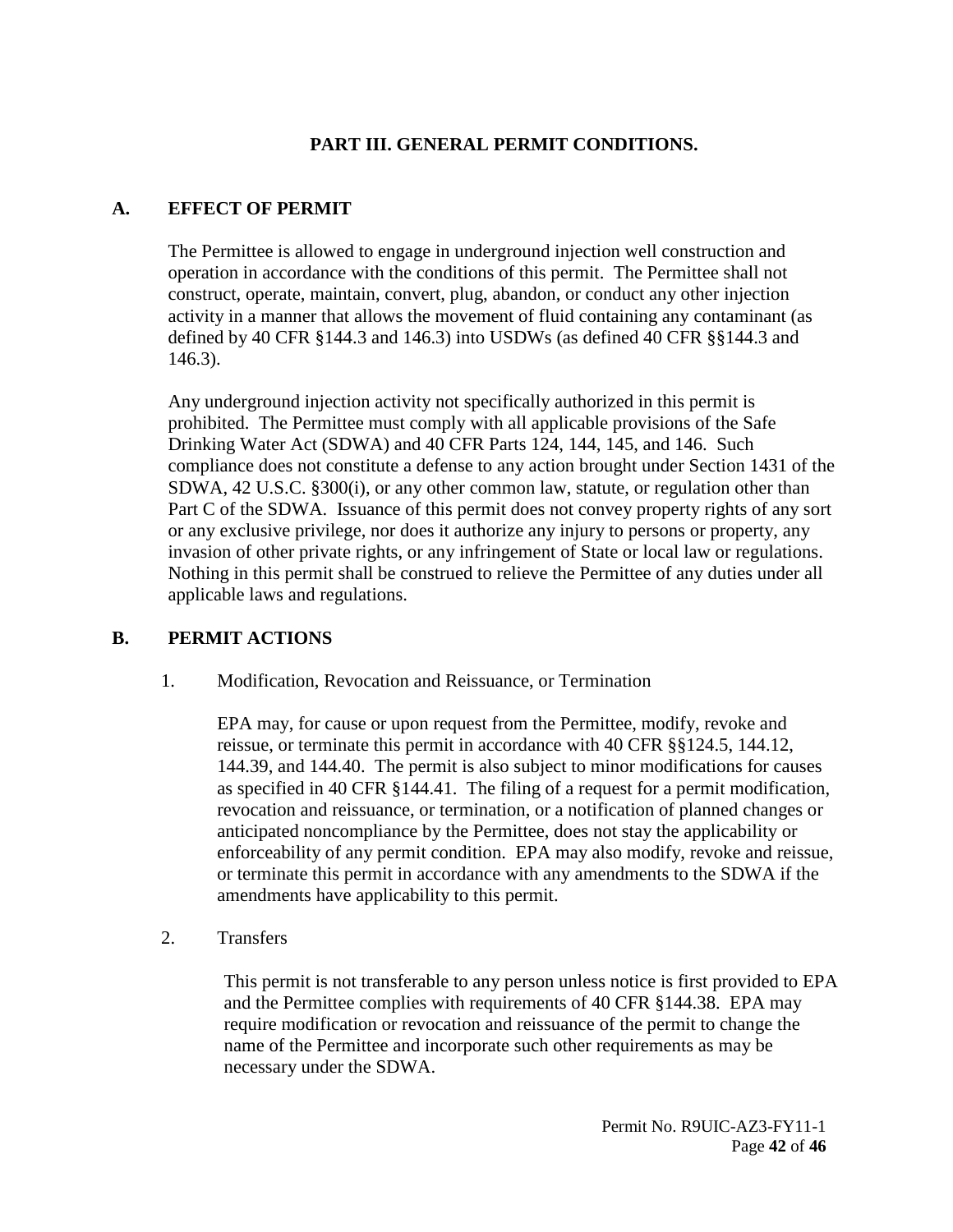### **PART III. GENERAL PERMIT CONDITIONS.**

#### <span id="page-41-1"></span><span id="page-41-0"></span>**A. EFFECT OF PERMIT**

The Permittee is allowed to engage in underground injection well construction and operation in accordance with the conditions of this permit. The Permittee shall not construct, operate, maintain, convert, plug, abandon, or conduct any other injection activity in a manner that allows the movement of fluid containing any contaminant (as defined by 40 CFR §144.3 and 146.3) into USDWs (as defined 40 CFR §§144.3 and 146.3).

Any underground injection activity not specifically authorized in this permit is prohibited. The Permittee must comply with all applicable provisions of the Safe Drinking Water Act (SDWA) and 40 CFR Parts 124, 144, 145, and 146. Such compliance does not constitute a defense to any action brought under Section 1431 of the SDWA, 42 U.S.C. §300(i), or any other common law, statute, or regulation other than Part C of the SDWA. Issuance of this permit does not convey property rights of any sort or any exclusive privilege, nor does it authorize any injury to persons or property, any invasion of other private rights, or any infringement of State or local law or regulations. Nothing in this permit shall be construed to relieve the Permittee of any duties under all applicable laws and regulations.

#### <span id="page-41-3"></span><span id="page-41-2"></span>**B. PERMIT ACTIONS**

1. Modification, Revocation and Reissuance, or Termination

EPA may, for cause or upon request from the Permittee, modify, revoke and reissue, or terminate this permit in accordance with 40 CFR §§124.5, 144.12, 144.39, and 144.40. The permit is also subject to minor modifications for causes as specified in 40 CFR §144.41. The filing of a request for a permit modification, revocation and reissuance, or termination, or a notification of planned changes or anticipated noncompliance by the Permittee, does not stay the applicability or enforceability of any permit condition. EPA may also modify, revoke and reissue, or terminate this permit in accordance with any amendments to the SDWA if the amendments have applicability to this permit.

<span id="page-41-4"></span>2. Transfers

This permit is not transferable to any person unless notice is first provided to EPA and the Permittee complies with requirements of 40 CFR §144.38. EPA may require modification or revocation and reissuance of the permit to change the name of the Permittee and incorporate such other requirements as may be necessary under the SDWA.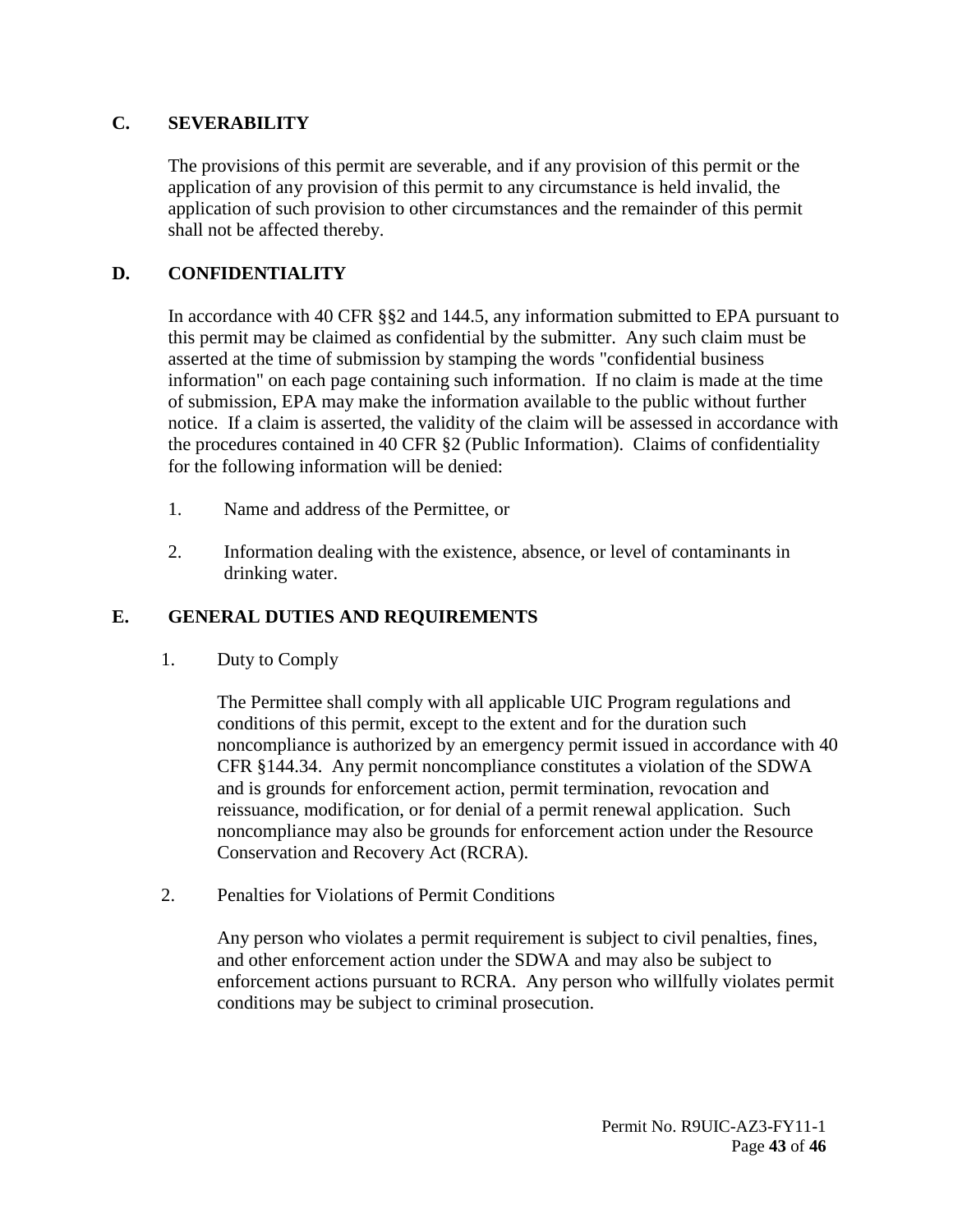#### <span id="page-42-0"></span>**C. SEVERABILITY**

The provisions of this permit are severable, and if any provision of this permit or the application of any provision of this permit to any circumstance is held invalid, the application of such provision to other circumstances and the remainder of this permit shall not be affected thereby.

# <span id="page-42-1"></span>**D. CONFIDENTIALITY**

In accordance with 40 CFR §§2 and 144.5, any information submitted to EPA pursuant to this permit may be claimed as confidential by the submitter. Any such claim must be asserted at the time of submission by stamping the words "confidential business information" on each page containing such information. If no claim is made at the time of submission, EPA may make the information available to the public without further notice. If a claim is asserted, the validity of the claim will be assessed in accordance with the procedures contained in 40 CFR §2 (Public Information). Claims of confidentiality for the following information will be denied:

- 1. Name and address of the Permittee, or
- 2. Information dealing with the existence, absence, or level of contaminants in drinking water.

# <span id="page-42-3"></span><span id="page-42-2"></span>**E. GENERAL DUTIES AND REQUIREMENTS**

1. Duty to Comply

The Permittee shall comply with all applicable UIC Program regulations and conditions of this permit, except to the extent and for the duration such noncompliance is authorized by an emergency permit issued in accordance with 40 CFR §144.34. Any permit noncompliance constitutes a violation of the SDWA and is grounds for enforcement action, permit termination, revocation and reissuance, modification, or for denial of a permit renewal application. Such noncompliance may also be grounds for enforcement action under the Resource Conservation and Recovery Act (RCRA).

<span id="page-42-4"></span>2. Penalties for Violations of Permit Conditions

Any person who violates a permit requirement is subject to civil penalties, fines, and other enforcement action under the SDWA and may also be subject to enforcement actions pursuant to RCRA. Any person who willfully violates permit conditions may be subject to criminal prosecution.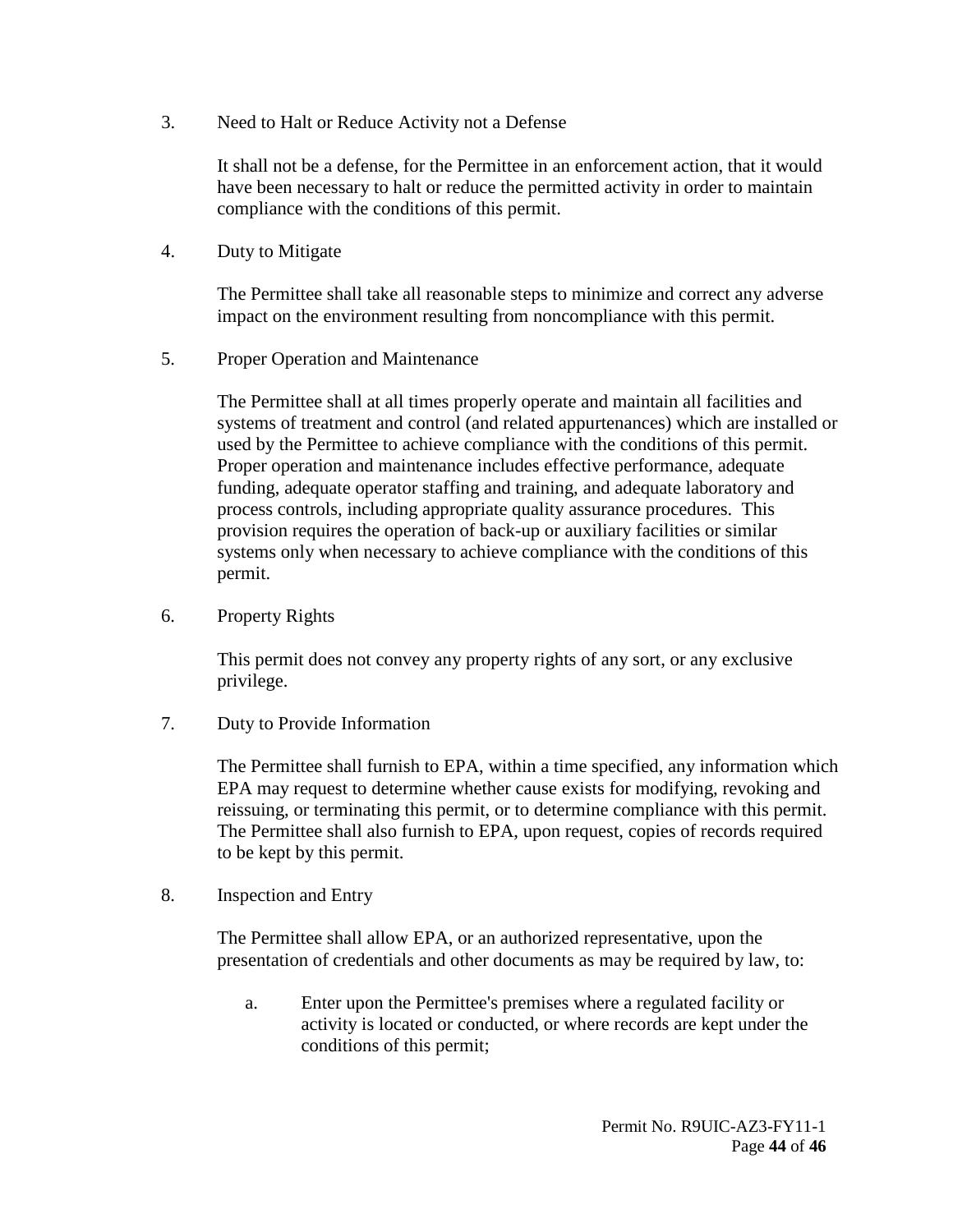<span id="page-43-0"></span>3. Need to Halt or Reduce Activity not a Defense

It shall not be a defense, for the Permittee in an enforcement action, that it would have been necessary to halt or reduce the permitted activity in order to maintain compliance with the conditions of this permit.

<span id="page-43-1"></span>4. Duty to Mitigate

The Permittee shall take all reasonable steps to minimize and correct any adverse impact on the environment resulting from noncompliance with this permit.

<span id="page-43-2"></span>5. Proper Operation and Maintenance

The Permittee shall at all times properly operate and maintain all facilities and systems of treatment and control (and related appurtenances) which are installed or used by the Permittee to achieve compliance with the conditions of this permit. Proper operation and maintenance includes effective performance, adequate funding, adequate operator staffing and training, and adequate laboratory and process controls, including appropriate quality assurance procedures. This provision requires the operation of back-up or auxiliary facilities or similar systems only when necessary to achieve compliance with the conditions of this permit.

<span id="page-43-3"></span>6. Property Rights

This permit does not convey any property rights of any sort, or any exclusive privilege.

<span id="page-43-4"></span>7. Duty to Provide Information

The Permittee shall furnish to EPA, within a time specified, any information which EPA may request to determine whether cause exists for modifying, revoking and reissuing, or terminating this permit, or to determine compliance with this permit. The Permittee shall also furnish to EPA, upon request, copies of records required to be kept by this permit.

<span id="page-43-5"></span>8. Inspection and Entry

The Permittee shall allow EPA, or an authorized representative, upon the presentation of credentials and other documents as may be required by law, to:

a. Enter upon the Permittee's premises where a regulated facility or activity is located or conducted, or where records are kept under the conditions of this permit;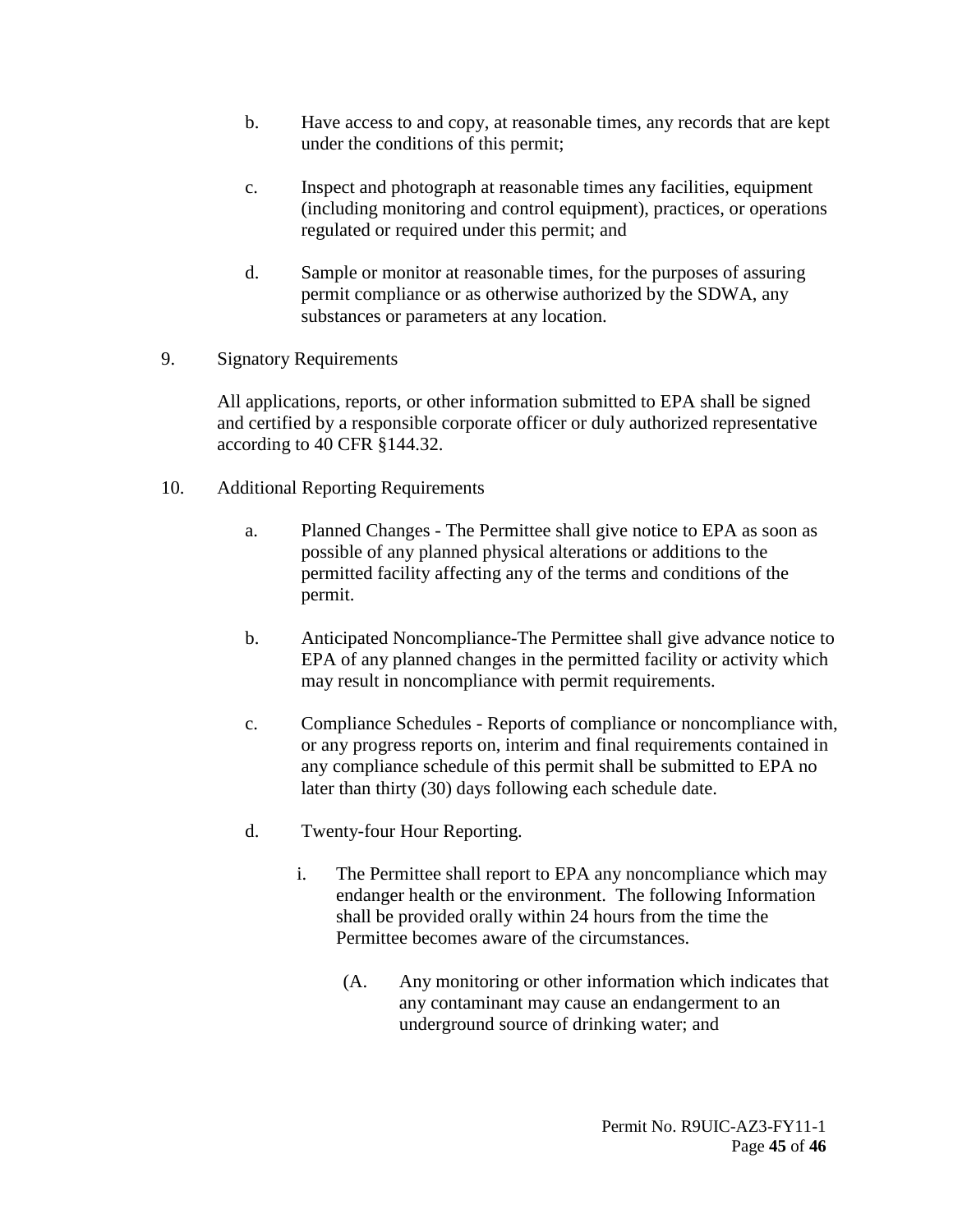- b. Have access to and copy, at reasonable times, any records that are kept under the conditions of this permit;
- c. Inspect and photograph at reasonable times any facilities, equipment (including monitoring and control equipment), practices, or operations regulated or required under this permit; and
- d. Sample or monitor at reasonable times, for the purposes of assuring permit compliance or as otherwise authorized by the SDWA, any substances or parameters at any location.
- <span id="page-44-0"></span>9. Signatory Requirements

All applications, reports, or other information submitted to EPA shall be signed and certified by a responsible corporate officer or duly authorized representative according to 40 CFR §144.32.

- <span id="page-44-1"></span>10. Additional Reporting Requirements
	- a. Planned Changes The Permittee shall give notice to EPA as soon as possible of any planned physical alterations or additions to the permitted facility affecting any of the terms and conditions of the permit.
	- b. Anticipated Noncompliance-The Permittee shall give advance notice to EPA of any planned changes in the permitted facility or activity which may result in noncompliance with permit requirements.
	- c. Compliance Schedules Reports of compliance or noncompliance with, or any progress reports on, interim and final requirements contained in any compliance schedule of this permit shall be submitted to EPA no later than thirty (30) days following each schedule date.
	- d. Twenty-four Hour Reporting.
		- i. The Permittee shall report to EPA any noncompliance which may endanger health or the environment. The following Information shall be provided orally within 24 hours from the time the Permittee becomes aware of the circumstances.
			- (A. Any monitoring or other information which indicates that any contaminant may cause an endangerment to an underground source of drinking water; and